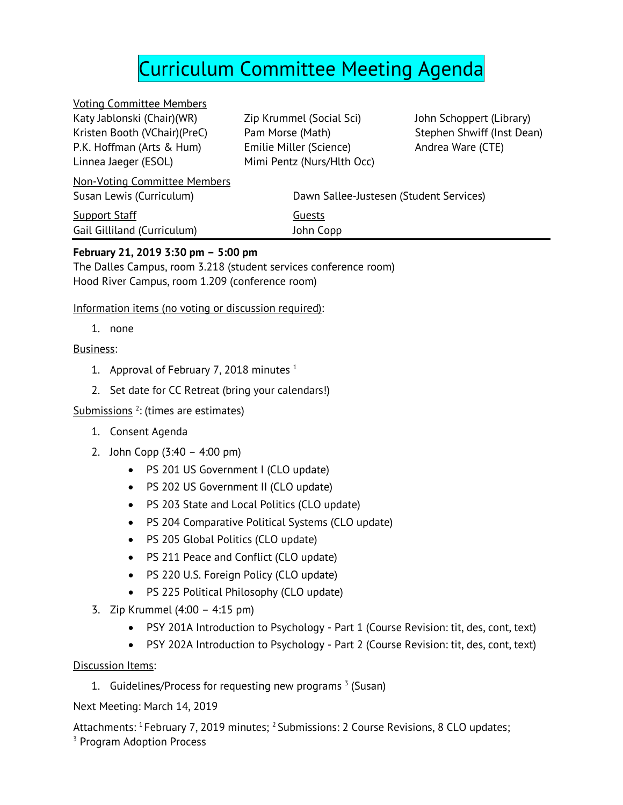# Curriculum Committee Meeting Agenda

Voting Committee Members Katy Jablonski (Chair)(WR) Kristen Booth (VChair)(PreC) P.K. Hoffman (Arts & Hum) Linnea Jaeger (ESOL)

Zip Krummel (Social Sci) Pam Morse (Math) Emilie Miller (Science) Mimi Pentz (Nurs/Hlth Occ) John Schoppert (Library) Stephen Shwiff (Inst Dean) Andrea Ware (CTE)

| <b>Non-Voting Committee Members</b> |                                         |
|-------------------------------------|-----------------------------------------|
| Susan Lewis (Curriculum)            | Dawn Sallee-Justesen (Student Services) |
| <b>Support Staff</b>                | Guests                                  |
| Gail Gilliland (Curriculum)         | John Copp                               |
|                                     |                                         |

### **February 21, 2019 3:30 pm – 5:00 pm**

The Dalles Campus, room 3.218 (student services conference room) Hood River Campus, room 1.209 (conference room)

Information items (no voting or discussion required):

1. none

#### Business:

- 1. Approval of February 7, 2018 minutes  $1$
- 2. Set date for CC Retreat (bring your calendars!)

Submissions <sup>2</sup>: (times are estimates)

- 1. Consent Agenda
- 2. John Copp (3:40 4:00 pm)
	- PS 201 US Government I (CLO update)
	- PS 202 US Government II (CLO update)
	- PS 203 State and Local Politics (CLO update)
	- PS 204 Comparative Political Systems (CLO update)
	- PS 205 Global Politics (CLO update)
	- PS 211 Peace and Conflict (CLO update)
	- PS 220 U.S. Foreign Policy (CLO update)
	- PS 225 Political Philosophy (CLO update)
- 3. Zip Krummel (4:00 4:15 pm)
	- PSY 201A Introduction to Psychology Part 1 (Course Revision: tit, des, cont, text)
	- PSY 202A Introduction to Psychology Part 2 (Course Revision: tit, des, cont, text)

Discussion Items:

1. Guidelines/Process for requesting new programs  $3$  (Susan)

Next Meeting: March 14, 2019

Attachments: <sup>1</sup> February 7, 2019 minutes; <sup>2</sup> Submissions: 2 Course Revisions, 8 CLO updates; <sup>3</sup> Program Adoption Process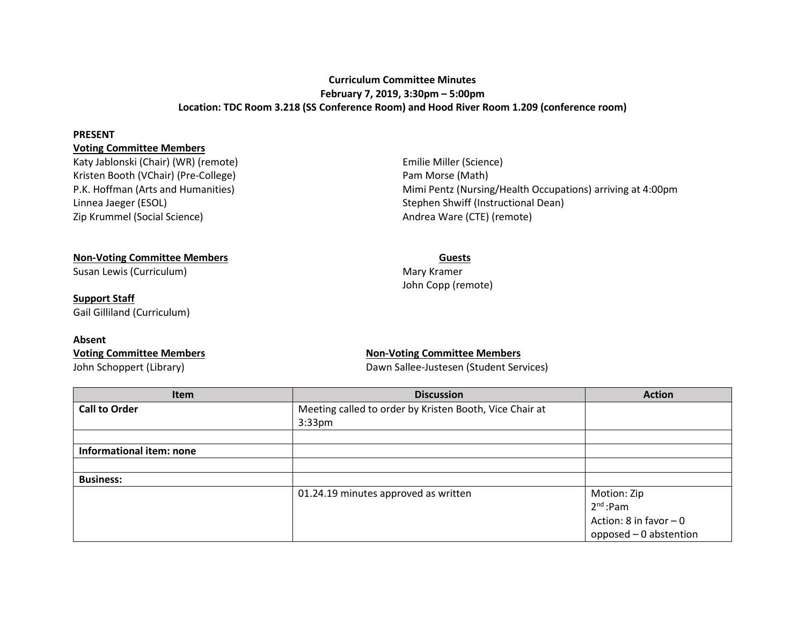#### **Curriculum Committee Minutes February 7, 2019, 3:30pm – 5:00pm Location: TDC Room 3.218 (SS Conference Room) and Hood River Room 1.209 (conference room)**

#### **PRESENT**

#### **Voting Committee Members**

Katy Jablonski (Chair) (WR) (remote) Emilie Miller (Science) Kristen Booth (VChair) (Pre-College) **Pam Morse (Math)** Pam Morse (Math) Linnea Jaeger (ESOL) Stephen Shwiff (Instructional Dean) Zip Krummel (Social Science) and a set of the Andrea Ware (CTE) (remote)

P.K. Hoffman (Arts and Humanities) Mimi Pentz (Nursing/Health Occupations) arriving at 4:00pm

#### **Non-Voting Committee Members Guests**

Susan Lewis (Curriculum) and the Curriculum of the Curriculum of the Mary Kramer

**Support Staff** Gail Gilliland (Curriculum)

#### **Absent**

# John Copp (remote)

#### **Voting Committee Members Non-Voting Committee Members** John Schoppert (Library) **Dawn Sallee-Justesen (Student Services**)

| <b>Item</b>              | <b>Discussion</b>                                       | <b>Action</b>           |
|--------------------------|---------------------------------------------------------|-------------------------|
| <b>Call to Order</b>     | Meeting called to order by Kristen Booth, Vice Chair at |                         |
|                          | $3:33$ pm                                               |                         |
|                          |                                                         |                         |
| Informational item: none |                                                         |                         |
|                          |                                                         |                         |
| <b>Business:</b>         |                                                         |                         |
|                          | 01.24.19 minutes approved as written                    | Motion: Zip             |
|                          |                                                         | $2nd$ :Pam              |
|                          |                                                         | Action: 8 in favor $-0$ |
|                          |                                                         | opposed - 0 abstention  |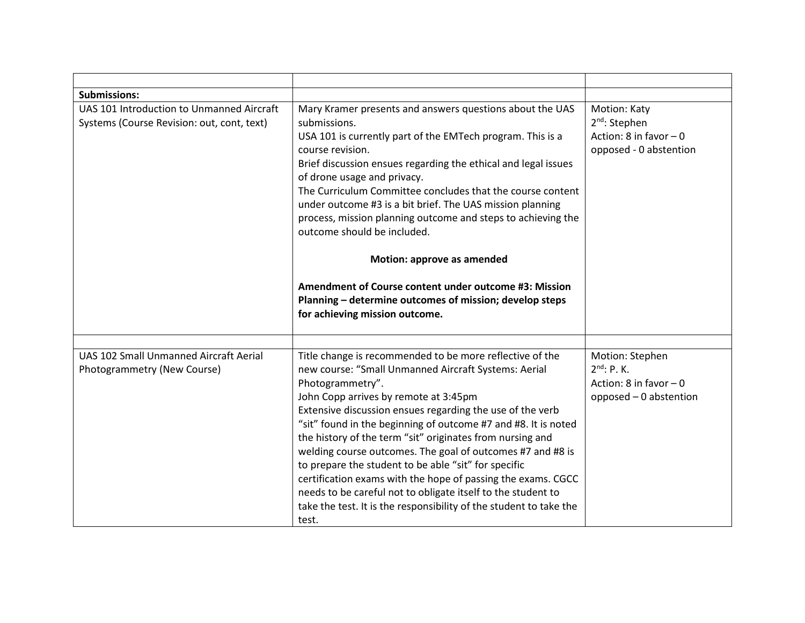| <b>Submissions:</b>                                                                                                                                                                                                                                                                                                                                                                                                                                                                                                                                                              |                                                                                                                                                                                                                                                                                                                                                                                                                                                                                                                                                                                                                                                                                                                |                                                                                          |
|----------------------------------------------------------------------------------------------------------------------------------------------------------------------------------------------------------------------------------------------------------------------------------------------------------------------------------------------------------------------------------------------------------------------------------------------------------------------------------------------------------------------------------------------------------------------------------|----------------------------------------------------------------------------------------------------------------------------------------------------------------------------------------------------------------------------------------------------------------------------------------------------------------------------------------------------------------------------------------------------------------------------------------------------------------------------------------------------------------------------------------------------------------------------------------------------------------------------------------------------------------------------------------------------------------|------------------------------------------------------------------------------------------|
| UAS 101 Introduction to Unmanned Aircraft<br>Mary Kramer presents and answers questions about the UAS<br>Systems (Course Revision: out, cont, text)<br>submissions.<br>USA 101 is currently part of the EMTech program. This is a<br>course revision.<br>Brief discussion ensues regarding the ethical and legal issues<br>of drone usage and privacy.<br>The Curriculum Committee concludes that the course content<br>under outcome #3 is a bit brief. The UAS mission planning<br>process, mission planning outcome and steps to achieving the<br>outcome should be included. |                                                                                                                                                                                                                                                                                                                                                                                                                                                                                                                                                                                                                                                                                                                | Motion: Katy<br>$2nd$ : Stephen<br>Action: 8 in favor $-0$<br>opposed - 0 abstention     |
|                                                                                                                                                                                                                                                                                                                                                                                                                                                                                                                                                                                  | Motion: approve as amended                                                                                                                                                                                                                                                                                                                                                                                                                                                                                                                                                                                                                                                                                     |                                                                                          |
|                                                                                                                                                                                                                                                                                                                                                                                                                                                                                                                                                                                  | Amendment of Course content under outcome #3: Mission<br>Planning - determine outcomes of mission; develop steps<br>for achieving mission outcome.                                                                                                                                                                                                                                                                                                                                                                                                                                                                                                                                                             |                                                                                          |
|                                                                                                                                                                                                                                                                                                                                                                                                                                                                                                                                                                                  |                                                                                                                                                                                                                                                                                                                                                                                                                                                                                                                                                                                                                                                                                                                |                                                                                          |
| <b>UAS 102 Small Unmanned Aircraft Aerial</b><br>Photogrammetry (New Course)                                                                                                                                                                                                                                                                                                                                                                                                                                                                                                     | Title change is recommended to be more reflective of the<br>new course: "Small Unmanned Aircraft Systems: Aerial<br>Photogrammetry".<br>John Copp arrives by remote at 3:45pm<br>Extensive discussion ensues regarding the use of the verb<br>"sit" found in the beginning of outcome #7 and #8. It is noted<br>the history of the term "sit" originates from nursing and<br>welding course outcomes. The goal of outcomes #7 and #8 is<br>to prepare the student to be able "sit" for specific<br>certification exams with the hope of passing the exams. CGCC<br>needs to be careful not to obligate itself to the student to<br>take the test. It is the responsibility of the student to take the<br>test. | Motion: Stephen<br>$2^{nd}$ : P. K.<br>Action: 8 in favor $-0$<br>opposed - 0 abstention |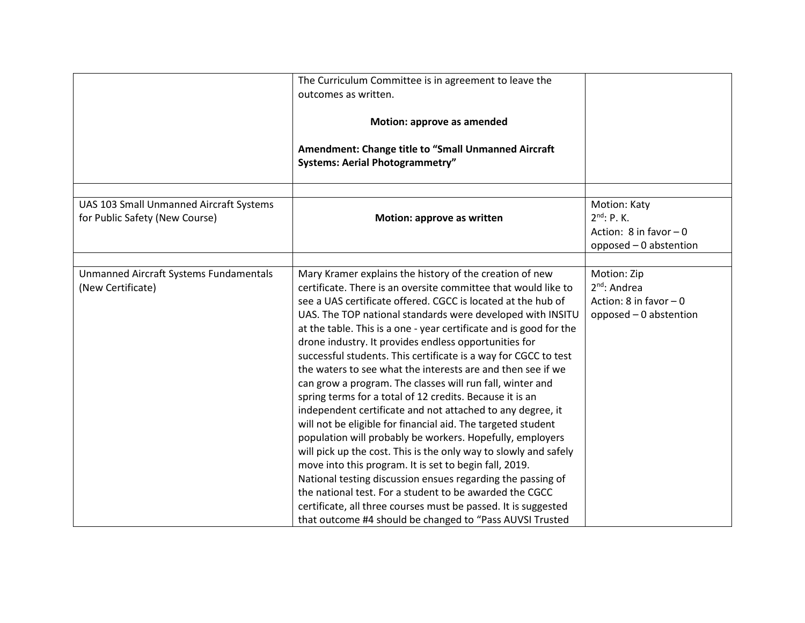|                                                                           | The Curriculum Committee is in agreement to leave the<br>outcomes as written.<br>Motion: approve as amended<br><b>Amendment: Change title to "Small Unmanned Aircraft</b><br><b>Systems: Aerial Photogrammetry"</b>                                                                                                                                                                                                                                                                                                                                                                                                                                                                                                                                                                                                                                                                                                                                                                                                                                                                                                                                                                                                                |                                                                                         |
|---------------------------------------------------------------------------|------------------------------------------------------------------------------------------------------------------------------------------------------------------------------------------------------------------------------------------------------------------------------------------------------------------------------------------------------------------------------------------------------------------------------------------------------------------------------------------------------------------------------------------------------------------------------------------------------------------------------------------------------------------------------------------------------------------------------------------------------------------------------------------------------------------------------------------------------------------------------------------------------------------------------------------------------------------------------------------------------------------------------------------------------------------------------------------------------------------------------------------------------------------------------------------------------------------------------------|-----------------------------------------------------------------------------------------|
| UAS 103 Small Unmanned Aircraft Systems<br>for Public Safety (New Course) | Motion: approve as written                                                                                                                                                                                                                                                                                                                                                                                                                                                                                                                                                                                                                                                                                                                                                                                                                                                                                                                                                                                                                                                                                                                                                                                                         | Motion: Katy<br>$2^{nd}$ : P. K.<br>Action: $8$ in favor $-0$<br>opposed - 0 abstention |
| Unmanned Aircraft Systems Fundamentals<br>(New Certificate)               | Mary Kramer explains the history of the creation of new<br>certificate. There is an oversite committee that would like to<br>see a UAS certificate offered. CGCC is located at the hub of<br>UAS. The TOP national standards were developed with INSITU<br>at the table. This is a one - year certificate and is good for the<br>drone industry. It provides endless opportunities for<br>successful students. This certificate is a way for CGCC to test<br>the waters to see what the interests are and then see if we<br>can grow a program. The classes will run fall, winter and<br>spring terms for a total of 12 credits. Because it is an<br>independent certificate and not attached to any degree, it<br>will not be eligible for financial aid. The targeted student<br>population will probably be workers. Hopefully, employers<br>will pick up the cost. This is the only way to slowly and safely<br>move into this program. It is set to begin fall, 2019.<br>National testing discussion ensues regarding the passing of<br>the national test. For a student to be awarded the CGCC<br>certificate, all three courses must be passed. It is suggested<br>that outcome #4 should be changed to "Pass AUVSI Trusted | Motion: Zip<br>$2nd$ : Andrea<br>Action: 8 in favor $-0$<br>opposed - 0 abstention      |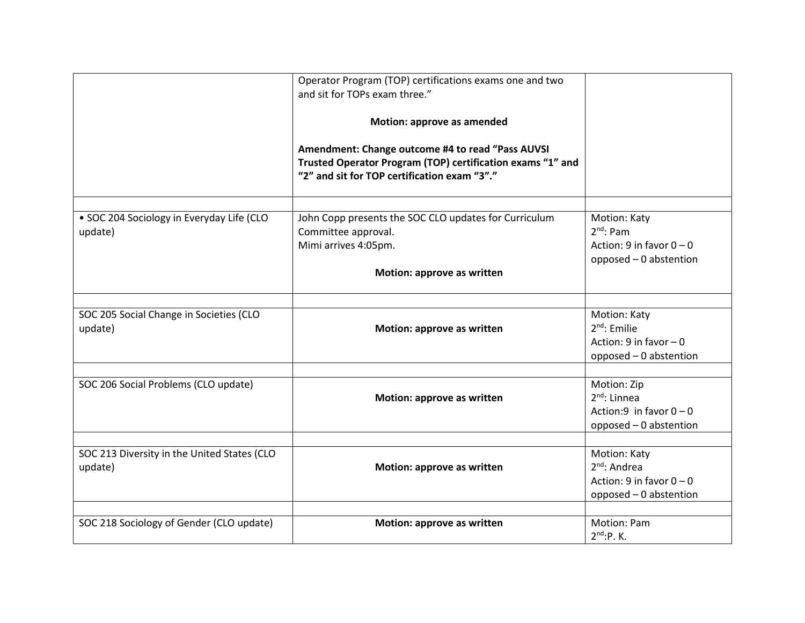|                                                      | Operator Program (TOP) certifications exams one and two<br>and sit for TOPs exam three."                   |                                                |
|------------------------------------------------------|------------------------------------------------------------------------------------------------------------|------------------------------------------------|
|                                                      |                                                                                                            |                                                |
|                                                      | Motion: approve as amended                                                                                 |                                                |
|                                                      | Amendment: Change outcome #4 to read "Pass AUVSI                                                           |                                                |
|                                                      | Trusted Operator Program (TOP) certification exams "1" and<br>"2" and sit for TOP certification exam "3"." |                                                |
|                                                      |                                                                                                            |                                                |
| · SOC 204 Sociology in Everyday Life (CLO<br>update) | John Copp presents the SOC CLO updates for Curriculum<br>Committee approval.                               | Motion: Katy<br>$2^{nd}$ : Pam                 |
|                                                      | Mimi arrives 4:05pm.                                                                                       | Action: 9 in favor $0 - 0$                     |
|                                                      |                                                                                                            | opposed - 0 abstention                         |
|                                                      | Motion: approve as written                                                                                 |                                                |
|                                                      |                                                                                                            |                                                |
| SOC 205 Social Change in Societies (CLO              |                                                                                                            | Motion: Katy                                   |
| update)                                              | Motion: approve as written                                                                                 | $2^{nd}$ : Emilie<br>Action: $9$ in favor $-0$ |
|                                                      |                                                                                                            | opposed - 0 abstention                         |
|                                                      |                                                                                                            |                                                |
| SOC 206 Social Problems (CLO update)                 |                                                                                                            | Motion: Zip                                    |
|                                                      | Motion: approve as written                                                                                 | $2^{nd}$ : Linnea                              |
|                                                      |                                                                                                            | Action:9 in favor $0 - 0$                      |
|                                                      |                                                                                                            | opposed - 0 abstention                         |
| SOC 213 Diversity in the United States (CLO          |                                                                                                            | Motion: Katy                                   |
| update)                                              | Motion: approve as written                                                                                 | $2nd$ : Andrea                                 |
|                                                      |                                                                                                            | Action: 9 in favor $0 - 0$                     |
|                                                      |                                                                                                            | opposed - 0 abstention                         |
| SOC 218 Sociology of Gender (CLO update)             | Motion: approve as written                                                                                 | Motion: Pam                                    |
|                                                      |                                                                                                            | $2^{nd}$ :P.K.                                 |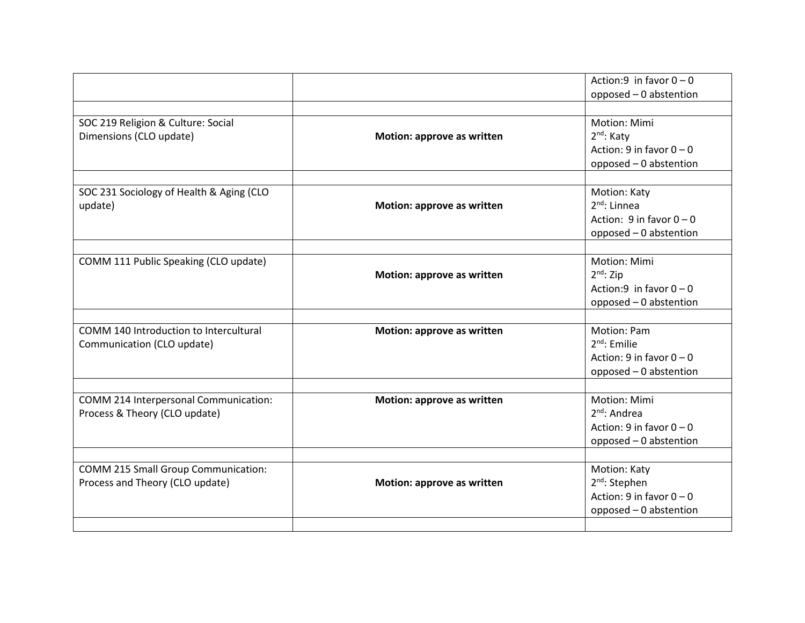|                                            |                            | Action:9 in favor $0 - 0$    |
|--------------------------------------------|----------------------------|------------------------------|
|                                            |                            | opposed - 0 abstention       |
|                                            |                            |                              |
| SOC 219 Religion & Culture: Social         |                            | Motion: Mimi                 |
| Dimensions (CLO update)                    | Motion: approve as written | 2 <sup>nd</sup> : Katy       |
|                                            |                            | Action: 9 in favor $0 - 0$   |
|                                            |                            | opposed - 0 abstention       |
|                                            |                            |                              |
| SOC 231 Sociology of Health & Aging (CLO   |                            | Motion: Katy                 |
| update)                                    | Motion: approve as written | $2nd$ : Linnea               |
|                                            |                            | Action: $9$ in favor $0 - 0$ |
|                                            |                            | opposed - 0 abstention       |
|                                            |                            |                              |
| COMM 111 Public Speaking (CLO update)      |                            | <b>Motion: Mimi</b>          |
|                                            | Motion: approve as written | $2nd$ : Zip                  |
|                                            |                            | Action:9 in favor $0 - 0$    |
|                                            |                            | opposed - 0 abstention       |
|                                            |                            |                              |
| COMM 140 Introduction to Intercultural     | Motion: approve as written | <b>Motion: Pam</b>           |
| Communication (CLO update)                 |                            | $2^{nd}$ : Emilie            |
|                                            |                            | Action: 9 in favor $0 - 0$   |
|                                            |                            | opposed - 0 abstention       |
|                                            |                            |                              |
| COMM 214 Interpersonal Communication:      | Motion: approve as written | Motion: Mimi                 |
| Process & Theory (CLO update)              |                            | 2 <sup>nd</sup> : Andrea     |
|                                            |                            | Action: 9 in favor $0 - 0$   |
|                                            |                            | opposed - 0 abstention       |
|                                            |                            |                              |
| <b>COMM 215 Small Group Communication:</b> |                            | Motion: Katy                 |
| Process and Theory (CLO update)            | Motion: approve as written | $2nd$ : Stephen              |
|                                            |                            | Action: 9 in favor $0 - 0$   |
|                                            |                            | opposed - 0 abstention       |
|                                            |                            |                              |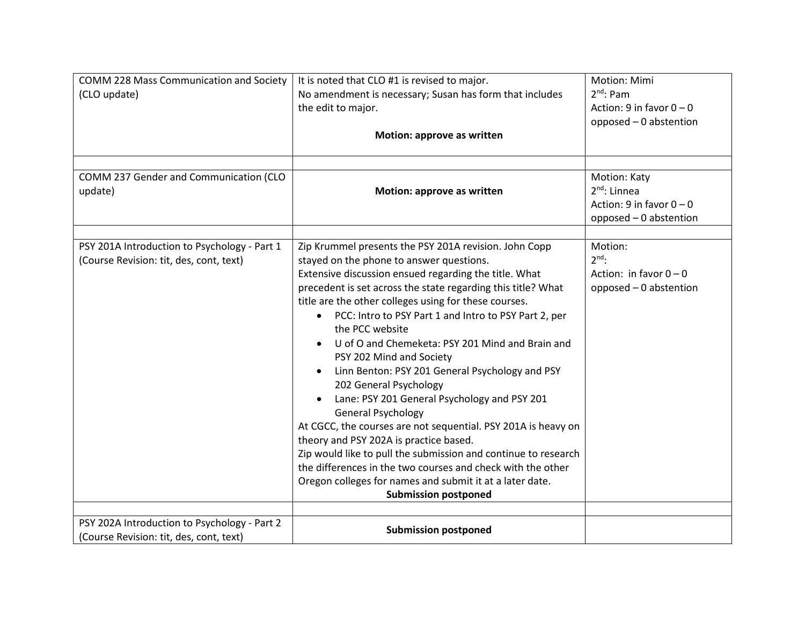| COMM 228 Mass Communication and Society<br>(CLO update)<br>COMM 237 Gender and Communication (CLO | It is noted that CLO #1 is revised to major.<br>No amendment is necessary; Susan has form that includes<br>the edit to major.<br>Motion: approve as written                                                                                                                                                                                                                                                                                                                                                                                                                                                                                                                                                                                                                                                                                                                                                                                                   | Motion: Mimi<br>$2^{nd}$ : Pam<br>Action: 9 in favor $0 - 0$<br>opposed - 0 abstention<br>Motion: Katy |
|---------------------------------------------------------------------------------------------------|---------------------------------------------------------------------------------------------------------------------------------------------------------------------------------------------------------------------------------------------------------------------------------------------------------------------------------------------------------------------------------------------------------------------------------------------------------------------------------------------------------------------------------------------------------------------------------------------------------------------------------------------------------------------------------------------------------------------------------------------------------------------------------------------------------------------------------------------------------------------------------------------------------------------------------------------------------------|--------------------------------------------------------------------------------------------------------|
| update)                                                                                           | Motion: approve as written                                                                                                                                                                                                                                                                                                                                                                                                                                                                                                                                                                                                                                                                                                                                                                                                                                                                                                                                    | $2nd$ : Linnea<br>Action: 9 in favor $0 - 0$<br>opposed - 0 abstention                                 |
| PSY 201A Introduction to Psychology - Part 1<br>(Course Revision: tit, des, cont, text)           | Zip Krummel presents the PSY 201A revision. John Copp<br>stayed on the phone to answer questions.<br>Extensive discussion ensued regarding the title. What<br>precedent is set across the state regarding this title? What<br>title are the other colleges using for these courses.<br>PCC: Intro to PSY Part 1 and Intro to PSY Part 2, per<br>$\bullet$<br>the PCC website<br>U of O and Chemeketa: PSY 201 Mind and Brain and<br>PSY 202 Mind and Society<br>Linn Benton: PSY 201 General Psychology and PSY<br>202 General Psychology<br>Lane: PSY 201 General Psychology and PSY 201<br><b>General Psychology</b><br>At CGCC, the courses are not sequential. PSY 201A is heavy on<br>theory and PSY 202A is practice based.<br>Zip would like to pull the submission and continue to research<br>the differences in the two courses and check with the other<br>Oregon colleges for names and submit it at a later date.<br><b>Submission postponed</b> | Motion:<br>$2^{nd}$ :<br>Action: in favor $0 - 0$<br>opposed - 0 abstention                            |
| PSY 202A Introduction to Psychology - Part 2<br>(Course Revision: tit, des, cont, text)           | <b>Submission postponed</b>                                                                                                                                                                                                                                                                                                                                                                                                                                                                                                                                                                                                                                                                                                                                                                                                                                                                                                                                   |                                                                                                        |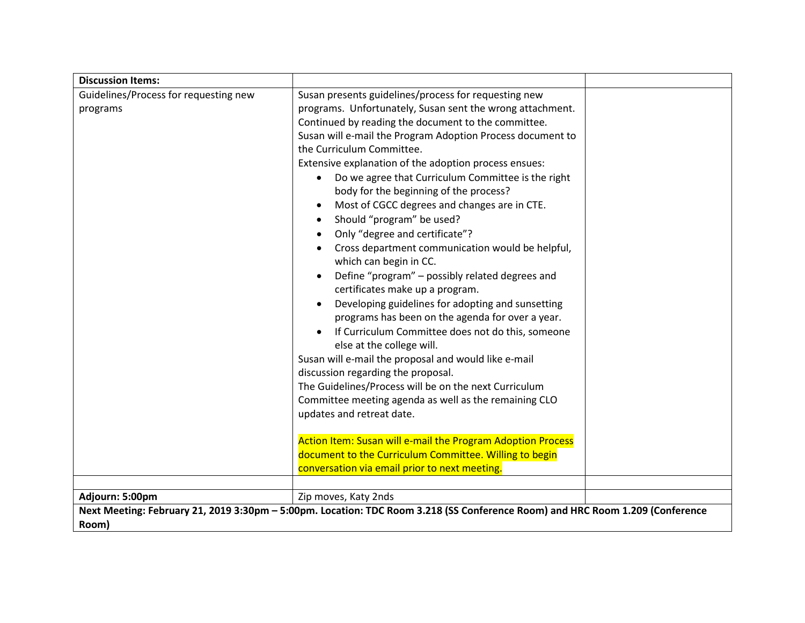| <b>Discussion Items:</b>              |                                                                                                                                                                                                                                                                                                                                                                                                                                                                                                                                                                                                                                                                                                                                                                                                                                                                                                                                                                                                                                                                                                 |
|---------------------------------------|-------------------------------------------------------------------------------------------------------------------------------------------------------------------------------------------------------------------------------------------------------------------------------------------------------------------------------------------------------------------------------------------------------------------------------------------------------------------------------------------------------------------------------------------------------------------------------------------------------------------------------------------------------------------------------------------------------------------------------------------------------------------------------------------------------------------------------------------------------------------------------------------------------------------------------------------------------------------------------------------------------------------------------------------------------------------------------------------------|
| Guidelines/Process for requesting new | Susan presents guidelines/process for requesting new                                                                                                                                                                                                                                                                                                                                                                                                                                                                                                                                                                                                                                                                                                                                                                                                                                                                                                                                                                                                                                            |
| programs                              | programs. Unfortunately, Susan sent the wrong attachment.<br>Continued by reading the document to the committee.<br>Susan will e-mail the Program Adoption Process document to<br>the Curriculum Committee.<br>Extensive explanation of the adoption process ensues:<br>Do we agree that Curriculum Committee is the right<br>body for the beginning of the process?<br>Most of CGCC degrees and changes are in CTE.<br>Should "program" be used?<br>Only "degree and certificate"?<br>Cross department communication would be helpful,<br>which can begin in CC.<br>Define "program" - possibly related degrees and<br>certificates make up a program.<br>Developing guidelines for adopting and sunsetting<br>programs has been on the agenda for over a year.<br>If Curriculum Committee does not do this, someone<br>else at the college will.<br>Susan will e-mail the proposal and would like e-mail<br>discussion regarding the proposal.<br>The Guidelines/Process will be on the next Curriculum<br>Committee meeting agenda as well as the remaining CLO<br>updates and retreat date. |
|                                       | Action Item: Susan will e-mail the Program Adoption Process<br>document to the Curriculum Committee. Willing to begin<br>conversation via email prior to next meeting.                                                                                                                                                                                                                                                                                                                                                                                                                                                                                                                                                                                                                                                                                                                                                                                                                                                                                                                          |
|                                       |                                                                                                                                                                                                                                                                                                                                                                                                                                                                                                                                                                                                                                                                                                                                                                                                                                                                                                                                                                                                                                                                                                 |
| Adjourn: 5:00pm                       | Zip moves, Katy 2nds                                                                                                                                                                                                                                                                                                                                                                                                                                                                                                                                                                                                                                                                                                                                                                                                                                                                                                                                                                                                                                                                            |
| Room)                                 | Next Meeting: February 21, 2019 3:30pm - 5:00pm. Location: TDC Room 3.218 (SS Conference Room) and HRC Room 1.209 (Conference                                                                                                                                                                                                                                                                                                                                                                                                                                                                                                                                                                                                                                                                                                                                                                                                                                                                                                                                                                   |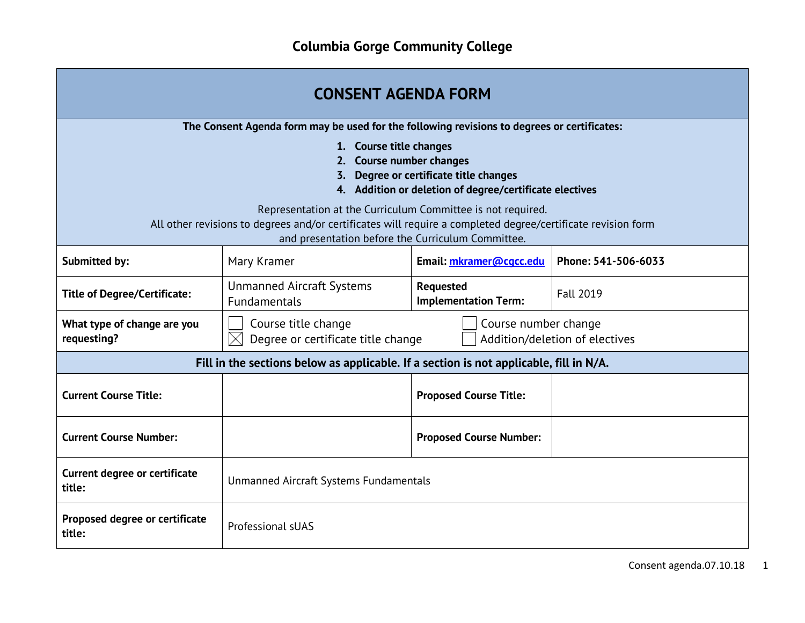| <b>CONSENT AGENDA FORM</b>                                                                                                                                                                                                                                                    |                                                                                                                                 |                                                 |                     |
|-------------------------------------------------------------------------------------------------------------------------------------------------------------------------------------------------------------------------------------------------------------------------------|---------------------------------------------------------------------------------------------------------------------------------|-------------------------------------------------|---------------------|
| The Consent Agenda form may be used for the following revisions to degrees or certificates:<br>1. Course title changes<br><b>Course number changes</b><br>2.                                                                                                                  |                                                                                                                                 |                                                 |                     |
| Degree or certificate title changes<br>4. Addition or deletion of degree/certificate electives<br>Representation at the Curriculum Committee is not required.<br>All other revisions to degrees and/or certificates will require a completed degree/certificate revision form |                                                                                                                                 |                                                 |                     |
| and presentation before the Curriculum Committee.                                                                                                                                                                                                                             |                                                                                                                                 |                                                 |                     |
| Submitted by:                                                                                                                                                                                                                                                                 | Mary Kramer                                                                                                                     | Email: mkramer@cgcc.edu                         | Phone: 541-506-6033 |
| <b>Title of Degree/Certificate:</b>                                                                                                                                                                                                                                           | <b>Unmanned Aircraft Systems</b><br><b>Fundamentals</b>                                                                         | <b>Requested</b><br><b>Implementation Term:</b> | <b>Fall 2019</b>    |
| What type of change are you<br>requesting?                                                                                                                                                                                                                                    | Course title change<br>Course number change<br>Degree or certificate title change<br>$\times$<br>Addition/deletion of electives |                                                 |                     |
|                                                                                                                                                                                                                                                                               | Fill in the sections below as applicable. If a section is not applicable, fill in N/A.                                          |                                                 |                     |
| <b>Current Course Title:</b>                                                                                                                                                                                                                                                  |                                                                                                                                 | <b>Proposed Course Title:</b>                   |                     |
| <b>Current Course Number:</b>                                                                                                                                                                                                                                                 | <b>Proposed Course Number:</b>                                                                                                  |                                                 |                     |
| <b>Current degree or certificate</b><br>title:                                                                                                                                                                                                                                | Unmanned Aircraft Systems Fundamentals                                                                                          |                                                 |                     |
| Proposed degree or certificate<br>title:                                                                                                                                                                                                                                      | Professional sUAS                                                                                                               |                                                 |                     |

÷,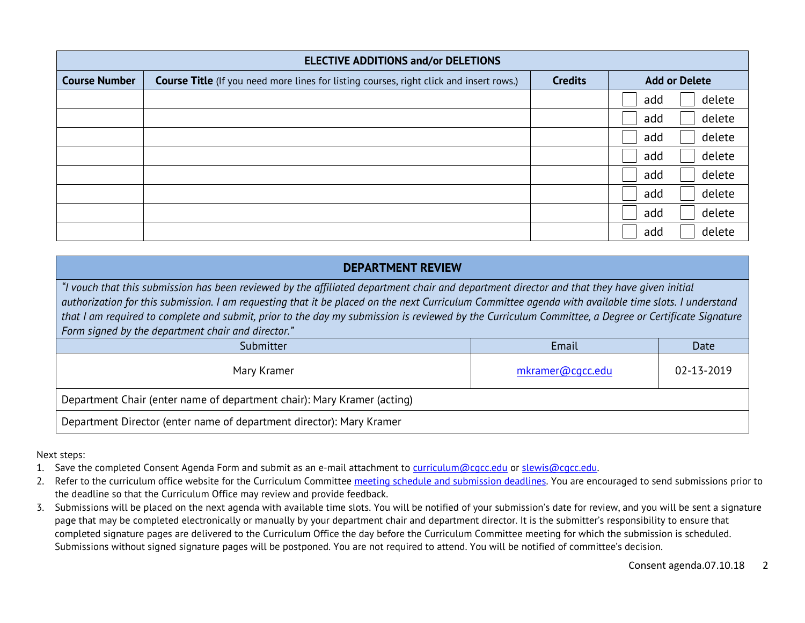| <b>ELECTIVE ADDITIONS and/or DELETIONS</b> |                                                                                                |                |                      |
|--------------------------------------------|------------------------------------------------------------------------------------------------|----------------|----------------------|
| <b>Course Number</b>                       | <b>Course Title</b> (If you need more lines for listing courses, right click and insert rows.) | <b>Credits</b> | <b>Add or Delete</b> |
|                                            |                                                                                                |                | delete<br>add        |
|                                            |                                                                                                |                | delete<br>add        |
|                                            |                                                                                                |                | delete<br>add        |
|                                            |                                                                                                |                | delete<br>add        |
|                                            |                                                                                                |                | delete<br>add        |
|                                            |                                                                                                |                | delete<br>add        |
|                                            |                                                                                                |                | delete<br>add        |
|                                            |                                                                                                |                | delete<br>add        |

#### **DEPARTMENT REVIEW**

*"I vouch that this submission has been reviewed by the affiliated department chair and department director and that they have given initial authorization for this submission. I am requesting that it be placed on the next Curriculum Committee agenda with available time slots. I understand that I am required to complete and submit, prior to the day my submission is reviewed by the Curriculum Committee, a Degree or Certificate Signature Form signed by the department chair and director."*

| Submitter                                                               | Email            | Date       |  |
|-------------------------------------------------------------------------|------------------|------------|--|
| Mary Kramer                                                             | mkramer@cgcc.edu | 02-13-2019 |  |
| Department Chair (enter name of department chair): Mary Kramer (acting) |                  |            |  |
| Department Director (enter name of department director): Mary Kramer    |                  |            |  |

Next steps:

- 1. Save the completed Consent Agenda Form and submit as an e-mail attachment to [curriculum@cgcc.edu](mailto:curriculum@cgcc.edu) or [slewis@cgcc.edu.](mailto:slewis@cgcc.edu)
- 2. Refer to the curriculum office website for the Curriculum Committee [meeting schedule and submission deadlines.](https://www.cgcc.edu/curriculum/committee) You are encouraged to send submissions prior to the deadline so that the Curriculum Office may review and provide feedback.
- 3. Submissions will be placed on the next agenda with available time slots. You will be notified of your submission's date for review, and you will be sent a signature page that may be completed electronically or manually by your department chair and department director. It is the submitter's responsibility to ensure that completed signature pages are delivered to the Curriculum Office the day before the Curriculum Committee meeting for which the submission is scheduled. Submissions without signed signature pages will be postponed. You are not required to attend. You will be notified of committee's decision.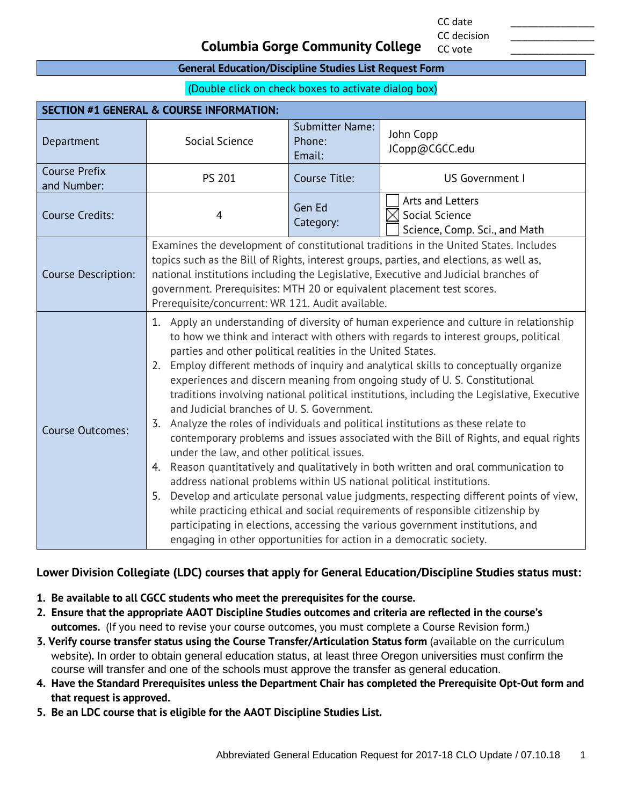CC date \_\_\_\_\_\_\_\_\_\_\_\_\_\_\_

CC vote

#### **Columbia Gorge Community College**

#### **General Education/Discipline Studies List Request Form**

(Double click on check boxes to activate dialog box)

| <b>SECTION #1 GENERAL &amp; COURSE INFORMATION:</b> |                                                                                                                                                                                                                                                                                                                                                                                                                                                                                                                                                                                                                                                                                                                                                                                                                                                                                                                                                                                                                                                                                                                                                                                                                                  |                                            |                                                                     |  |
|-----------------------------------------------------|----------------------------------------------------------------------------------------------------------------------------------------------------------------------------------------------------------------------------------------------------------------------------------------------------------------------------------------------------------------------------------------------------------------------------------------------------------------------------------------------------------------------------------------------------------------------------------------------------------------------------------------------------------------------------------------------------------------------------------------------------------------------------------------------------------------------------------------------------------------------------------------------------------------------------------------------------------------------------------------------------------------------------------------------------------------------------------------------------------------------------------------------------------------------------------------------------------------------------------|--------------------------------------------|---------------------------------------------------------------------|--|
| Department                                          | Social Science                                                                                                                                                                                                                                                                                                                                                                                                                                                                                                                                                                                                                                                                                                                                                                                                                                                                                                                                                                                                                                                                                                                                                                                                                   | <b>Submitter Name:</b><br>Phone:<br>Email: | John Copp<br>JCopp@CGCC.edu                                         |  |
| <b>Course Prefix</b><br>and Number:                 | <b>PS 201</b>                                                                                                                                                                                                                                                                                                                                                                                                                                                                                                                                                                                                                                                                                                                                                                                                                                                                                                                                                                                                                                                                                                                                                                                                                    | Course Title:                              | US Government I                                                     |  |
| <b>Course Credits:</b>                              | $\overline{4}$                                                                                                                                                                                                                                                                                                                                                                                                                                                                                                                                                                                                                                                                                                                                                                                                                                                                                                                                                                                                                                                                                                                                                                                                                   | Gen Ed<br>Category:                        | Arts and Letters<br>Social Science<br>Science, Comp. Sci., and Math |  |
| Course Description:                                 | Examines the development of constitutional traditions in the United States. Includes<br>topics such as the Bill of Rights, interest groups, parties, and elections, as well as,<br>national institutions including the Legislative, Executive and Judicial branches of<br>government. Prerequisites: MTH 20 or equivalent placement test scores.<br>Prerequisite/concurrent: WR 121. Audit available.                                                                                                                                                                                                                                                                                                                                                                                                                                                                                                                                                                                                                                                                                                                                                                                                                            |                                            |                                                                     |  |
| <b>Course Outcomes:</b>                             | 1. Apply an understanding of diversity of human experience and culture in relationship<br>to how we think and interact with others with regards to interest groups, political<br>parties and other political realities in the United States.<br>2. Employ different methods of inquiry and analytical skills to conceptually organize<br>experiences and discern meaning from ongoing study of U.S. Constitutional<br>traditions involving national political institutions, including the Legislative, Executive<br>and Judicial branches of U. S. Government.<br>3. Analyze the roles of individuals and political institutions as these relate to<br>contemporary problems and issues associated with the Bill of Rights, and equal rights<br>under the law, and other political issues.<br>Reason quantitatively and qualitatively in both written and oral communication to<br>4.<br>address national problems within US national political institutions.<br>Develop and articulate personal value judgments, respecting different points of view,<br>5.<br>while practicing ethical and social requirements of responsible citizenship by<br>participating in elections, accessing the various government institutions, and |                                            |                                                                     |  |

#### **Lower Division Collegiate (LDC) courses that apply for General Education/Discipline Studies status must:**

- **1. Be available to all CGCC students who meet the prerequisites for the course.**
- **2. Ensure that the appropriate AAOT Discipline Studies outcomes and criteria are reflected in the course's outcomes.** (If you need to revise your course outcomes, you must complete a Course Revision form.)
- **3. Verify course transfer status using the Course Transfer/Articulation Status form** (available on the curriculum website)**.** In order to obtain general education status, at least three Oregon universities must confirm the course will transfer and one of the schools must approve the transfer as general education.
- **4. Have the Standard Prerequisites unless the Department Chair has completed the Prerequisite Opt-Out form and that request is approved.**
- **5. Be an LDC course that is eligible for the AAOT Discipline Studies List.**

CC decision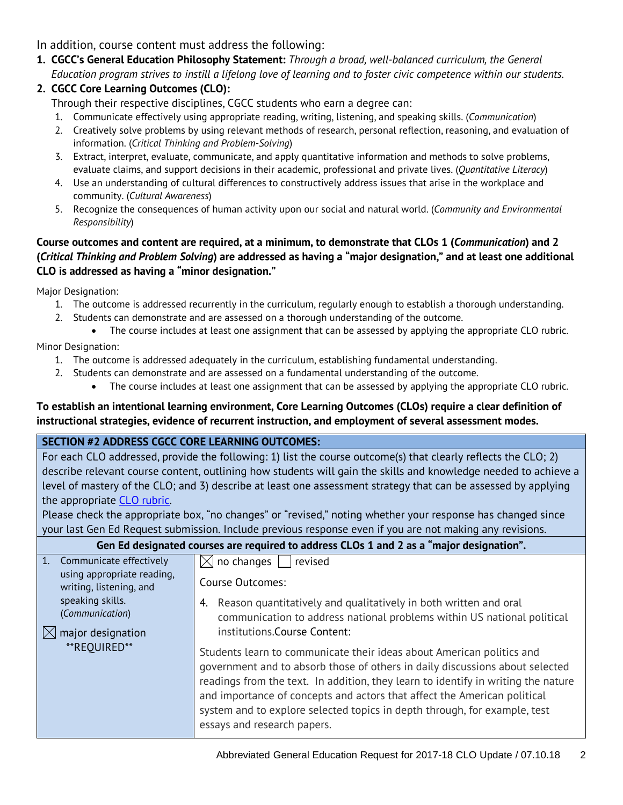In addition, course content must address the following:

**1. CGCC's General Education Philosophy Statement:** *Through a broad, well-balanced curriculum, the General Education program strives to instill a lifelong love of learning and to foster civic competence within our students.*

### **2. CGCC Core Learning Outcomes (CLO):**

Through their respective disciplines, CGCC students who earn a degree can:

- 1. Communicate effectively using appropriate reading, writing, listening, and speaking skills. (*Communication*)
- 2. Creatively solve problems by using relevant methods of research, personal reflection, reasoning, and evaluation of information. (*Critical Thinking and Problem-Solving*)
- 3. Extract, interpret, evaluate, communicate, and apply quantitative information and methods to solve problems, evaluate claims, and support decisions in their academic, professional and private lives. (*Quantitative Literacy*)
- 4. Use an understanding of cultural differences to constructively address issues that arise in the workplace and community. (*Cultural Awareness*)
- 5. Recognize the consequences of human activity upon our social and natural world. (*Community and Environmental Responsibility*)

#### **Course outcomes and content are required, at a minimum, to demonstrate that CLOs 1 (***Communication***) and 2 (***Critical Thinking and Problem Solving***) are addressed as having a "major designation," and at least one additional CLO is addressed as having a "minor designation."**

Major Designation:

- 1. The outcome is addressed recurrently in the curriculum, regularly enough to establish a thorough understanding.
- 2. Students can demonstrate and are assessed on a thorough understanding of the outcome.
	- The course includes at least one assignment that can be assessed by applying the appropriate CLO rubric.

Minor Designation:

- 1. The outcome is addressed adequately in the curriculum, establishing fundamental understanding.
- 2. Students can demonstrate and are assessed on a fundamental understanding of the outcome.
	- The course includes at least one assignment that can be assessed by applying the appropriate CLO rubric.

#### **To establish an intentional learning environment, Core Learning Outcomes (CLOs) require a clear definition of instructional strategies, evidence of recurrent instruction, and employment of several assessment modes.**

### **SECTION #2 ADDRESS CGCC CORE LEARNING OUTCOMES:**

For each CLO addressed, provide the following: 1) list the course outcome(s) that clearly reflects the CLO; 2) describe relevant course content, outlining how students will gain the skills and knowledge needed to achieve a level of mastery of the CLO; and 3) describe at least one assessment strategy that can be assessed by applying the appropriate [CLO rubric.](http://www.cgcc.edu/institutional-assessment/institutional-core-learning-outcomes-assessment)

Please check the appropriate box, "no changes" or "revised," noting whether your response has changed since your last Gen Ed Request submission. Include previous response even if you are not making any revisions.

| Gen Ed designated courses are required to address CLOs 1 and 2 as a "major designation".                                                                                       |                                                                                                                                                                                                                                                                                                                                                                                                                                                                                                                                                                             |  |  |  |
|--------------------------------------------------------------------------------------------------------------------------------------------------------------------------------|-----------------------------------------------------------------------------------------------------------------------------------------------------------------------------------------------------------------------------------------------------------------------------------------------------------------------------------------------------------------------------------------------------------------------------------------------------------------------------------------------------------------------------------------------------------------------------|--|--|--|
| 1. Communicate effectively<br>using appropriate reading,<br>writing, listening, and<br>speaking skills.<br>(Communication)<br>major designation<br>$\boxtimes$<br>**REOUIRED** | $\boxtimes$ no changes  <br>    revised<br>Course Outcomes:<br>Reason quantitatively and qualitatively in both written and oral<br>4.<br>communication to address national problems within US national political<br>institutions. Course Content:<br>Students learn to communicate their ideas about American politics and<br>government and to absorb those of others in daily discussions about selected<br>readings from the text. In addition, they learn to identify in writing the nature<br>and importance of concepts and actors that affect the American political |  |  |  |
|                                                                                                                                                                                | system and to explore selected topics in depth through, for example, test<br>essays and research papers.                                                                                                                                                                                                                                                                                                                                                                                                                                                                    |  |  |  |
|                                                                                                                                                                                |                                                                                                                                                                                                                                                                                                                                                                                                                                                                                                                                                                             |  |  |  |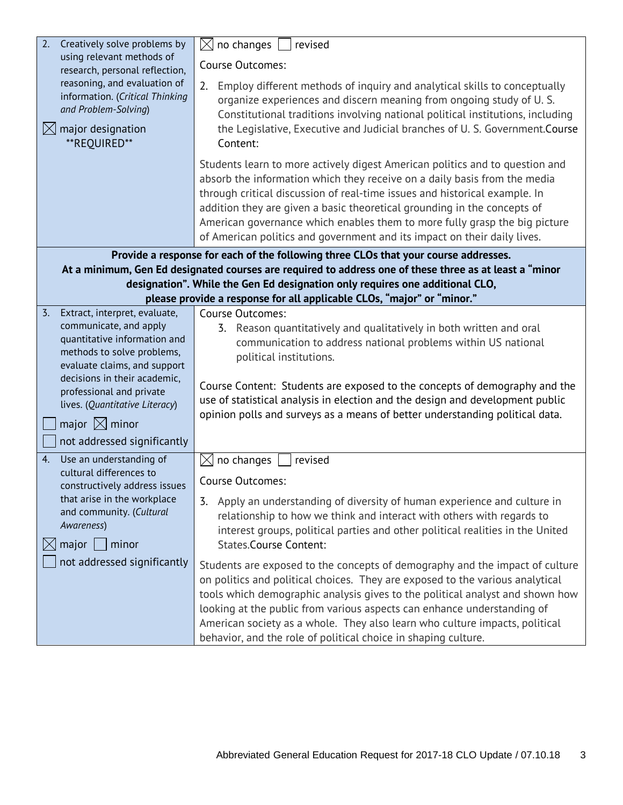|                                                                                                                                                                                                         | Creatively solve problems by<br>2.                         | no changes<br>$\times$<br>revised                                                                                                                                                                                                                                                                                                                                                                                                                                             |  |  |  |
|---------------------------------------------------------------------------------------------------------------------------------------------------------------------------------------------------------|------------------------------------------------------------|-------------------------------------------------------------------------------------------------------------------------------------------------------------------------------------------------------------------------------------------------------------------------------------------------------------------------------------------------------------------------------------------------------------------------------------------------------------------------------|--|--|--|
| using relevant methods of<br>research, personal reflection,<br>reasoning, and evaluation of<br>information. (Critical Thinking<br>and Problem-Solving)<br>$\boxtimes$ major designation<br>**REQUIRED** |                                                            | <b>Course Outcomes:</b>                                                                                                                                                                                                                                                                                                                                                                                                                                                       |  |  |  |
|                                                                                                                                                                                                         |                                                            | Employ different methods of inquiry and analytical skills to conceptually<br>2.<br>organize experiences and discern meaning from ongoing study of U.S.<br>Constitutional traditions involving national political institutions, including<br>the Legislative, Executive and Judicial branches of U.S. Government.Course<br>Content:                                                                                                                                            |  |  |  |
|                                                                                                                                                                                                         |                                                            | Students learn to more actively digest American politics and to question and<br>absorb the information which they receive on a daily basis from the media<br>through critical discussion of real-time issues and historical example. In<br>addition they are given a basic theoretical grounding in the concepts of<br>American governance which enables them to more fully grasp the big picture<br>of American politics and government and its impact on their daily lives. |  |  |  |
|                                                                                                                                                                                                         |                                                            | Provide a response for each of the following three CLOs that your course addresses.                                                                                                                                                                                                                                                                                                                                                                                           |  |  |  |
|                                                                                                                                                                                                         |                                                            | At a minimum, Gen Ed designated courses are required to address one of these three as at least a "minor<br>designation". While the Gen Ed designation only requires one additional CLO,                                                                                                                                                                                                                                                                                       |  |  |  |
|                                                                                                                                                                                                         |                                                            | please provide a response for all applicable CLOs, "major" or "minor."                                                                                                                                                                                                                                                                                                                                                                                                        |  |  |  |
|                                                                                                                                                                                                         | $\overline{3}$ .<br>Extract, interpret, evaluate,          | <b>Course Outcomes:</b>                                                                                                                                                                                                                                                                                                                                                                                                                                                       |  |  |  |
|                                                                                                                                                                                                         | communicate, and apply                                     | 3. Reason quantitatively and qualitatively in both written and oral                                                                                                                                                                                                                                                                                                                                                                                                           |  |  |  |
|                                                                                                                                                                                                         | quantitative information and<br>methods to solve problems, | communication to address national problems within US national                                                                                                                                                                                                                                                                                                                                                                                                                 |  |  |  |
|                                                                                                                                                                                                         | evaluate claims, and support                               | political institutions.                                                                                                                                                                                                                                                                                                                                                                                                                                                       |  |  |  |
|                                                                                                                                                                                                         | decisions in their academic,                               | Course Content: Students are exposed to the concepts of demography and the                                                                                                                                                                                                                                                                                                                                                                                                    |  |  |  |
|                                                                                                                                                                                                         | professional and private                                   | use of statistical analysis in election and the design and development public                                                                                                                                                                                                                                                                                                                                                                                                 |  |  |  |
|                                                                                                                                                                                                         | lives. (Quantitative Literacy)                             | opinion polls and surveys as a means of better understanding political data.                                                                                                                                                                                                                                                                                                                                                                                                  |  |  |  |
|                                                                                                                                                                                                         | major $\boxtimes$ minor                                    |                                                                                                                                                                                                                                                                                                                                                                                                                                                                               |  |  |  |
|                                                                                                                                                                                                         | not addressed significantly                                |                                                                                                                                                                                                                                                                                                                                                                                                                                                                               |  |  |  |
|                                                                                                                                                                                                         | Use an understanding of<br>4.<br>cultural differences to   | no changes<br>revised<br>IХ                                                                                                                                                                                                                                                                                                                                                                                                                                                   |  |  |  |
|                                                                                                                                                                                                         | constructively address issues                              | <b>Course Outcomes:</b>                                                                                                                                                                                                                                                                                                                                                                                                                                                       |  |  |  |
| that arise in the workplace<br>and community. (Cultural<br>Awareness)<br>$mid$   minor                                                                                                                  |                                                            | 3. Apply an understanding of diversity of human experience and culture in<br>relationship to how we think and interact with others with regards to<br>interest groups, political parties and other political realities in the United<br><b>States.Course Content:</b>                                                                                                                                                                                                         |  |  |  |
|                                                                                                                                                                                                         | not addressed significantly                                | Students are exposed to the concepts of demography and the impact of culture<br>on politics and political choices. They are exposed to the various analytical<br>tools which demographic analysis gives to the political analyst and shown how<br>looking at the public from various aspects can enhance understanding of<br>American society as a whole. They also learn who culture impacts, political<br>behavior, and the role of political choice in shaping culture.    |  |  |  |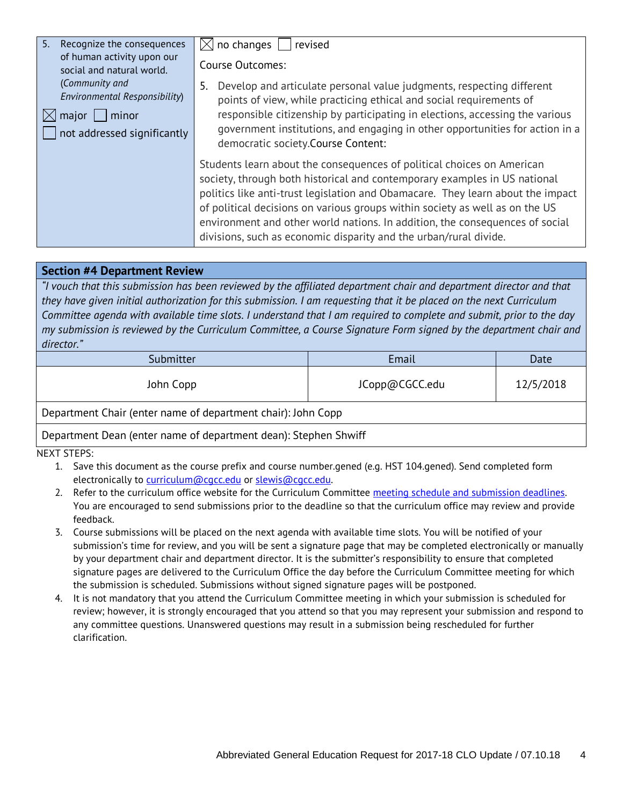| 5.<br>Recognize the consequences<br>of human activity upon our | $\boxtimes$ no changes  <br>revised                                                                                                                                                                                                                                                                                                                                                                                                                                         |  |
|----------------------------------------------------------------|-----------------------------------------------------------------------------------------------------------------------------------------------------------------------------------------------------------------------------------------------------------------------------------------------------------------------------------------------------------------------------------------------------------------------------------------------------------------------------|--|
| social and natural world.                                      | <b>Course Outcomes:</b>                                                                                                                                                                                                                                                                                                                                                                                                                                                     |  |
| (Community and<br>Environmental Responsibility)                | Develop and articulate personal value judgments, respecting different<br>5.<br>points of view, while practicing ethical and social requirements of                                                                                                                                                                                                                                                                                                                          |  |
| $\mid$ major $\mid$ $\mid$ minor<br>$\boxtimes$                | responsible citizenship by participating in elections, accessing the various                                                                                                                                                                                                                                                                                                                                                                                                |  |
| not addressed significantly                                    | government institutions, and engaging in other opportunities for action in a<br>democratic society.Course Content:                                                                                                                                                                                                                                                                                                                                                          |  |
|                                                                | Students learn about the consequences of political choices on American<br>society, through both historical and contemporary examples in US national<br>politics like anti-trust legislation and Obamacare. They learn about the impact<br>of political decisions on various groups within society as well as on the US<br>environment and other world nations. In addition, the consequences of social<br>divisions, such as economic disparity and the urban/rural divide. |  |

#### **Section #4 Department Review**

*"I vouch that this submission has been reviewed by the affiliated department chair and department director and that they have given initial authorization for this submission. I am requesting that it be placed on the next Curriculum Committee agenda with available time slots. I understand that I am required to complete and submit, prior to the day my submission is reviewed by the Curriculum Committee, a Course Signature Form signed by the department chair and director."*

| Submitter                                                    | Email          | Date      |  |
|--------------------------------------------------------------|----------------|-----------|--|
| John Copp                                                    | JCopp@CGCC.edu | 12/5/2018 |  |
| Department Chair (enter name of department chair): John Copp |                |           |  |

#### Department Dean (enter name of department dean): Stephen Shwiff

NEXT STEPS:

- 1. Save this document as the course prefix and course number.gened (e.g. HST 104.gened). Send completed form electronically to [curriculum@cgcc.edu](mailto:curriculum@cgcc.edu) or [slewis@cgcc.edu.](mailto:slewis@cgcc.edu)
- 2. Refer to the curriculum office website for the Curriculum Committee [meeting schedule and submission deadlines.](https://www.cgcc.edu/curriculum/committee)  You are encouraged to send submissions prior to the deadline so that the curriculum office may review and provide feedback.
- 3. Course submissions will be placed on the next agenda with available time slots. You will be notified of your submission's time for review, and you will be sent a signature page that may be completed electronically or manually by your department chair and department director. It is the submitter's responsibility to ensure that completed signature pages are delivered to the Curriculum Office the day before the Curriculum Committee meeting for which the submission is scheduled. Submissions without signed signature pages will be postponed.
- 4. It is not mandatory that you attend the Curriculum Committee meeting in which your submission is scheduled for review; however, it is strongly encouraged that you attend so that you may represent your submission and respond to any committee questions. Unanswered questions may result in a submission being rescheduled for further clarification.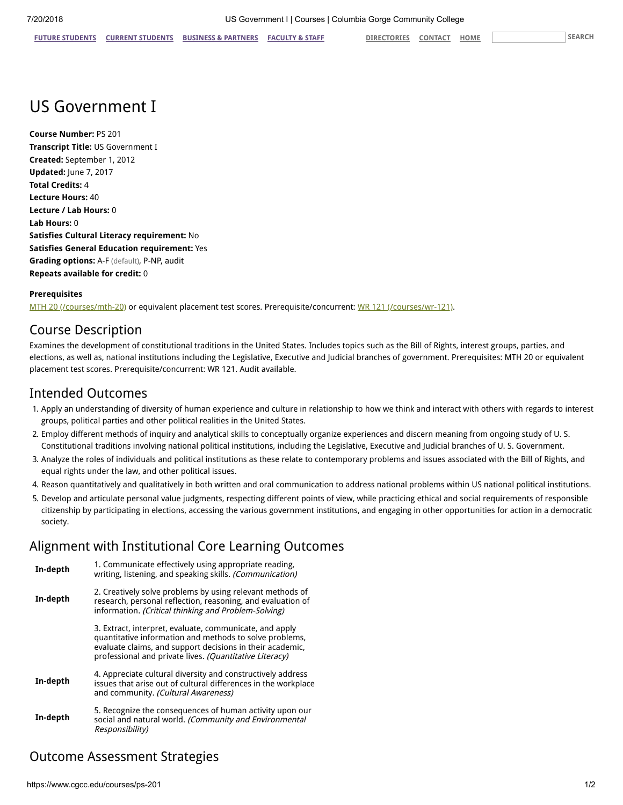## US Government I

**Course Number:** PS 201 **Transcript Title:** US Government I **Created:** September 1, 2012 **Updated:** June 7, 2017 **Total Credits:** 4 **Lecture Hours:** 40 **Lecture / Lab Hours:** 0 **Lab Hours:** 0 **Satisfies Cultural Literacy requirement:** No **Satisfies General Education requirement:** Yes **Grading options:** A-F (default), P-NP, audit **Repeats available for credit:** 0

#### **Prerequisites**

[MTH 20 \(/courses/mth-20\)](https://www.cgcc.edu/courses/mth-20) or equivalent placement test scores. Prerequisite/concurrent: [WR 121 \(/courses/wr-121\)](https://www.cgcc.edu/courses/wr-121).

### Course Description

Examines the development of constitutional traditions in the United States. Includes topics such as the Bill of Rights, interest groups, parties, and elections, as well as, national institutions including the Legislative, Executive and Judicial branches of government. Prerequisites: MTH 20 or equivalent placement test scores. Prerequisite/concurrent: WR 121. Audit available.

### Intended Outcomes

- 1. Apply an understanding of diversity of human experience and culture in relationship to how we think and interact with others with regards to interest groups, political parties and other political realities in the United States.
- 2. Employ different methods of inquiry and analytical skills to conceptually organize experiences and discern meaning from ongoing study of U. S. Constitutional traditions involving national political institutions, including the Legislative, Executive and Judicial branches of U. S. Government.
- 3. Analyze the roles of individuals and political institutions as these relate to contemporary problems and issues associated with the Bill of Rights, and equal rights under the law, and other political issues.
- 4. Reason quantitatively and qualitatively in both written and oral communication to address national problems within US national political institutions.
- 5. Develop and articulate personal value judgments, respecting different points of view, while practicing ethical and social requirements of responsible citizenship by participating in elections, accessing the various government institutions, and engaging in other opportunities for action in a democratic society.

#### Alignment with Institutional Core Learning Outcomes

| In-depth | 1. Communicate effectively using appropriate reading,<br>writing, listening, and speaking skills. (Communication)                                                                                                                          |  |
|----------|--------------------------------------------------------------------------------------------------------------------------------------------------------------------------------------------------------------------------------------------|--|
| In-depth | 2. Creatively solve problems by using relevant methods of<br>research, personal reflection, reasoning, and evaluation of<br>information. (Critical thinking and Problem-Solving)                                                           |  |
|          | 3. Extract, interpret, evaluate, communicate, and apply<br>quantitative information and methods to solve problems,<br>evaluate claims, and support decisions in their academic,<br>professional and private lives. (Quantitative Literacy) |  |
| In-depth | 4. Appreciate cultural diversity and constructively address<br>issues that arise out of cultural differences in the workplace<br>and community. (Cultural Awareness)                                                                       |  |
| In-depth | 5. Recognize the consequences of human activity upon our<br>social and natural world. (Community and Environmental<br>Responsibility)                                                                                                      |  |

### Outcome Assessment Strategies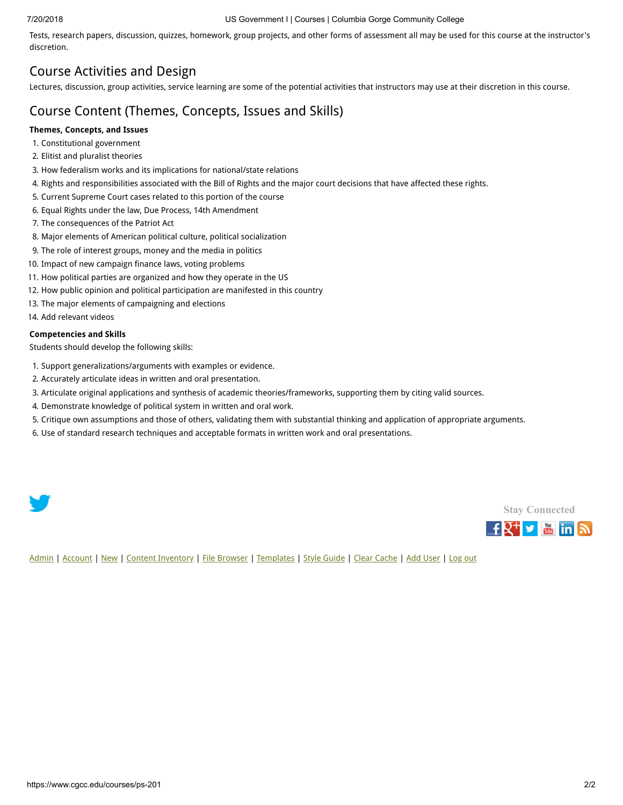#### 7/20/2018 US Government I | Courses | Columbia Gorge Community College

Tests, research papers, discussion, quizzes, homework, group projects, and other forms of assessment all may be used for this course at the instructor's discretion.

### Course Activities and Design

Lectures, discussion, group activities, service learning are some of the potential activities that instructors may use at their discretion in this course.

### Course Content (Themes, Concepts, Issues and Skills)

#### **Themes, Concepts, and Issues**

- 1. Constitutional government
- 2. Elitist and pluralist theories
- 3. How federalism works and its implications for national/state relations
- 4. Rights and responsibilities associated with the Bill of Rights and the major court decisions that have affected these rights.
- 5. Current Supreme Court cases related to this portion of the course
- 6. Equal Rights under the law, Due Process, 14th Amendment
- 7. The consequences of the Patriot Act
- 8. Major elements of American political culture, political socialization
- 9. The role of interest groups, money and the media in politics
- 10. Impact of new campaign finance laws, voting problems
- 11. How political parties are organized and how they operate in the US
- 12. How public opinion and political participation are manifested in this country
- 13. The major elements of campaigning and elections
- 14. Add relevant videos

#### **Competencies and Skills**

Students should develop the following skills:

- 1. Support generalizations/arguments with examples or evidence.
- 2. Accurately articulate ideas in written and oral presentation.
- 3. Articulate original applications and synthesis of academic theories/frameworks, supporting them by citing valid sources.
- 4. Demonstrate knowledge of political system in written and oral work.
- 5. Critique own assumptions and those of others, validating them with substantial thinking and application of appropriate arguments.
- 6. Use of standard research techniques and acceptable formats in written work and oral presentations.





[Admin](https://www.cgcc.edu/admin) | [Account](https://www.cgcc.edu/user) | [New](https://www.cgcc.edu/node/add) | [Content Inventory](https://www.cgcc.edu/content) | [File Browser](https://www.cgcc.edu/imce) | [Templates](https://www.cgcc.edu/templates) | [Style Guide](https://www.cgcc.edu/styleguide) | [Clear Cache](https://www.cgcc.edu/admin/clearcache) | [Add User](https://www.cgcc.edu/admin/user/user/create) | [Log out](https://www.cgcc.edu/user/logout)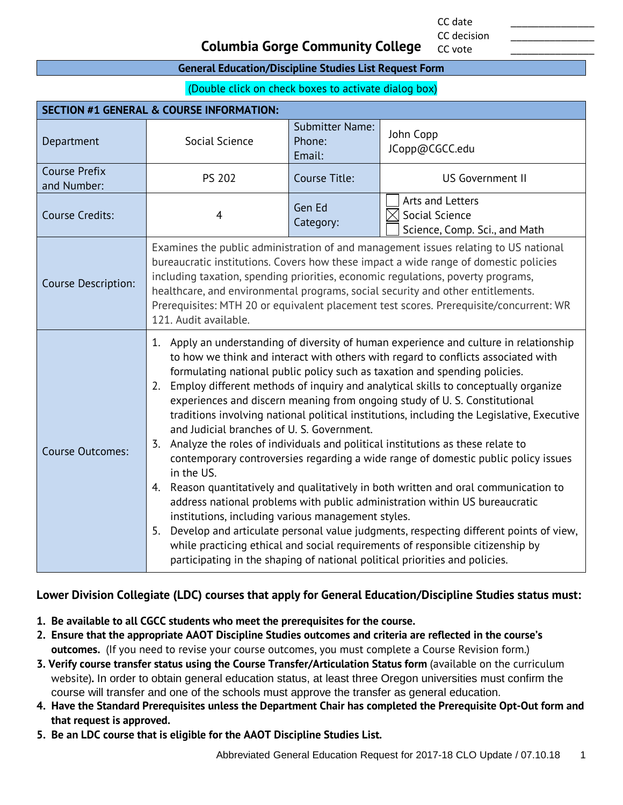CC date \_\_\_\_\_\_\_\_\_\_\_\_\_\_\_ CC decision

CC vote

#### **Columbia Gorge Community College**

#### **General Education/Discipline Studies List Request Form**

(Double click on check boxes to activate dialog box)

| <b>SECTION #1 GENERAL &amp; COURSE INFORMATION:</b> |                                                                                                                                                                                                                                                                                                                                                                                                                                                                                                                                                                                                                                                                                                                                                                                                                                                                                                                                                                                                                                                                                                                                                                                                                                                                         |                                            |                                                                                 |  |
|-----------------------------------------------------|-------------------------------------------------------------------------------------------------------------------------------------------------------------------------------------------------------------------------------------------------------------------------------------------------------------------------------------------------------------------------------------------------------------------------------------------------------------------------------------------------------------------------------------------------------------------------------------------------------------------------------------------------------------------------------------------------------------------------------------------------------------------------------------------------------------------------------------------------------------------------------------------------------------------------------------------------------------------------------------------------------------------------------------------------------------------------------------------------------------------------------------------------------------------------------------------------------------------------------------------------------------------------|--------------------------------------------|---------------------------------------------------------------------------------|--|
| Department                                          | Social Science                                                                                                                                                                                                                                                                                                                                                                                                                                                                                                                                                                                                                                                                                                                                                                                                                                                                                                                                                                                                                                                                                                                                                                                                                                                          | <b>Submitter Name:</b><br>Phone:<br>Email: | John Copp<br>JCopp@CGCC.edu                                                     |  |
| <b>Course Prefix</b><br>and Number:                 | <b>PS 202</b>                                                                                                                                                                                                                                                                                                                                                                                                                                                                                                                                                                                                                                                                                                                                                                                                                                                                                                                                                                                                                                                                                                                                                                                                                                                           | Course Title:                              | <b>US Government II</b>                                                         |  |
| <b>Course Credits:</b>                              | $\overline{4}$                                                                                                                                                                                                                                                                                                                                                                                                                                                                                                                                                                                                                                                                                                                                                                                                                                                                                                                                                                                                                                                                                                                                                                                                                                                          | Gen Ed<br>Category:                        | Arts and Letters<br>$\times$<br>Social Science<br>Science, Comp. Sci., and Math |  |
| Course Description:                                 | Examines the public administration of and management issues relating to US national<br>bureaucratic institutions. Covers how these impact a wide range of domestic policies<br>including taxation, spending priorities, economic regulations, poverty programs,<br>healthcare, and environmental programs, social security and other entitlements.<br>Prerequisites: MTH 20 or equivalent placement test scores. Prerequisite/concurrent: WR<br>121. Audit available.                                                                                                                                                                                                                                                                                                                                                                                                                                                                                                                                                                                                                                                                                                                                                                                                   |                                            |                                                                                 |  |
| <b>Course Outcomes:</b>                             | 1. Apply an understanding of diversity of human experience and culture in relationship<br>to how we think and interact with others with regard to conflicts associated with<br>formulating national public policy such as taxation and spending policies.<br>Employ different methods of inquiry and analytical skills to conceptually organize<br>2.<br>experiences and discern meaning from ongoing study of U.S. Constitutional<br>traditions involving national political institutions, including the Legislative, Executive<br>and Judicial branches of U. S. Government.<br>3. Analyze the roles of individuals and political institutions as these relate to<br>contemporary controversies regarding a wide range of domestic public policy issues<br>in the US.<br>Reason quantitatively and qualitatively in both written and oral communication to<br>4.<br>address national problems with public administration within US bureaucratic<br>institutions, including various management styles.<br>Develop and articulate personal value judgments, respecting different points of view,<br>5.<br>while practicing ethical and social requirements of responsible citizenship by<br>participating in the shaping of national political priorities and policies. |                                            |                                                                                 |  |

#### **Lower Division Collegiate (LDC) courses that apply for General Education/Discipline Studies status must:**

- **1. Be available to all CGCC students who meet the prerequisites for the course.**
- **2. Ensure that the appropriate AAOT Discipline Studies outcomes and criteria are reflected in the course's outcomes.** (If you need to revise your course outcomes, you must complete a Course Revision form.)
- **3. Verify course transfer status using the Course Transfer/Articulation Status form** (available on the curriculum website)**.** In order to obtain general education status, at least three Oregon universities must confirm the course will transfer and one of the schools must approve the transfer as general education.
- **4. Have the Standard Prerequisites unless the Department Chair has completed the Prerequisite Opt-Out form and that request is approved.**
- **5. Be an LDC course that is eligible for the AAOT Discipline Studies List.**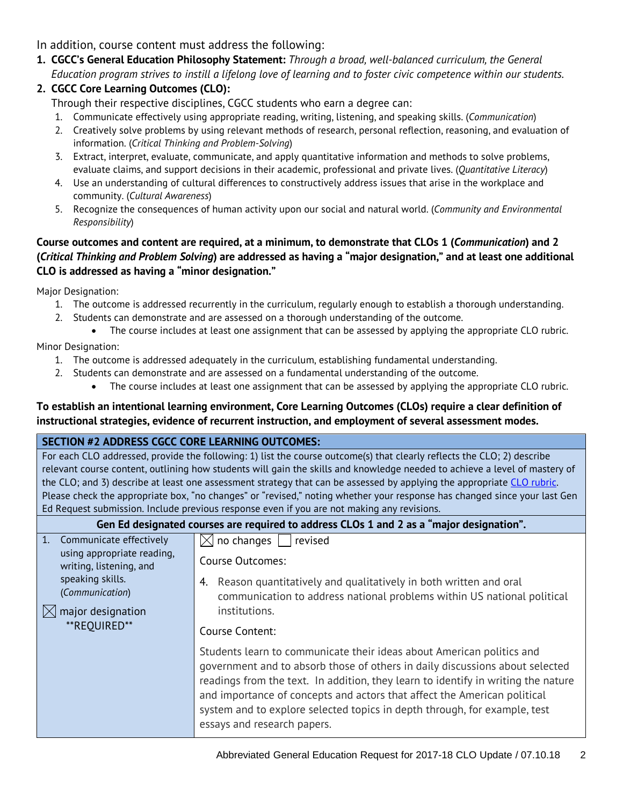In addition, course content must address the following:

**1. CGCC's General Education Philosophy Statement:** *Through a broad, well-balanced curriculum, the General Education program strives to instill a lifelong love of learning and to foster civic competence within our students.*

### **2. CGCC Core Learning Outcomes (CLO):**

Through their respective disciplines, CGCC students who earn a degree can:

- 1. Communicate effectively using appropriate reading, writing, listening, and speaking skills. (*Communication*)
- 2. Creatively solve problems by using relevant methods of research, personal reflection, reasoning, and evaluation of information. (*Critical Thinking and Problem-Solving*)
- 3. Extract, interpret, evaluate, communicate, and apply quantitative information and methods to solve problems, evaluate claims, and support decisions in their academic, professional and private lives. (*Quantitative Literacy*)
- 4. Use an understanding of cultural differences to constructively address issues that arise in the workplace and community. (*Cultural Awareness*)
- 5. Recognize the consequences of human activity upon our social and natural world. (*Community and Environmental Responsibility*)

#### **Course outcomes and content are required, at a minimum, to demonstrate that CLOs 1 (***Communication***) and 2 (***Critical Thinking and Problem Solving***) are addressed as having a "major designation," and at least one additional CLO is addressed as having a "minor designation."**

Major Designation:

- 1. The outcome is addressed recurrently in the curriculum, regularly enough to establish a thorough understanding.
- 2. Students can demonstrate and are assessed on a thorough understanding of the outcome.
	- The course includes at least one assignment that can be assessed by applying the appropriate CLO rubric.

Minor Designation:

- 1. The outcome is addressed adequately in the curriculum, establishing fundamental understanding.
- 2. Students can demonstrate and are assessed on a fundamental understanding of the outcome.
	- The course includes at least one assignment that can be assessed by applying the appropriate CLO rubric.

#### **To establish an intentional learning environment, Core Learning Outcomes (CLOs) require a clear definition of instructional strategies, evidence of recurrent instruction, and employment of several assessment modes.**

#### **SECTION #2 ADDRESS CGCC CORE LEARNING OUTCOMES:**

For each CLO addressed, provide the following: 1) list the course outcome(s) that clearly reflects the CLO; 2) describe relevant course content, outlining how students will gain the skills and knowledge needed to achieve a level of mastery of the CLO; and 3) describe at least one assessment strategy that can be assessed by applying the appropriate [CLO rubric.](http://www.cgcc.edu/institutional-assessment/institutional-core-learning-outcomes-assessment) Please check the appropriate box, "no changes" or "revised," noting whether your response has changed since your last Gen Ed Request submission. Include previous response even if you are not making any revisions.

#### **Gen Ed designated courses are required to address CLOs 1 and 2 as a "major designation".**

| Communicate effectively<br>$\mathbf{1}$ .<br>using appropriate reading, | $\boxtimes$ no changes<br>revised                                                                                                                                                                                                                                                                                                                                                                                                  |
|-------------------------------------------------------------------------|------------------------------------------------------------------------------------------------------------------------------------------------------------------------------------------------------------------------------------------------------------------------------------------------------------------------------------------------------------------------------------------------------------------------------------|
| writing, listening, and                                                 | Course Outcomes:                                                                                                                                                                                                                                                                                                                                                                                                                   |
| speaking skills.<br>(Communication)                                     | Reason quantitatively and qualitatively in both written and oral<br>4.<br>communication to address national problems within US national political                                                                                                                                                                                                                                                                                  |
| major designation<br>**REOUIRED**                                       | institutions.                                                                                                                                                                                                                                                                                                                                                                                                                      |
|                                                                         | Course Content:                                                                                                                                                                                                                                                                                                                                                                                                                    |
|                                                                         | Students learn to communicate their ideas about American politics and<br>government and to absorb those of others in daily discussions about selected<br>readings from the text. In addition, they learn to identify in writing the nature<br>and importance of concepts and actors that affect the American political<br>system and to explore selected topics in depth through, for example, test<br>essays and research papers. |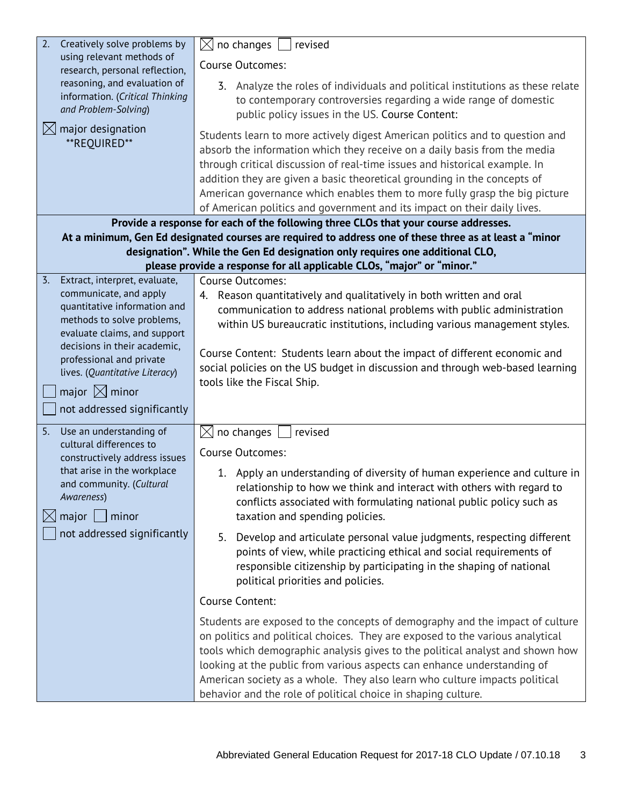| Creatively solve problems by<br>2.                                          | no changes<br>$\boxtimes$<br>revised                                                                                                                      |  |  |  |  |
|-----------------------------------------------------------------------------|-----------------------------------------------------------------------------------------------------------------------------------------------------------|--|--|--|--|
| using relevant methods of                                                   | Course Outcomes:                                                                                                                                          |  |  |  |  |
| research, personal reflection,<br>reasoning, and evaluation of              |                                                                                                                                                           |  |  |  |  |
| information. (Critical Thinking                                             | 3. Analyze the roles of individuals and political institutions as these relate<br>to contemporary controversies regarding a wide range of domestic        |  |  |  |  |
| and Problem-Solving)                                                        | public policy issues in the US. Course Content:                                                                                                           |  |  |  |  |
| $\boxtimes$ major designation                                               |                                                                                                                                                           |  |  |  |  |
| **REQUIRED**                                                                | Students learn to more actively digest American politics and to question and<br>absorb the information which they receive on a daily basis from the media |  |  |  |  |
|                                                                             | through critical discussion of real-time issues and historical example. In                                                                                |  |  |  |  |
|                                                                             | addition they are given a basic theoretical grounding in the concepts of                                                                                  |  |  |  |  |
|                                                                             | American governance which enables them to more fully grasp the big picture                                                                                |  |  |  |  |
|                                                                             | of American politics and government and its impact on their daily lives.                                                                                  |  |  |  |  |
|                                                                             | Provide a response for each of the following three CLOs that your course addresses.                                                                       |  |  |  |  |
|                                                                             | At a minimum, Gen Ed designated courses are required to address one of these three as at least a "minor                                                   |  |  |  |  |
|                                                                             | designation". While the Gen Ed designation only requires one additional CLO,                                                                              |  |  |  |  |
|                                                                             | please provide a response for all applicable CLOs, "major" or "minor."                                                                                    |  |  |  |  |
| $\overline{3}$ .<br>Extract, interpret, evaluate,<br>communicate, and apply | Course Outcomes:                                                                                                                                          |  |  |  |  |
| quantitative information and                                                | 4. Reason quantitatively and qualitatively in both written and oral<br>communication to address national problems with public administration              |  |  |  |  |
| methods to solve problems,                                                  | within US bureaucratic institutions, including various management styles.                                                                                 |  |  |  |  |
| evaluate claims, and support                                                |                                                                                                                                                           |  |  |  |  |
| decisions in their academic,                                                | Course Content: Students learn about the impact of different economic and                                                                                 |  |  |  |  |
| professional and private<br>lives. (Quantitative Literacy)                  | social policies on the US budget in discussion and through web-based learning                                                                             |  |  |  |  |
|                                                                             | tools like the Fiscal Ship.                                                                                                                               |  |  |  |  |
| major $\boxtimes$ minor                                                     |                                                                                                                                                           |  |  |  |  |
| not addressed significantly                                                 |                                                                                                                                                           |  |  |  |  |
| Use an understanding of<br>5.                                               | no changes<br>$\boxtimes$<br>revised                                                                                                                      |  |  |  |  |
| cultural differences to<br>constructively address issues                    | Course Outcomes:                                                                                                                                          |  |  |  |  |
| that arise in the workplace                                                 | 1. Apply an understanding of diversity of human experience and culture in                                                                                 |  |  |  |  |
| and community. (Cultural                                                    | relationship to how we think and interact with others with regard to                                                                                      |  |  |  |  |
| Awareness)                                                                  | conflicts associated with formulating national public policy such as                                                                                      |  |  |  |  |
| $\boxtimes$ major $\Box$<br>minor                                           | taxation and spending policies.                                                                                                                           |  |  |  |  |
| not addressed significantly                                                 | 5. Develop and articulate personal value judgments, respecting different                                                                                  |  |  |  |  |
|                                                                             | points of view, while practicing ethical and social requirements of                                                                                       |  |  |  |  |
|                                                                             | responsible citizenship by participating in the shaping of national                                                                                       |  |  |  |  |
|                                                                             | political priorities and policies.                                                                                                                        |  |  |  |  |
|                                                                             | Course Content:                                                                                                                                           |  |  |  |  |
|                                                                             | Students are exposed to the concepts of demography and the impact of culture                                                                              |  |  |  |  |
|                                                                             | on politics and political choices. They are exposed to the various analytical                                                                             |  |  |  |  |
|                                                                             | tools which demographic analysis gives to the political analyst and shown how                                                                             |  |  |  |  |
|                                                                             | looking at the public from various aspects can enhance understanding of                                                                                   |  |  |  |  |
|                                                                             |                                                                                                                                                           |  |  |  |  |
|                                                                             | American society as a whole. They also learn who culture impacts political                                                                                |  |  |  |  |
|                                                                             | behavior and the role of political choice in shaping culture.                                                                                             |  |  |  |  |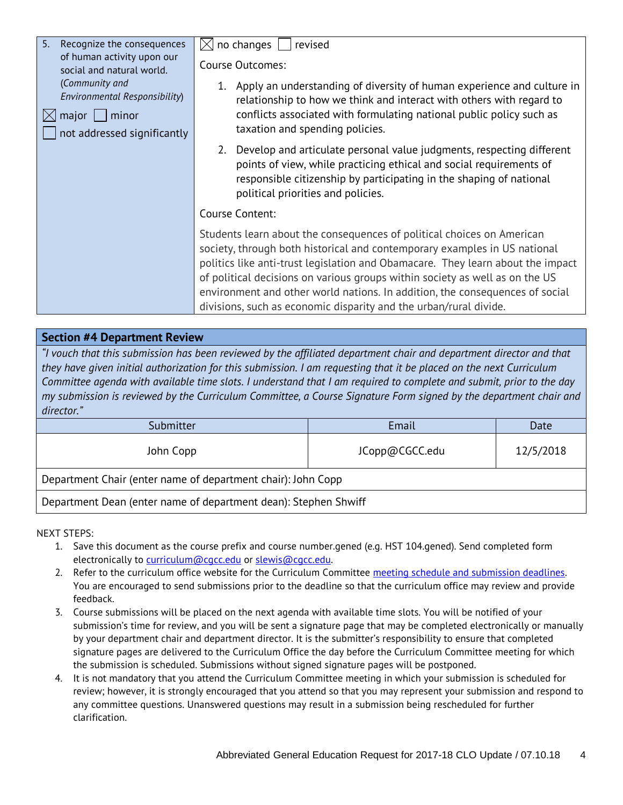| 5.<br>Recognize the consequences                                                                               | no changes $ $<br>M<br>revised                                                                                                                                                                                                                                                                                                                                                                                                                                              |  |  |
|----------------------------------------------------------------------------------------------------------------|-----------------------------------------------------------------------------------------------------------------------------------------------------------------------------------------------------------------------------------------------------------------------------------------------------------------------------------------------------------------------------------------------------------------------------------------------------------------------------|--|--|
| of human activity upon our<br>social and natural world.                                                        | <b>Course Outcomes:</b>                                                                                                                                                                                                                                                                                                                                                                                                                                                     |  |  |
| (Community and<br>Environmental Responsibility)<br>$\boxtimes$ major  <br>minor<br>not addressed significantly | 1. Apply an understanding of diversity of human experience and culture in<br>relationship to how we think and interact with others with regard to<br>conflicts associated with formulating national public policy such as<br>taxation and spending policies.                                                                                                                                                                                                                |  |  |
|                                                                                                                | 2. Develop and articulate personal value judgments, respecting different<br>points of view, while practicing ethical and social requirements of<br>responsible citizenship by participating in the shaping of national<br>political priorities and policies.                                                                                                                                                                                                                |  |  |
|                                                                                                                | Course Content:                                                                                                                                                                                                                                                                                                                                                                                                                                                             |  |  |
|                                                                                                                | Students learn about the consequences of political choices on American<br>society, through both historical and contemporary examples in US national<br>politics like anti-trust legislation and Obamacare. They learn about the impact<br>of political decisions on various groups within society as well as on the US<br>environment and other world nations. In addition, the consequences of social<br>divisions, such as economic disparity and the urban/rural divide. |  |  |

#### **Section #4 Department Review**

*"I vouch that this submission has been reviewed by the affiliated department chair and department director and that they have given initial authorization for this submission. I am requesting that it be placed on the next Curriculum Committee agenda with available time slots. I understand that I am required to complete and submit, prior to the day my submission is reviewed by the Curriculum Committee, a Course Signature Form signed by the department chair and director."*

| Submitter                                                       | Email          | Date      |  |
|-----------------------------------------------------------------|----------------|-----------|--|
| John Copp                                                       | JCopp@CGCC.edu | 12/5/2018 |  |
| Department Chair (enter name of department chair): John Copp    |                |           |  |
| Department Dean (enter name of department dean): Stephen Shwiff |                |           |  |

NEXT STEPS:

- 1. Save this document as the course prefix and course number.gened (e.g. HST 104.gened). Send completed form electronically to [curriculum@cgcc.edu](mailto:curriculum@cgcc.edu) or [slewis@cgcc.edu.](mailto:slewis@cgcc.edu)
- 2. Refer to the curriculum office website for the Curriculum Committee [meeting schedule and submission deadlines.](https://www.cgcc.edu/curriculum/committee)  You are encouraged to send submissions prior to the deadline so that the curriculum office may review and provide feedback.
- 3. Course submissions will be placed on the next agenda with available time slots. You will be notified of your submission's time for review, and you will be sent a signature page that may be completed electronically or manually by your department chair and department director. It is the submitter's responsibility to ensure that completed signature pages are delivered to the Curriculum Office the day before the Curriculum Committee meeting for which the submission is scheduled. Submissions without signed signature pages will be postponed.
- 4. It is not mandatory that you attend the Curriculum Committee meeting in which your submission is scheduled for review; however, it is strongly encouraged that you attend so that you may represent your submission and respond to any committee questions. Unanswered questions may result in a submission being rescheduled for further clarification.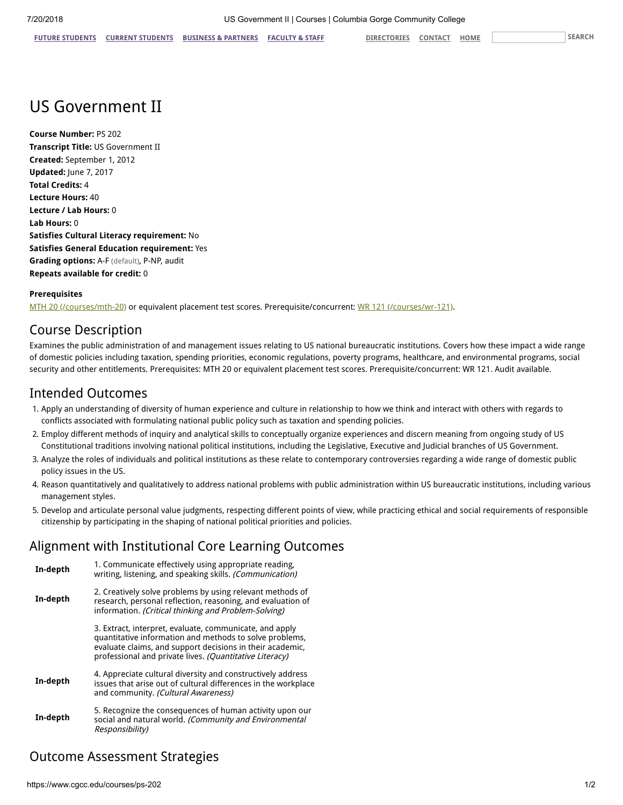## US Government II

**Course Number:** PS 202 **Transcript Title:** US Government II **Created:** September 1, 2012 **Updated:** June 7, 2017 **Total Credits:** 4 **Lecture Hours:** 40 **Lecture / Lab Hours:** 0 **Lab Hours:** 0 **Satisfies Cultural Literacy requirement:** No **Satisfies General Education requirement:** Yes **Grading options:** A-F (default), P-NP, audit **Repeats available for credit:** 0

#### **Prerequisites**

[MTH 20 \(/courses/mth-20\)](https://www.cgcc.edu/courses/mth-20) or equivalent placement test scores. Prerequisite/concurrent: [WR 121 \(/courses/wr-121\)](https://www.cgcc.edu/courses/wr-121).

### Course Description

Examines the public administration of and management issues relating to US national bureaucratic institutions. Covers how these impact a wide range of domestic policies including taxation, spending priorities, economic regulations, poverty programs, healthcare, and environmental programs, social security and other entitlements. Prerequisites: MTH 20 or equivalent placement test scores. Prerequisite/concurrent: WR 121. Audit available.

### Intended Outcomes

- 1. Apply an understanding of diversity of human experience and culture in relationship to how we think and interact with others with regards to conflicts associated with formulating national public policy such as taxation and spending policies.
- 2. Employ different methods of inquiry and analytical skills to conceptually organize experiences and discern meaning from ongoing study of US Constitutional traditions involving national political institutions, including the Legislative, Executive and Judicial branches of US Government.
- 3. Analyze the roles of individuals and political institutions as these relate to contemporary controversies regarding a wide range of domestic public policy issues in the US.
- 4. Reason quantitatively and qualitatively to address national problems with public administration within US bureaucratic institutions, including various management styles.
- 5. Develop and articulate personal value judgments, respecting different points of view, while practicing ethical and social requirements of responsible citizenship by participating in the shaping of national political priorities and policies.

### Alignment with Institutional Core Learning Outcomes

| 1. Communicate effectively using appropriate reading.<br>In-depth<br>writing, listening, and speaking skills. (Communication) |                                                                                                                                                                                                                                            |  |
|-------------------------------------------------------------------------------------------------------------------------------|--------------------------------------------------------------------------------------------------------------------------------------------------------------------------------------------------------------------------------------------|--|
| In-depth                                                                                                                      | 2. Creatively solve problems by using relevant methods of<br>research, personal reflection, reasoning, and evaluation of<br>information. (Critical thinking and Problem-Solving)                                                           |  |
|                                                                                                                               | 3. Extract, interpret, evaluate, communicate, and apply<br>quantitative information and methods to solve problems,<br>evaluate claims, and support decisions in their academic,<br>professional and private lives. (Quantitative Literacy) |  |
| In-depth                                                                                                                      | 4. Appreciate cultural diversity and constructively address<br>issues that arise out of cultural differences in the workplace<br>and community. (Cultural Awareness)                                                                       |  |
| In-depth                                                                                                                      | 5. Recognize the consequences of human activity upon our<br>social and natural world. (Community and Environmental<br>Responsibility)                                                                                                      |  |

## Outcome Assessment Strategies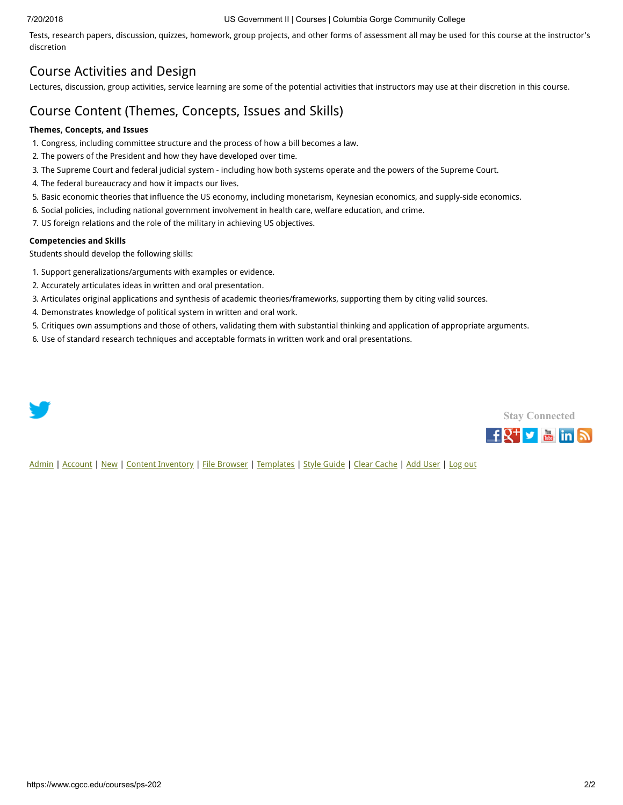#### 7/20/2018 US Government II | Courses | Columbia Gorge Community College

Tests, research papers, discussion, quizzes, homework, group projects, and other forms of assessment all may be used for this course at the instructor's discretion

### Course Activities and Design

Lectures, discussion, group activities, service learning are some of the potential activities that instructors may use at their discretion in this course.

### Course Content (Themes, Concepts, Issues and Skills)

#### **Themes, Concepts, and Issues**

- 1. Congress, including committee structure and the process of how a bill becomes a law.
- 2. The powers of the President and how they have developed over time.
- 3. The Supreme Court and federal judicial system including how both systems operate and the powers of the Supreme Court.
- 4. The federal bureaucracy and how it impacts our lives.
- 5. Basic economic theories that influence the US economy, including monetarism, Keynesian economics, and supply-side economics.
- 6. Social policies, including national government involvement in health care, welfare education, and crime.
- 7. US foreign relations and the role of the military in achieving US objectives.

#### **Competencies and Skills**

Students should develop the following skills:

- 1. Support generalizations/arguments with examples or evidence.
- 2. Accurately articulates ideas in written and oral presentation.
- 3. Articulates original applications and synthesis of academic theories/frameworks, supporting them by citing valid sources.
- 4. Demonstrates knowledge of political system in written and oral work.
- 5. Critiques own assumptions and those of others, validating them with substantial thinking and application of appropriate arguments.
- 6. Use of standard research techniques and acceptable formats in written work and oral presentations.





[Admin](https://www.cgcc.edu/admin) | [Account](https://www.cgcc.edu/user) | [New](https://www.cgcc.edu/node/add) | [Content Inventory](https://www.cgcc.edu/content) | [File Browser](https://www.cgcc.edu/imce) | [Templates](https://www.cgcc.edu/templates) | [Style Guide](https://www.cgcc.edu/styleguide) | [Clear Cache](https://www.cgcc.edu/admin/clearcache) | [Add User](https://www.cgcc.edu/admin/user/user/create) | [Log out](https://www.cgcc.edu/user/logout)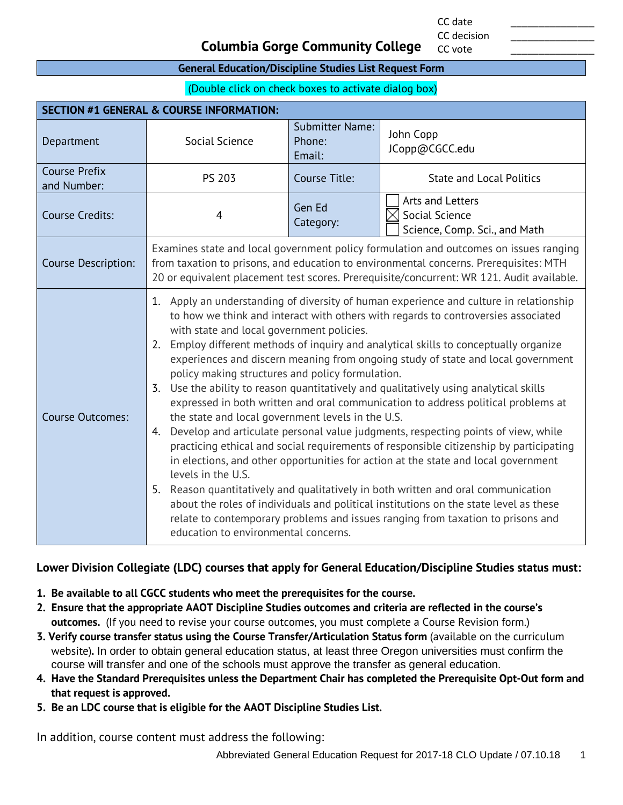CC date \_\_\_\_\_\_\_\_\_\_\_\_\_\_\_ CC decision

CC vote

#### **Columbia Gorge Community College**

#### **General Education/Discipline Studies List Request Form**

(Double click on check boxes to activate dialog box)

| <b>SECTION #1 GENERAL &amp; COURSE INFORMATION:</b> |                                                                                                                                                                                                                                                                                                                                                                                                                                                                                                                                                                                                                                                                                                                                                                                                                                                                                                                                                                                                                                                                                                                                                                                                                                                                                                                 |                                                                     |                                 |  |
|-----------------------------------------------------|-----------------------------------------------------------------------------------------------------------------------------------------------------------------------------------------------------------------------------------------------------------------------------------------------------------------------------------------------------------------------------------------------------------------------------------------------------------------------------------------------------------------------------------------------------------------------------------------------------------------------------------------------------------------------------------------------------------------------------------------------------------------------------------------------------------------------------------------------------------------------------------------------------------------------------------------------------------------------------------------------------------------------------------------------------------------------------------------------------------------------------------------------------------------------------------------------------------------------------------------------------------------------------------------------------------------|---------------------------------------------------------------------|---------------------------------|--|
| Department                                          | Social Science                                                                                                                                                                                                                                                                                                                                                                                                                                                                                                                                                                                                                                                                                                                                                                                                                                                                                                                                                                                                                                                                                                                                                                                                                                                                                                  | <b>Submitter Name:</b><br>Phone:<br>Email:                          | John Copp<br>JCopp@CGCC.edu     |  |
| <b>Course Prefix</b><br>and Number:                 | <b>PS 203</b>                                                                                                                                                                                                                                                                                                                                                                                                                                                                                                                                                                                                                                                                                                                                                                                                                                                                                                                                                                                                                                                                                                                                                                                                                                                                                                   | Course Title:                                                       | <b>State and Local Politics</b> |  |
| <b>Course Credits:</b>                              | $\overline{4}$                                                                                                                                                                                                                                                                                                                                                                                                                                                                                                                                                                                                                                                                                                                                                                                                                                                                                                                                                                                                                                                                                                                                                                                                                                                                                                  | Arts and Letters<br>Social Science<br>Science, Comp. Sci., and Math |                                 |  |
| Course Description:                                 | Examines state and local government policy formulation and outcomes on issues ranging<br>from taxation to prisons, and education to environmental concerns. Prerequisites: MTH<br>20 or equivalent placement test scores. Prerequisite/concurrent: WR 121. Audit available.                                                                                                                                                                                                                                                                                                                                                                                                                                                                                                                                                                                                                                                                                                                                                                                                                                                                                                                                                                                                                                     |                                                                     |                                 |  |
| <b>Course Outcomes:</b>                             | 1. Apply an understanding of diversity of human experience and culture in relationship<br>to how we think and interact with others with regards to controversies associated<br>with state and local government policies.<br>Employ different methods of inquiry and analytical skills to conceptually organize<br>2.<br>experiences and discern meaning from ongoing study of state and local government<br>policy making structures and policy formulation.<br>Use the ability to reason quantitatively and qualitatively using analytical skills<br>3.<br>expressed in both written and oral communication to address political problems at<br>the state and local government levels in the U.S.<br>Develop and articulate personal value judgments, respecting points of view, while<br>4.<br>practicing ethical and social requirements of responsible citizenship by participating<br>in elections, and other opportunities for action at the state and local government<br>levels in the U.S.<br>Reason quantitatively and qualitatively in both written and oral communication<br>5.<br>about the roles of individuals and political institutions on the state level as these<br>relate to contemporary problems and issues ranging from taxation to prisons and<br>education to environmental concerns. |                                                                     |                                 |  |

#### **Lower Division Collegiate (LDC) courses that apply for General Education/Discipline Studies status must:**

- **1. Be available to all CGCC students who meet the prerequisites for the course.**
- **2. Ensure that the appropriate AAOT Discipline Studies outcomes and criteria are reflected in the course's outcomes.** (If you need to revise your course outcomes, you must complete a Course Revision form.)
- **3. Verify course transfer status using the Course Transfer/Articulation Status form** (available on the curriculum website)**.** In order to obtain general education status, at least three Oregon universities must confirm the course will transfer and one of the schools must approve the transfer as general education.
- **4. Have the Standard Prerequisites unless the Department Chair has completed the Prerequisite Opt-Out form and that request is approved.**
- **5. Be an LDC course that is eligible for the AAOT Discipline Studies List.**

In addition, course content must address the following: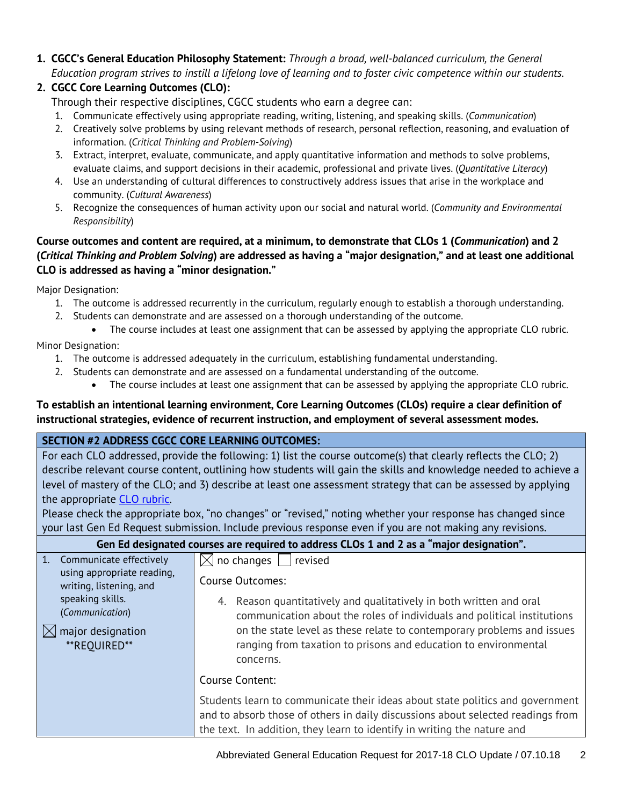**1. CGCC's General Education Philosophy Statement:** *Through a broad, well-balanced curriculum, the General Education program strives to instill a lifelong love of learning and to foster civic competence within our students.*

#### **2. CGCC Core Learning Outcomes (CLO):**

Through their respective disciplines, CGCC students who earn a degree can:

- 1. Communicate effectively using appropriate reading, writing, listening, and speaking skills. (*Communication*)
- 2. Creatively solve problems by using relevant methods of research, personal reflection, reasoning, and evaluation of information. (*Critical Thinking and Problem-Solving*)
- 3. Extract, interpret, evaluate, communicate, and apply quantitative information and methods to solve problems, evaluate claims, and support decisions in their academic, professional and private lives. (*Quantitative Literacy*)
- 4. Use an understanding of cultural differences to constructively address issues that arise in the workplace and community. (*Cultural Awareness*)
- 5. Recognize the consequences of human activity upon our social and natural world. (*Community and Environmental Responsibility*)

#### **Course outcomes and content are required, at a minimum, to demonstrate that CLOs 1 (***Communication***) and 2 (***Critical Thinking and Problem Solving***) are addressed as having a "major designation," and at least one additional CLO is addressed as having a "minor designation."**

Major Designation:

- 1. The outcome is addressed recurrently in the curriculum, regularly enough to establish a thorough understanding.
- 2. Students can demonstrate and are assessed on a thorough understanding of the outcome.
	- The course includes at least one assignment that can be assessed by applying the appropriate CLO rubric.

Minor Designation:

- 1. The outcome is addressed adequately in the curriculum, establishing fundamental understanding.
- 2. Students can demonstrate and are assessed on a fundamental understanding of the outcome.
	- The course includes at least one assignment that can be assessed by applying the appropriate CLO rubric.

#### **To establish an intentional learning environment, Core Learning Outcomes (CLOs) require a clear definition of instructional strategies, evidence of recurrent instruction, and employment of several assessment modes.**

#### **SECTION #2 ADDRESS CGCC CORE LEARNING OUTCOMES:**

For each CLO addressed, provide the following: 1) list the course outcome(s) that clearly reflects the CLO; 2) describe relevant course content, outlining how students will gain the skills and knowledge needed to achieve a level of mastery of the CLO; and 3) describe at least one assessment strategy that can be assessed by applying the appropriate [CLO rubric.](http://www.cgcc.edu/institutional-assessment/institutional-core-learning-outcomes-assessment)

Please check the appropriate box, "no changes" or "revised," noting whether your response has changed since your last Gen Ed Request submission. Include previous response even if you are not making any revisions.

| Gen Ed designated courses are required to address CLOs 1 and 2 as a "major designation". |                                                                                                                                                                                                                                             |  |  |  |
|------------------------------------------------------------------------------------------|---------------------------------------------------------------------------------------------------------------------------------------------------------------------------------------------------------------------------------------------|--|--|--|
| 1. Communicate effectively                                                               | $\boxtimes$ no changes  <br>  revised                                                                                                                                                                                                       |  |  |  |
| using appropriate reading,<br>writing, listening, and                                    | Course Outcomes:                                                                                                                                                                                                                            |  |  |  |
| speaking skills.<br>(Communication)                                                      | 4. Reason quantitatively and qualitatively in both written and oral<br>communication about the roles of individuals and political institutions                                                                                              |  |  |  |
| major designation<br>$\mathsf{IX}$<br>**REOUIRED**                                       | on the state level as these relate to contemporary problems and issues<br>ranging from taxation to prisons and education to environmental<br>concerns.                                                                                      |  |  |  |
|                                                                                          | Course Content:                                                                                                                                                                                                                             |  |  |  |
|                                                                                          | Students learn to communicate their ideas about state politics and government<br>and to absorb those of others in daily discussions about selected readings from<br>the text. In addition, they learn to identify in writing the nature and |  |  |  |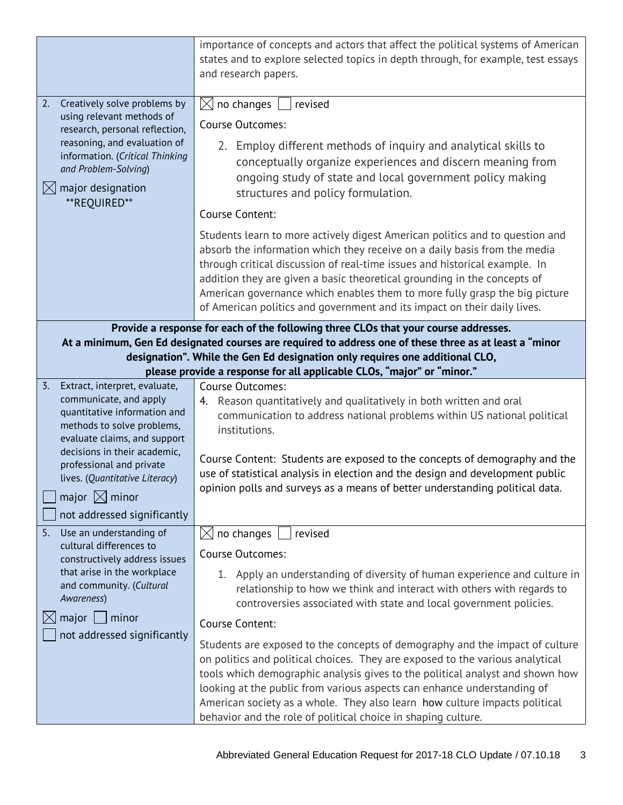|                                                                                                                                                                                         | importance of concepts and actors that affect the political systems of American<br>states and to explore selected topics in depth through, for example, test essays<br>and research papers.                                                                                                                                                                                                                                                                                   |  |  |
|-----------------------------------------------------------------------------------------------------------------------------------------------------------------------------------------|-------------------------------------------------------------------------------------------------------------------------------------------------------------------------------------------------------------------------------------------------------------------------------------------------------------------------------------------------------------------------------------------------------------------------------------------------------------------------------|--|--|
| Creatively solve problems by<br>2.<br>using relevant methods of                                                                                                                         | $\boxtimes$ no changes  <br>revised                                                                                                                                                                                                                                                                                                                                                                                                                                           |  |  |
| research, personal reflection,                                                                                                                                                          | Course Outcomes:                                                                                                                                                                                                                                                                                                                                                                                                                                                              |  |  |
| reasoning, and evaluation of<br>information. (Critical Thinking<br>and Problem-Solving)<br>$\boxtimes$ major designation<br>**REQUIRED**                                                | 2. Employ different methods of inquiry and analytical skills to<br>conceptually organize experiences and discern meaning from<br>ongoing study of state and local government policy making<br>structures and policy formulation.                                                                                                                                                                                                                                              |  |  |
|                                                                                                                                                                                         | Course Content:                                                                                                                                                                                                                                                                                                                                                                                                                                                               |  |  |
|                                                                                                                                                                                         | Students learn to more actively digest American politics and to question and<br>absorb the information which they receive on a daily basis from the media<br>through critical discussion of real-time issues and historical example. In<br>addition they are given a basic theoretical grounding in the concepts of<br>American governance which enables them to more fully grasp the big picture<br>of American politics and government and its impact on their daily lives. |  |  |
|                                                                                                                                                                                         | Provide a response for each of the following three CLOs that your course addresses.                                                                                                                                                                                                                                                                                                                                                                                           |  |  |
| At a minimum, Gen Ed designated courses are required to address one of these three as at least a "minor<br>designation". While the Gen Ed designation only requires one additional CLO, |                                                                                                                                                                                                                                                                                                                                                                                                                                                                               |  |  |
|                                                                                                                                                                                         | please provide a response for all applicable CLOs, "major" or "minor."                                                                                                                                                                                                                                                                                                                                                                                                        |  |  |
| Extract, interpret, evaluate,<br>$\overline{3}$ .                                                                                                                                       | <b>Course Outcomes:</b>                                                                                                                                                                                                                                                                                                                                                                                                                                                       |  |  |
| communicate, and apply<br>quantitative information and                                                                                                                                  | 4. Reason quantitatively and qualitatively in both written and oral                                                                                                                                                                                                                                                                                                                                                                                                           |  |  |
| methods to solve problems,                                                                                                                                                              | communication to address national problems within US national political<br>institutions.                                                                                                                                                                                                                                                                                                                                                                                      |  |  |
| evaluate claims, and support<br>decisions in their academic,                                                                                                                            |                                                                                                                                                                                                                                                                                                                                                                                                                                                                               |  |  |
| professional and private                                                                                                                                                                | Course Content: Students are exposed to the concepts of demography and the                                                                                                                                                                                                                                                                                                                                                                                                    |  |  |
| lives. (Quantitative Literacy)                                                                                                                                                          | use of statistical analysis in election and the design and development public<br>opinion polls and surveys as a means of better understanding political data.                                                                                                                                                                                                                                                                                                                 |  |  |
| major $\boxtimes$ minor                                                                                                                                                                 |                                                                                                                                                                                                                                                                                                                                                                                                                                                                               |  |  |
| not addressed significantly                                                                                                                                                             |                                                                                                                                                                                                                                                                                                                                                                                                                                                                               |  |  |
| 5.<br>Use an understanding of<br>cultural differences to                                                                                                                                | $\boxtimes$ no changes<br>revised                                                                                                                                                                                                                                                                                                                                                                                                                                             |  |  |
| constructively address issues                                                                                                                                                           | <b>Course Outcomes:</b>                                                                                                                                                                                                                                                                                                                                                                                                                                                       |  |  |
| that arise in the workplace<br>and community. (Cultural<br>Awareness)                                                                                                                   | 1. Apply an understanding of diversity of human experience and culture in<br>relationship to how we think and interact with others with regards to<br>controversies associated with state and local government policies.                                                                                                                                                                                                                                                      |  |  |
| major<br>minor                                                                                                                                                                          | Course Content:                                                                                                                                                                                                                                                                                                                                                                                                                                                               |  |  |
| not addressed significantly                                                                                                                                                             | Students are exposed to the concepts of demography and the impact of culture<br>on politics and political choices. They are exposed to the various analytical<br>tools which demographic analysis gives to the political analyst and shown how<br>looking at the public from various aspects can enhance understanding of<br>American society as a whole. They also learn how culture impacts political                                                                       |  |  |
|                                                                                                                                                                                         | behavior and the role of political choice in shaping culture.                                                                                                                                                                                                                                                                                                                                                                                                                 |  |  |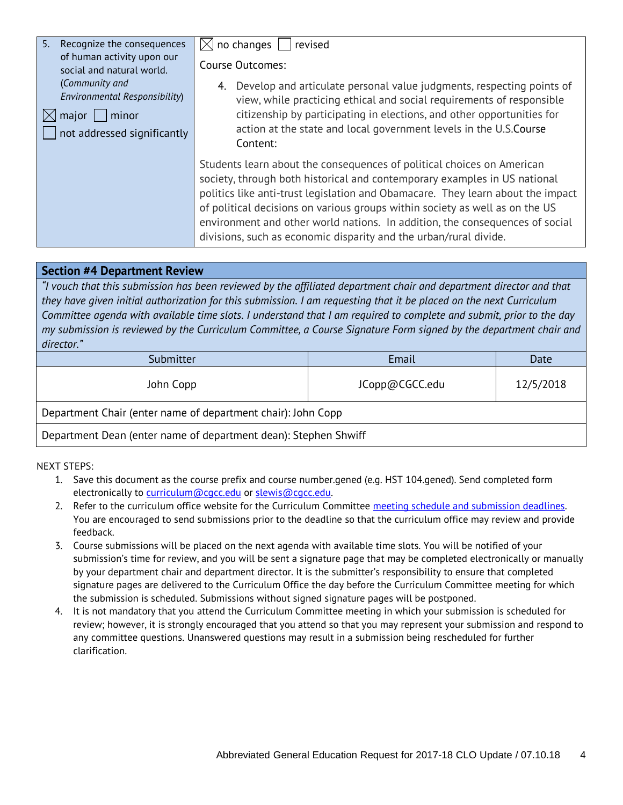| 5.<br>Recognize the consequences<br>of human activity upon our                                             | no changes<br>revised<br>IXI                                                                                                                                                                                                                                                                                                                                                                                                                                                |
|------------------------------------------------------------------------------------------------------------|-----------------------------------------------------------------------------------------------------------------------------------------------------------------------------------------------------------------------------------------------------------------------------------------------------------------------------------------------------------------------------------------------------------------------------------------------------------------------------|
| social and natural world.                                                                                  | <b>Course Outcomes:</b>                                                                                                                                                                                                                                                                                                                                                                                                                                                     |
| (Community and<br>Environmental Responsibility)<br>$mid$ major $ $<br>minor<br>not addressed significantly | Develop and articulate personal value judgments, respecting points of<br>4.<br>view, while practicing ethical and social requirements of responsible<br>citizenship by participating in elections, and other opportunities for<br>action at the state and local government levels in the U.S.Course<br>Content:                                                                                                                                                             |
|                                                                                                            | Students learn about the consequences of political choices on American<br>society, through both historical and contemporary examples in US national<br>politics like anti-trust legislation and Obamacare. They learn about the impact<br>of political decisions on various groups within society as well as on the US<br>environment and other world nations. In addition, the consequences of social<br>divisions, such as economic disparity and the urban/rural divide. |

#### **Section #4 Department Review**

*"I vouch that this submission has been reviewed by the affiliated department chair and department director and that they have given initial authorization for this submission. I am requesting that it be placed on the next Curriculum Committee agenda with available time slots. I understand that I am required to complete and submit, prior to the day my submission is reviewed by the Curriculum Committee, a Course Signature Form signed by the department chair and director."*

| Submitter                                                       | Email          | Date      |  |
|-----------------------------------------------------------------|----------------|-----------|--|
| John Copp                                                       | JCopp@CGCC.edu | 12/5/2018 |  |
| Department Chair (enter name of department chair): John Copp    |                |           |  |
| Department Dean (enter name of department dean): Stephen Shwiff |                |           |  |

NEXT STEPS:

- 1. Save this document as the course prefix and course number.gened (e.g. HST 104.gened). Send completed form electronically to [curriculum@cgcc.edu](mailto:curriculum@cgcc.edu) or [slewis@cgcc.edu.](mailto:slewis@cgcc.edu)
- 2. Refer to the curriculum office website for the Curriculum Committee meeting schedule and submission deadlines. You are encouraged to send submissions prior to the deadline so that the curriculum office may review and provide feedback.
- 3. Course submissions will be placed on the next agenda with available time slots. You will be notified of your submission's time for review, and you will be sent a signature page that may be completed electronically or manually by your department chair and department director. It is the submitter's responsibility to ensure that completed signature pages are delivered to the Curriculum Office the day before the Curriculum Committee meeting for which the submission is scheduled. Submissions without signed signature pages will be postponed.
- 4. It is not mandatory that you attend the Curriculum Committee meeting in which your submission is scheduled for review; however, it is strongly encouraged that you attend so that you may represent your submission and respond to any committee questions. Unanswered questions may result in a submission being rescheduled for further clarification.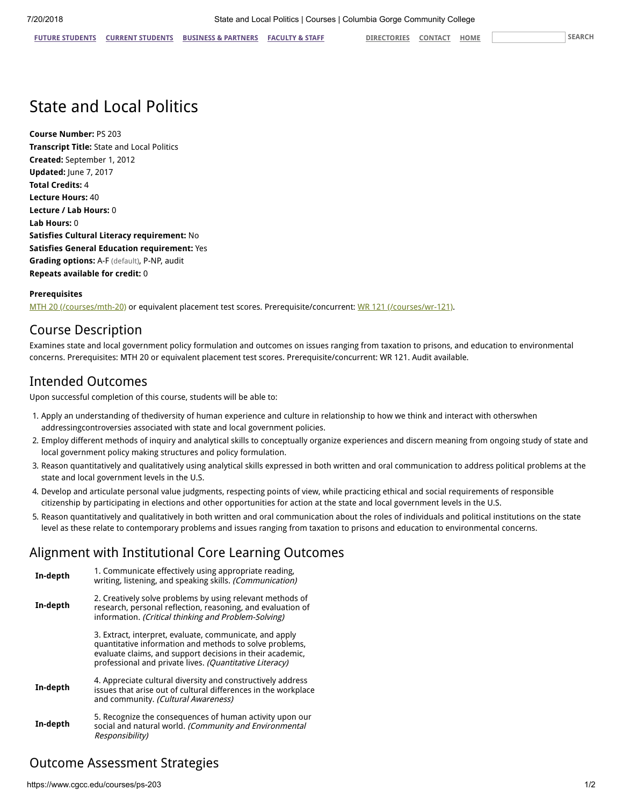## State and Local Politics

**Course Number:** PS 203 **Transcript Title:** State and Local Politics **Created:** September 1, 2012 **Updated:** June 7, 2017 **Total Credits:** 4 **Lecture Hours:** 40 **Lecture / Lab Hours:** 0 **Lab Hours:** 0 **Satisfies Cultural Literacy requirement:** No **Satisfies General Education requirement:** Yes **Grading options:** A-F (default), P-NP, audit **Repeats available for credit:** 0

#### **Prerequisites**

[MTH 20 \(/courses/mth-20\)](https://www.cgcc.edu/courses/mth-20) or equivalent placement test scores. Prerequisite/concurrent: [WR 121 \(/courses/wr-121\)](https://www.cgcc.edu/courses/wr-121).

### Course Description

Examines state and local government policy formulation and outcomes on issues ranging from taxation to prisons, and education to environmental concerns. Prerequisites: MTH 20 or equivalent placement test scores. Prerequisite/concurrent: WR 121. Audit available.

#### Intended Outcomes

Upon successful completion of this course, students will be able to:

- 1. Apply an understanding of thediversity of human experience and culture in relationship to how we think and interact with otherswhen addressingcontroversies associated with state and local government policies.
- 2. Employ different methods of inquiry and analytical skills to conceptually organize experiences and discern meaning from ongoing study of state and local government policy making structures and policy formulation.
- 3. Reason quantitatively and qualitatively using analytical skills expressed in both written and oral communication to address political problems at the state and local government levels in the U.S.
- 4. Develop and articulate personal value judgments, respecting points of view, while practicing ethical and social requirements of responsible citizenship by participating in elections and other opportunities for action at the state and local government levels in the U.S.
- 5. Reason quantitatively and qualitatively in both written and oral communication about the roles of individuals and political institutions on the state level as these relate to contemporary problems and issues ranging from taxation to prisons and education to environmental concerns.

#### Alignment with Institutional Core Learning Outcomes

| In-depth | 1. Communicate effectively using appropriate reading,<br>writing, listening, and speaking skills. (Communication)                                                                                                                          |
|----------|--------------------------------------------------------------------------------------------------------------------------------------------------------------------------------------------------------------------------------------------|
| In-depth | 2. Creatively solve problems by using relevant methods of<br>research, personal reflection, reasoning, and evaluation of<br>information. (Critical thinking and Problem-Solving)                                                           |
|          | 3. Extract, interpret, evaluate, communicate, and apply<br>quantitative information and methods to solve problems,<br>evaluate claims, and support decisions in their academic,<br>professional and private lives. (Quantitative Literacy) |
| In-depth | 4. Appreciate cultural diversity and constructively address<br>issues that arise out of cultural differences in the workplace<br>and community. (Cultural Awareness)                                                                       |
| In-depth | 5. Recognize the consequences of human activity upon our<br>social and natural world. (Community and Environmental<br>Responsibility)                                                                                                      |

### Outcome Assessment Strategies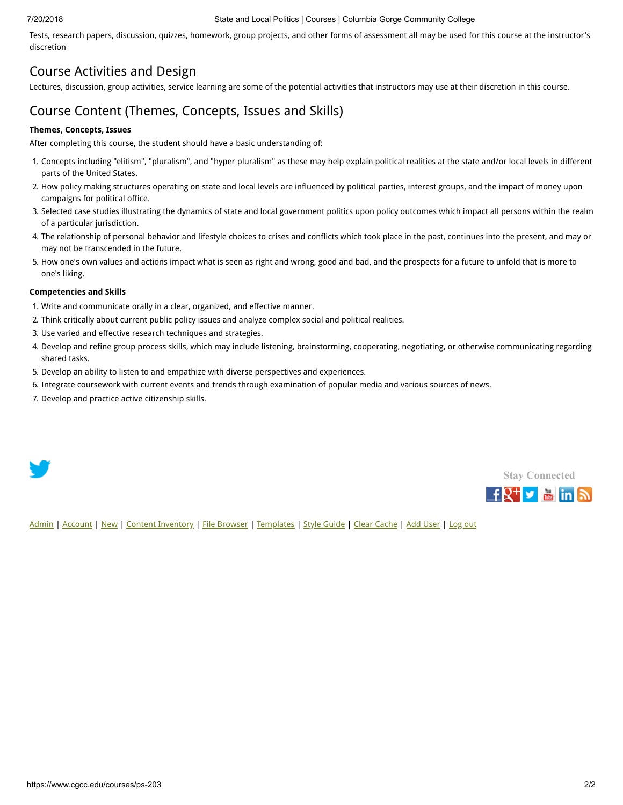#### 7/20/2018 State and Local Politics | Courses | Columbia Gorge Community College

Tests, research papers, discussion, quizzes, homework, group projects, and other forms of assessment all may be used for this course at the instructor's discretion

### Course Activities and Design

Lectures, discussion, group activities, service learning are some of the potential activities that instructors may use at their discretion in this course.

### Course Content (Themes, Concepts, Issues and Skills)

#### **Themes, Concepts, Issues**

After completing this course, the student should have a basic understanding of:

- 1. Concepts including "elitism", "pluralism", and "hyper pluralism" as these may help explain political realities at the state and/or local levels in different parts of the United States.
- 2. How policy making structures operating on state and local levels are influenced by political parties, interest groups, and the impact of money upon campaigns for political office.
- 3. Selected case studies illustrating the dynamics of state and local government politics upon policy outcomes which impact all persons within the realm of a particular jurisdiction.
- 4. The relationship of personal behavior and lifestyle choices to crises and conflicts which took place in the past, continues into the present, and may or may not be transcended in the future.
- 5. How one's own values and actions impact what is seen as right and wrong, good and bad, and the prospects for a future to unfold that is more to one's liking.

#### **Competencies and Skills**

- 1. Write and communicate orally in a clear, organized, and effective manner.
- 2. Think critically about current public policy issues and analyze complex social and political realities.
- 3. Use varied and effective research techniques and strategies.
- 4. Develop and refine group process skills, which may include listening, brainstorming, cooperating, negotiating, or otherwise communicating regarding shared tasks.
- 5. Develop an ability to listen to and empathize with diverse perspectives and experiences.
- 6. Integrate coursework with current events and trends through examination of popular media and various sources of news.
- 7. Develop and practice active citizenship skills.





[Admin](https://www.cgcc.edu/admin) | [Account](https://www.cgcc.edu/user) | [New](https://www.cgcc.edu/node/add) | [Content Inventory](https://www.cgcc.edu/content) | [File Browser](https://www.cgcc.edu/imce) | [Templates](https://www.cgcc.edu/templates) | [Style Guide](https://www.cgcc.edu/styleguide) | [Clear Cache](https://www.cgcc.edu/admin/clearcache) | [Add User](https://www.cgcc.edu/admin/user/user/create) | [Log out](https://www.cgcc.edu/user/logout)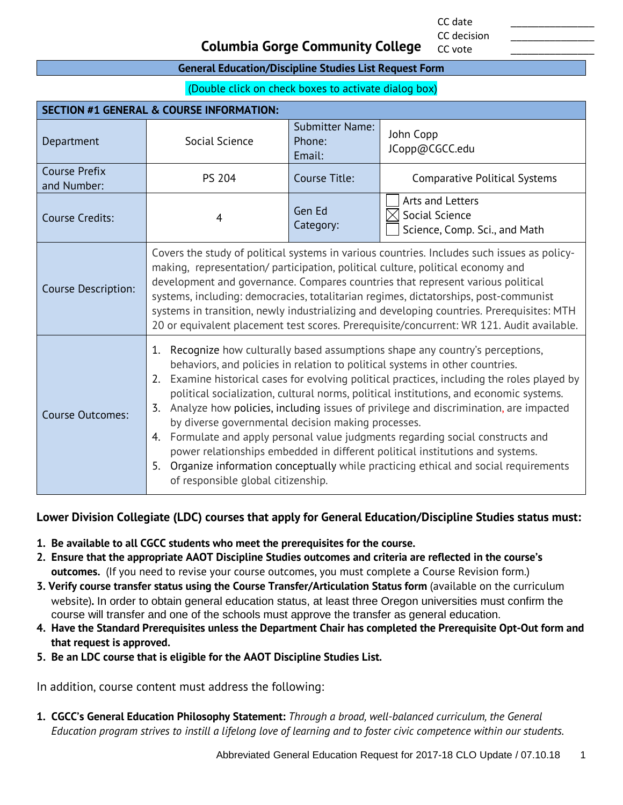CC date \_\_\_\_\_\_\_\_\_\_\_\_\_\_\_ CC decision

CC vote

#### **Columbia Gorge Community College**

#### **General Education/Discipline Studies List Request Form**

(Double click on check boxes to activate dialog box)

| <b>SECTION #1 GENERAL &amp; COURSE INFORMATION:</b> |                                                                                                                                                                                                                                                                                                                                                                                                                                                                                                                                                                                                                                                                                                                                                                                                                            |                                            |                                                                     |  |
|-----------------------------------------------------|----------------------------------------------------------------------------------------------------------------------------------------------------------------------------------------------------------------------------------------------------------------------------------------------------------------------------------------------------------------------------------------------------------------------------------------------------------------------------------------------------------------------------------------------------------------------------------------------------------------------------------------------------------------------------------------------------------------------------------------------------------------------------------------------------------------------------|--------------------------------------------|---------------------------------------------------------------------|--|
| Department                                          | Social Science                                                                                                                                                                                                                                                                                                                                                                                                                                                                                                                                                                                                                                                                                                                                                                                                             | <b>Submitter Name:</b><br>Phone:<br>Email: | John Copp<br>JCopp@CGCC.edu                                         |  |
| <b>Course Prefix</b><br>and Number:                 | <b>PS 204</b>                                                                                                                                                                                                                                                                                                                                                                                                                                                                                                                                                                                                                                                                                                                                                                                                              | Course Title:                              | <b>Comparative Political Systems</b>                                |  |
| <b>Course Credits:</b>                              | 4                                                                                                                                                                                                                                                                                                                                                                                                                                                                                                                                                                                                                                                                                                                                                                                                                          | Gen Ed<br>Category:                        | Arts and Letters<br>Social Science<br>Science, Comp. Sci., and Math |  |
| <b>Course Description:</b>                          | Covers the study of political systems in various countries. Includes such issues as policy-<br>making, representation/ participation, political culture, political economy and<br>development and governance. Compares countries that represent various political<br>systems, including: democracies, totalitarian regimes, dictatorships, post-communist<br>systems in transition, newly industrializing and developing countries. Prerequisites: MTH<br>20 or equivalent placement test scores. Prerequisite/concurrent: WR 121. Audit available.                                                                                                                                                                                                                                                                        |                                            |                                                                     |  |
| <b>Course Outcomes:</b>                             | Recognize how culturally based assumptions shape any country's perceptions,<br>1.<br>behaviors, and policies in relation to political systems in other countries.<br>Examine historical cases for evolving political practices, including the roles played by<br>2.<br>political socialization, cultural norms, political institutions, and economic systems.<br>Analyze how policies, including issues of privilege and discrimination, are impacted<br>3.<br>by diverse governmental decision making processes.<br>Formulate and apply personal value judgments regarding social constructs and<br>4.<br>power relationships embedded in different political institutions and systems.<br>Organize information conceptually while practicing ethical and social requirements<br>5.<br>of responsible global citizenship. |                                            |                                                                     |  |

**Lower Division Collegiate (LDC) courses that apply for General Education/Discipline Studies status must:**

- **1. Be available to all CGCC students who meet the prerequisites for the course.**
- **2. Ensure that the appropriate AAOT Discipline Studies outcomes and criteria are reflected in the course's outcomes.** (If you need to revise your course outcomes, you must complete a Course Revision form.)
- **3. Verify course transfer status using the Course Transfer/Articulation Status form** (available on the curriculum website)**.** In order to obtain general education status, at least three Oregon universities must confirm the course will transfer and one of the schools must approve the transfer as general education.
- **4. Have the Standard Prerequisites unless the Department Chair has completed the Prerequisite Opt-Out form and that request is approved.**
- **5. Be an LDC course that is eligible for the AAOT Discipline Studies List.**

In addition, course content must address the following:

**1. CGCC's General Education Philosophy Statement:** *Through a broad, well-balanced curriculum, the General Education program strives to instill a lifelong love of learning and to foster civic competence within our students.*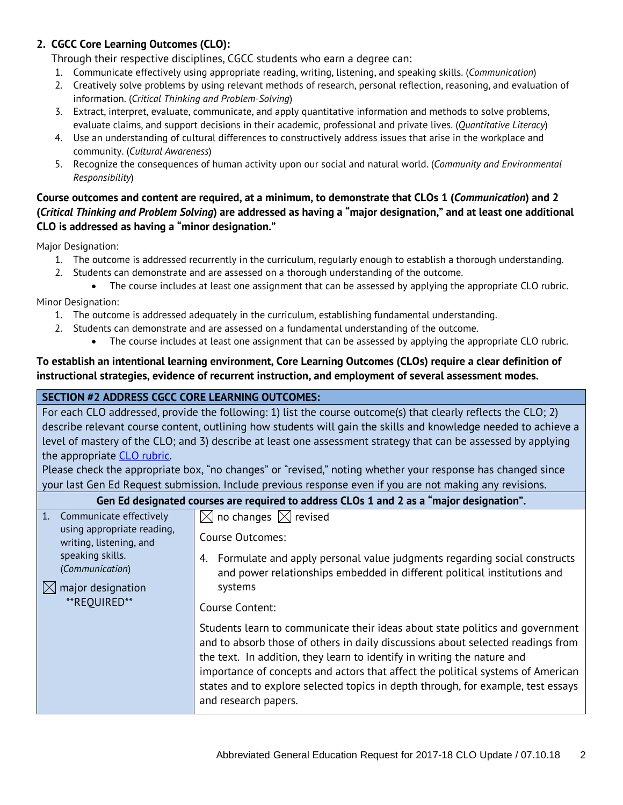#### **2. CGCC Core Learning Outcomes (CLO):**

Through their respective disciplines, CGCC students who earn a degree can:

- 1. Communicate effectively using appropriate reading, writing, listening, and speaking skills. (*Communication*)
- 2. Creatively solve problems by using relevant methods of research, personal reflection, reasoning, and evaluation of information. (*Critical Thinking and Problem-Solving*)
- 3. Extract, interpret, evaluate, communicate, and apply quantitative information and methods to solve problems, evaluate claims, and support decisions in their academic, professional and private lives. (*Quantitative Literacy*)
- 4. Use an understanding of cultural differences to constructively address issues that arise in the workplace and community. (*Cultural Awareness*)
- 5. Recognize the consequences of human activity upon our social and natural world. (*Community and Environmental Responsibility*)

#### **Course outcomes and content are required, at a minimum, to demonstrate that CLOs 1 (***Communication***) and 2 (***Critical Thinking and Problem Solving***) are addressed as having a "major designation," and at least one additional CLO is addressed as having a "minor designation."**

Major Designation:

- 1. The outcome is addressed recurrently in the curriculum, regularly enough to establish a thorough understanding.
- 2. Students can demonstrate and are assessed on a thorough understanding of the outcome.
	- The course includes at least one assignment that can be assessed by applying the appropriate CLO rubric.

Minor Designation:

- 1. The outcome is addressed adequately in the curriculum, establishing fundamental understanding.
- 2. Students can demonstrate and are assessed on a fundamental understanding of the outcome.
	- The course includes at least one assignment that can be assessed by applying the appropriate CLO rubric.

#### **To establish an intentional learning environment, Core Learning Outcomes (CLOs) require a clear definition of instructional strategies, evidence of recurrent instruction, and employment of several assessment modes.**

#### **SECTION #2 ADDRESS CGCC CORE LEARNING OUTCOMES:**

For each CLO addressed, provide the following: 1) list the course outcome(s) that clearly reflects the CLO; 2) describe relevant course content, outlining how students will gain the skills and knowledge needed to achieve a level of mastery of the CLO; and 3) describe at least one assessment strategy that can be assessed by applying the appropriate [CLO rubric.](http://www.cgcc.edu/institutional-assessment/institutional-core-learning-outcomes-assessment)

Please check the appropriate box, "no changes" or "revised," noting whether your response has changed since your last Gen Ed Request submission. Include previous response even if you are not making any revisions.

| Gen Ed designated courses are required to address CLOs 1 and 2 as a "major designation". |                                                                                                                                                                                                                                                                                                                                                                                                                                            |  |  |  |
|------------------------------------------------------------------------------------------|--------------------------------------------------------------------------------------------------------------------------------------------------------------------------------------------------------------------------------------------------------------------------------------------------------------------------------------------------------------------------------------------------------------------------------------------|--|--|--|
| 1. Communicate effectively                                                               | $\boxtimes$ no changes $\boxtimes$ revised                                                                                                                                                                                                                                                                                                                                                                                                 |  |  |  |
| using appropriate reading,<br>writing, listening, and                                    | Course Outcomes:                                                                                                                                                                                                                                                                                                                                                                                                                           |  |  |  |
| speaking skills.<br>(Communication)                                                      | Formulate and apply personal value judgments regarding social constructs<br>and power relationships embedded in different political institutions and                                                                                                                                                                                                                                                                                       |  |  |  |
| major designation<br>$ \times $                                                          | systems                                                                                                                                                                                                                                                                                                                                                                                                                                    |  |  |  |
| **REOUIRED**                                                                             | Course Content:                                                                                                                                                                                                                                                                                                                                                                                                                            |  |  |  |
|                                                                                          | Students learn to communicate their ideas about state politics and government<br>and to absorb those of others in daily discussions about selected readings from<br>the text. In addition, they learn to identify in writing the nature and<br>importance of concepts and actors that affect the political systems of American<br>states and to explore selected topics in depth through, for example, test essays<br>and research papers. |  |  |  |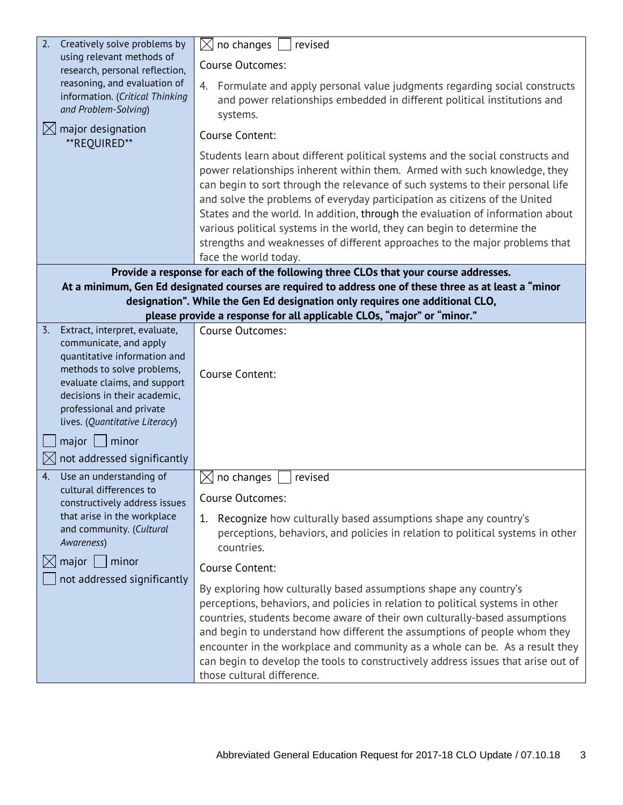| Creatively solve problems by<br>2.                                                                                                                                                                                 | no changes<br>$\boxtimes$<br>revised                                                                                                                                                                                                                                                                                                                                                                                                                                                                                                                                                             |  |  |
|--------------------------------------------------------------------------------------------------------------------------------------------------------------------------------------------------------------------|--------------------------------------------------------------------------------------------------------------------------------------------------------------------------------------------------------------------------------------------------------------------------------------------------------------------------------------------------------------------------------------------------------------------------------------------------------------------------------------------------------------------------------------------------------------------------------------------------|--|--|
| using relevant methods of<br>research, personal reflection,                                                                                                                                                        | <b>Course Outcomes:</b>                                                                                                                                                                                                                                                                                                                                                                                                                                                                                                                                                                          |  |  |
| reasoning, and evaluation of<br>information. (Critical Thinking<br>and Problem-Solving)                                                                                                                            | 4. Formulate and apply personal value judgments regarding social constructs<br>and power relationships embedded in different political institutions and<br>systems.                                                                                                                                                                                                                                                                                                                                                                                                                              |  |  |
| $\boxtimes$ major designation<br>**REQUIRED**                                                                                                                                                                      | Course Content:                                                                                                                                                                                                                                                                                                                                                                                                                                                                                                                                                                                  |  |  |
|                                                                                                                                                                                                                    | Students learn about different political systems and the social constructs and<br>power relationships inherent within them. Armed with such knowledge, they<br>can begin to sort through the relevance of such systems to their personal life<br>and solve the problems of everyday participation as citizens of the United<br>States and the world. In addition, through the evaluation of information about<br>various political systems in the world, they can begin to determine the<br>strengths and weaknesses of different approaches to the major problems that<br>face the world today. |  |  |
|                                                                                                                                                                                                                    | Provide a response for each of the following three CLOs that your course addresses.                                                                                                                                                                                                                                                                                                                                                                                                                                                                                                              |  |  |
|                                                                                                                                                                                                                    | At a minimum, Gen Ed designated courses are required to address one of these three as at least a "minor                                                                                                                                                                                                                                                                                                                                                                                                                                                                                          |  |  |
| designation". While the Gen Ed designation only requires one additional CLO,                                                                                                                                       |                                                                                                                                                                                                                                                                                                                                                                                                                                                                                                                                                                                                  |  |  |
| $\overline{3}$ .<br>Extract, interpret, evaluate,                                                                                                                                                                  | please provide a response for all applicable CLOs, "major" or "minor."<br><b>Course Outcomes:</b>                                                                                                                                                                                                                                                                                                                                                                                                                                                                                                |  |  |
| communicate, and apply<br>quantitative information and<br>methods to solve problems,<br>evaluate claims, and support<br>decisions in their academic,<br>professional and private<br>lives. (Quantitative Literacy) | Course Content:                                                                                                                                                                                                                                                                                                                                                                                                                                                                                                                                                                                  |  |  |
| $major$   minor<br>not addressed significantly                                                                                                                                                                     |                                                                                                                                                                                                                                                                                                                                                                                                                                                                                                                                                                                                  |  |  |
| Use an understanding of<br>4.                                                                                                                                                                                      | no changes<br>revised<br>IХ                                                                                                                                                                                                                                                                                                                                                                                                                                                                                                                                                                      |  |  |
| cultural differences to<br>constructively address issues<br>that arise in the workplace<br>and community. (Cultural<br>Awareness)                                                                                  | <b>Course Outcomes:</b><br>Recognize how culturally based assumptions shape any country's<br>1.<br>perceptions, behaviors, and policies in relation to political systems in other<br>countries.                                                                                                                                                                                                                                                                                                                                                                                                  |  |  |
| major<br>$\mid$ minor<br>$\boxtimes$                                                                                                                                                                               | Course Content:                                                                                                                                                                                                                                                                                                                                                                                                                                                                                                                                                                                  |  |  |
| not addressed significantly                                                                                                                                                                                        | By exploring how culturally based assumptions shape any country's<br>perceptions, behaviors, and policies in relation to political systems in other<br>countries, students become aware of their own culturally-based assumptions<br>and begin to understand how different the assumptions of people whom they<br>encounter in the workplace and community as a whole can be. As a result they<br>can begin to develop the tools to constructively address issues that arise out of<br>those cultural difference.                                                                                |  |  |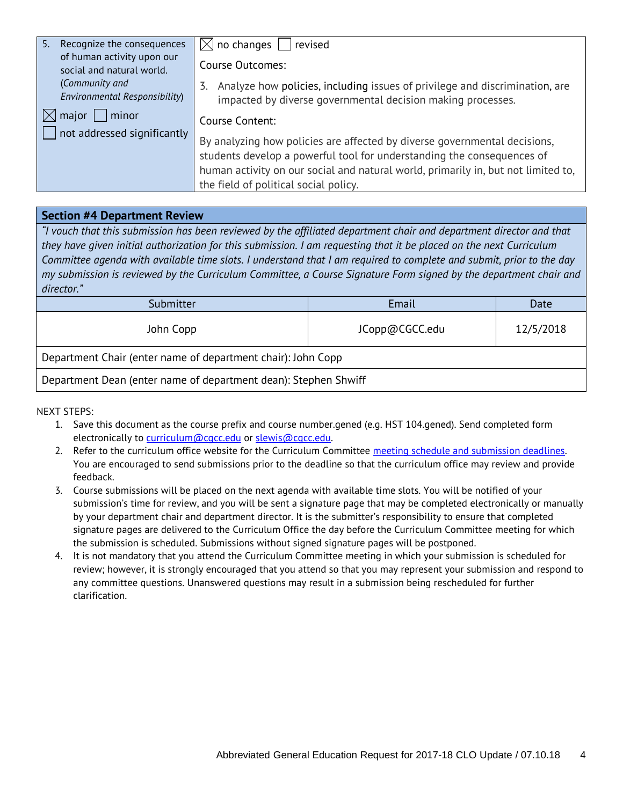| 5. | Recognize the consequences                                           | $\boxtimes$ no changes     revised                                                                                                                  |  |
|----|----------------------------------------------------------------------|-----------------------------------------------------------------------------------------------------------------------------------------------------|--|
|    | of human activity upon our<br>social and natural world.              | Course Outcomes:                                                                                                                                    |  |
|    | (Community and<br><b>Environmental Responsibility)</b>               | Analyze how policies, including issues of privilege and discrimination, are<br>3.<br>impacted by diverse governmental decision making processes.    |  |
|    | $\boxtimes$ major $\Box$ minor<br>$\Box$ not addressed significantly | Course Content:                                                                                                                                     |  |
|    |                                                                      | By analyzing how policies are affected by diverse governmental decisions,<br>students develop a powerful tool for understanding the consequences of |  |
|    |                                                                      | human activity on our social and natural world, primarily in, but not limited to,                                                                   |  |
|    |                                                                      | the field of political social policy.                                                                                                               |  |

#### **Section #4 Department Review**

*"I vouch that this submission has been reviewed by the affiliated department chair and department director and that they have given initial authorization for this submission. I am requesting that it be placed on the next Curriculum Committee agenda with available time slots. I understand that I am required to complete and submit, prior to the day my submission is reviewed by the Curriculum Committee, a Course Signature Form signed by the department chair and director."*

| Submitter                                                       | Email          | Date      |  |
|-----------------------------------------------------------------|----------------|-----------|--|
| John Copp                                                       | JCopp@CGCC.edu | 12/5/2018 |  |
| Department Chair (enter name of department chair): John Copp    |                |           |  |
| Department Dean (enter name of department dean): Stephen Shwiff |                |           |  |

NEXT STEPS:

- 1. Save this document as the course prefix and course number.gened (e.g. HST 104.gened). Send completed form electronically to [curriculum@cgcc.edu](mailto:curriculum@cgcc.edu) or [slewis@cgcc.edu.](mailto:slewis@cgcc.edu)
- 2. Refer to the curriculum office website for the Curriculum Committee [meeting schedule and submission deadlines.](https://www.cgcc.edu/curriculum/committee)  You are encouraged to send submissions prior to the deadline so that the curriculum office may review and provide feedback.
- 3. Course submissions will be placed on the next agenda with available time slots. You will be notified of your submission's time for review, and you will be sent a signature page that may be completed electronically or manually by your department chair and department director. It is the submitter's responsibility to ensure that completed signature pages are delivered to the Curriculum Office the day before the Curriculum Committee meeting for which the submission is scheduled. Submissions without signed signature pages will be postponed.
- 4. It is not mandatory that you attend the Curriculum Committee meeting in which your submission is scheduled for review; however, it is strongly encouraged that you attend so that you may represent your submission and respond to any committee questions. Unanswered questions may result in a submission being rescheduled for further clarification.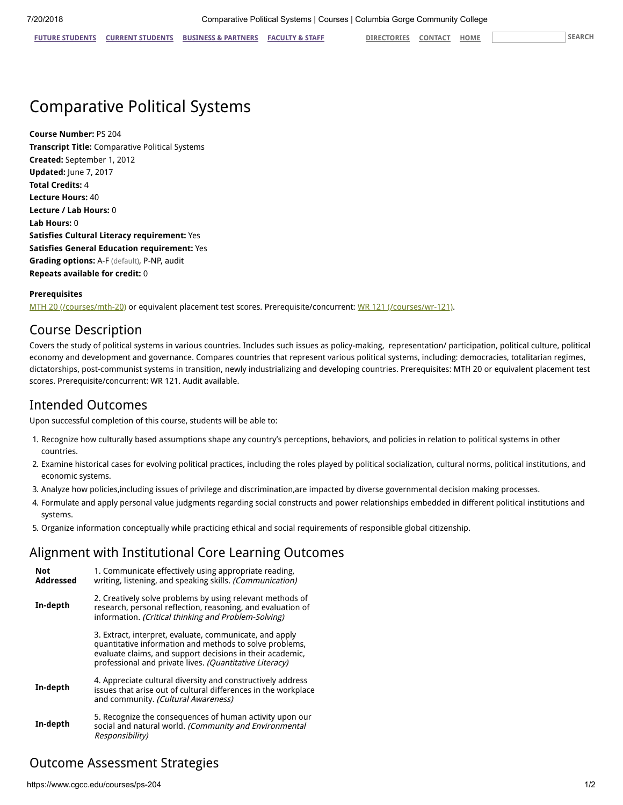## Comparative Political Systems

**Course Number:** PS 204 **Transcript Title:** Comparative Political Systems **Created:** September 1, 2012 **Updated:** June 7, 2017 **Total Credits:** 4 **Lecture Hours:** 40 **Lecture / Lab Hours:** 0 **Lab Hours:** 0 **Satisfies Cultural Literacy requirement:** Yes **Satisfies General Education requirement:** Yes **Grading options:** A-F (default), P-NP, audit **Repeats available for credit:** 0

#### **Prerequisites**

[MTH 20 \(/courses/mth-20\)](https://www.cgcc.edu/courses/mth-20) or equivalent placement test scores. Prerequisite/concurrent: [WR 121 \(/courses/wr-121\)](https://www.cgcc.edu/courses/wr-121).

### Course Description

Covers the study of political systems in various countries. Includes such issues as policy-making, representation/ participation, political culture, political economy and development and governance. Compares countries that represent various political systems, including: democracies, totalitarian regimes, dictatorships, post-communist systems in transition, newly industrializing and developing countries. Prerequisites: MTH 20 or equivalent placement test scores. Prerequisite/concurrent: WR 121. Audit available.

### Intended Outcomes

Upon successful completion of this course, students will be able to:

- 1. Recognize how culturally based assumptions shape any country's perceptions, behaviors, and policies in relation to political systems in other countries.
- 2. Examine historical cases for evolving political practices, including the roles played by political socialization, cultural norms, political institutions, and economic systems.
- 3. Analyze how policies,including issues of privilege and discrimination,are impacted by diverse governmental decision making processes.
- 4. Formulate and apply personal value judgments regarding social constructs and power relationships embedded in different political institutions and systems.
- 5. Organize information conceptually while practicing ethical and social requirements of responsible global citizenship.

### Alignment with Institutional Core Learning Outcomes

| <b>Not</b><br><b>Addressed</b> | 1. Communicate effectively using appropriate reading,<br>writing, listening, and speaking skills. (Communication)                                                                                                                          |  |
|--------------------------------|--------------------------------------------------------------------------------------------------------------------------------------------------------------------------------------------------------------------------------------------|--|
| In-depth                       | 2. Creatively solve problems by using relevant methods of<br>research, personal reflection, reasoning, and evaluation of<br>information. (Critical thinking and Problem-Solving)                                                           |  |
|                                | 3. Extract, interpret, evaluate, communicate, and apply<br>quantitative information and methods to solve problems,<br>evaluate claims, and support decisions in their academic,<br>professional and private lives. (Quantitative Literacy) |  |
| In-depth                       | 4. Appreciate cultural diversity and constructively address<br>issues that arise out of cultural differences in the workplace<br>and community. (Cultural Awareness)                                                                       |  |
| In-depth                       | 5. Recognize the consequences of human activity upon our<br>social and natural world. (Community and Environmental<br>Responsibility)                                                                                                      |  |

### Outcome Assessment Strategies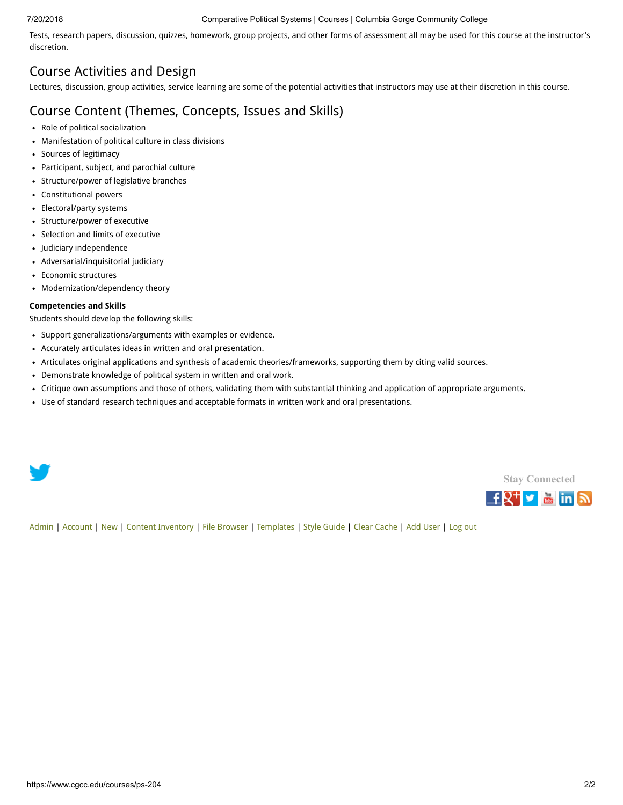#### 7/20/2018 Comparative Political Systems | Courses | Columbia Gorge Community College

Tests, research papers, discussion, quizzes, homework, group projects, and other forms of assessment all may be used for this course at the instructor's discretion.

### Course Activities and Design

Lectures, discussion, group activities, service learning are some of the potential activities that instructors may use at their discretion in this course.

### Course Content (Themes, Concepts, Issues and Skills)

- Role of political socialization
- Manifestation of political culture in class divisions
- Sources of legitimacy
- Participant, subject, and parochial culture
- Structure/power of legislative branches
- Constitutional powers
- Electoral/party systems
- Structure/power of executive
- Selection and limits of executive
- Judiciary independence
- Adversarial/inquisitorial judiciary
- Economic structures
- Modernization/dependency theory

#### **Competencies and Skills**

Students should develop the following skills:

- Support generalizations/arguments with examples or evidence.
- Accurately articulates ideas in written and oral presentation.
- Articulates original applications and synthesis of academic theories/frameworks, supporting them by citing valid sources.
- Demonstrate knowledge of political system in written and oral work.
- Critique own assumptions and those of others, validating them with substantial thinking and application of appropriate arguments.
- Use of standard research techniques and acceptable formats in written work and oral presentations.





[Admin](https://www.cgcc.edu/admin) | [Account](https://www.cgcc.edu/user) | [New](https://www.cgcc.edu/node/add) | [Content Inventory](https://www.cgcc.edu/content) | [File Browser](https://www.cgcc.edu/imce) | [Templates](https://www.cgcc.edu/templates) | [Style Guide](https://www.cgcc.edu/styleguide) | [Clear Cache](https://www.cgcc.edu/admin/clearcache) | [Add User](https://www.cgcc.edu/admin/user/user/create) | [Log out](https://www.cgcc.edu/user/logout)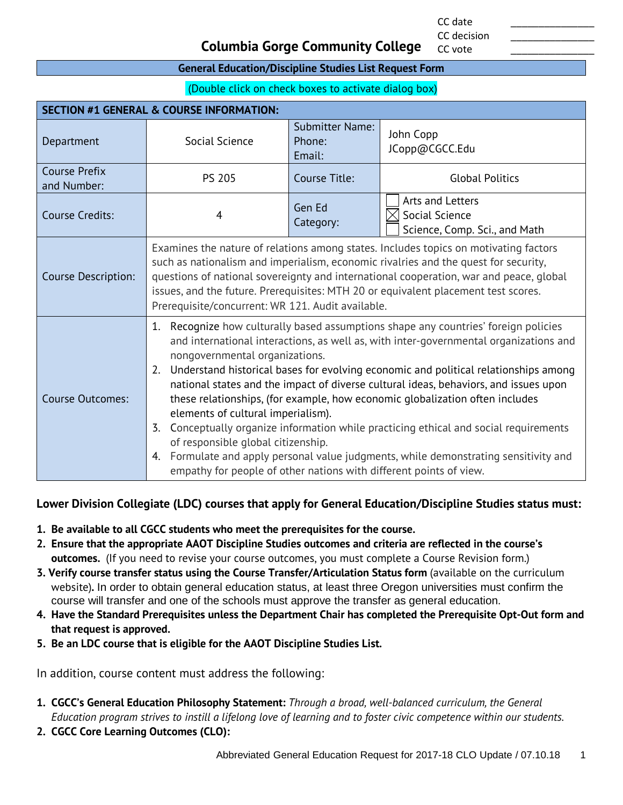CC date \_\_\_\_\_\_\_\_\_\_\_\_\_\_\_ CC decision

CC vote

### **Columbia Gorge Community College**

#### **General Education/Discipline Studies List Request Form**

(Double click on check boxes to activate dialog box)

| <b>SECTION #1 GENERAL &amp; COURSE INFORMATION:</b> |                                                                                                                                                                                                                                                                                                                                                                                                                                                                                                                                                                                                                                                                                                                                                                                                                              |                                            |                                                                     |  |
|-----------------------------------------------------|------------------------------------------------------------------------------------------------------------------------------------------------------------------------------------------------------------------------------------------------------------------------------------------------------------------------------------------------------------------------------------------------------------------------------------------------------------------------------------------------------------------------------------------------------------------------------------------------------------------------------------------------------------------------------------------------------------------------------------------------------------------------------------------------------------------------------|--------------------------------------------|---------------------------------------------------------------------|--|
| Department                                          | Social Science                                                                                                                                                                                                                                                                                                                                                                                                                                                                                                                                                                                                                                                                                                                                                                                                               | <b>Submitter Name:</b><br>Phone:<br>Email: | John Copp<br>JCopp@CGCC.Edu                                         |  |
| <b>Course Prefix</b><br>and Number:                 | <b>PS 205</b>                                                                                                                                                                                                                                                                                                                                                                                                                                                                                                                                                                                                                                                                                                                                                                                                                | Course Title:                              | <b>Global Politics</b>                                              |  |
| Course Credits:                                     | $\overline{4}$                                                                                                                                                                                                                                                                                                                                                                                                                                                                                                                                                                                                                                                                                                                                                                                                               | Gen Ed<br>Category:                        | Arts and Letters<br>Social Science<br>Science, Comp. Sci., and Math |  |
| Course Description:                                 | Examines the nature of relations among states. Includes topics on motivating factors<br>such as nationalism and imperialism, economic rivalries and the quest for security,<br>questions of national sovereignty and international cooperation, war and peace, global<br>issues, and the future. Prerequisites: MTH 20 or equivalent placement test scores.<br>Prerequisite/concurrent: WR 121. Audit available.                                                                                                                                                                                                                                                                                                                                                                                                             |                                            |                                                                     |  |
| <b>Course Outcomes:</b>                             | 1. Recognize how culturally based assumptions shape any countries' foreign policies<br>and international interactions, as well as, with inter-governmental organizations and<br>nongovernmental organizations.<br>Understand historical bases for evolving economic and political relationships among<br>2.<br>national states and the impact of diverse cultural ideas, behaviors, and issues upon<br>these relationships, (for example, how economic globalization often includes<br>elements of cultural imperialism).<br>Conceptually organize information while practicing ethical and social requirements<br>3.<br>of responsible global citizenship.<br>Formulate and apply personal value judgments, while demonstrating sensitivity and<br>4.<br>empathy for people of other nations with different points of view. |                                            |                                                                     |  |

#### **Lower Division Collegiate (LDC) courses that apply for General Education/Discipline Studies status must:**

- **1. Be available to all CGCC students who meet the prerequisites for the course.**
- **2. Ensure that the appropriate AAOT Discipline Studies outcomes and criteria are reflected in the course's outcomes.** (If you need to revise your course outcomes, you must complete a Course Revision form.)
- **3. Verify course transfer status using the Course Transfer/Articulation Status form** (available on the curriculum website)**.** In order to obtain general education status, at least three Oregon universities must confirm the course will transfer and one of the schools must approve the transfer as general education.
- **4. Have the Standard Prerequisites unless the Department Chair has completed the Prerequisite Opt-Out form and that request is approved.**
- **5. Be an LDC course that is eligible for the AAOT Discipline Studies List.**

In addition, course content must address the following:

- **1. CGCC's General Education Philosophy Statement:** *Through a broad, well-balanced curriculum, the General Education program strives to instill a lifelong love of learning and to foster civic competence within our students.*
- **2. CGCC Core Learning Outcomes (CLO):**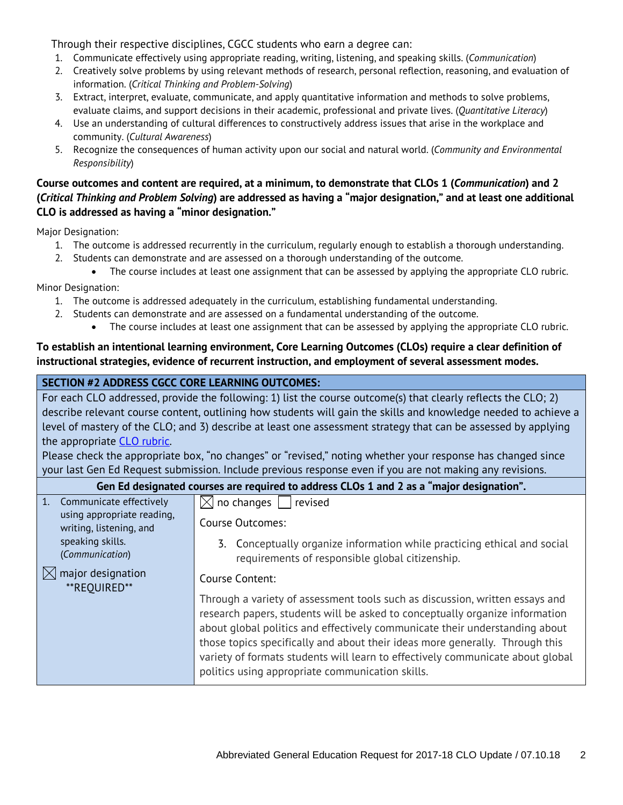Through their respective disciplines, CGCC students who earn a degree can:

- 1. Communicate effectively using appropriate reading, writing, listening, and speaking skills. (*Communication*)
- 2. Creatively solve problems by using relevant methods of research, personal reflection, reasoning, and evaluation of information. (*Critical Thinking and Problem-Solving*)
- 3. Extract, interpret, evaluate, communicate, and apply quantitative information and methods to solve problems, evaluate claims, and support decisions in their academic, professional and private lives. (*Quantitative Literacy*)
- 4. Use an understanding of cultural differences to constructively address issues that arise in the workplace and community. (*Cultural Awareness*)
- 5. Recognize the consequences of human activity upon our social and natural world. (*Community and Environmental Responsibility*)

#### **Course outcomes and content are required, at a minimum, to demonstrate that CLOs 1 (***Communication***) and 2 (***Critical Thinking and Problem Solving***) are addressed as having a "major designation," and at least one additional CLO is addressed as having a "minor designation."**

Major Designation:

- 1. The outcome is addressed recurrently in the curriculum, regularly enough to establish a thorough understanding.
- 2. Students can demonstrate and are assessed on a thorough understanding of the outcome.
	- The course includes at least one assignment that can be assessed by applying the appropriate CLO rubric.

Minor Designation:

- 1. The outcome is addressed adequately in the curriculum, establishing fundamental understanding.
- 2. Students can demonstrate and are assessed on a fundamental understanding of the outcome.
	- The course includes at least one assignment that can be assessed by applying the appropriate CLO rubric.

#### **To establish an intentional learning environment, Core Learning Outcomes (CLOs) require a clear definition of instructional strategies, evidence of recurrent instruction, and employment of several assessment modes.**

#### **SECTION #2 ADDRESS CGCC CORE LEARNING OUTCOMES:**

| For each CLO addressed, provide the following: 1) list the course outcome(s) that clearly reflects the CLO; 2)<br>describe relevant course content, outlining how students will gain the skills and knowledge needed to achieve a<br>level of mastery of the CLO; and 3) describe at least one assessment strategy that can be assessed by applying<br>the appropriate CLO rubric.<br>Please check the appropriate box, "no changes" or "revised," noting whether your response has changed since<br>your last Gen Ed Request submission. Include previous response even if you are not making any revisions. |                                                                                                                                                                                                                                                                                                                                                                                                                                                                                                                                                                                                                                                                                               |
|---------------------------------------------------------------------------------------------------------------------------------------------------------------------------------------------------------------------------------------------------------------------------------------------------------------------------------------------------------------------------------------------------------------------------------------------------------------------------------------------------------------------------------------------------------------------------------------------------------------|-----------------------------------------------------------------------------------------------------------------------------------------------------------------------------------------------------------------------------------------------------------------------------------------------------------------------------------------------------------------------------------------------------------------------------------------------------------------------------------------------------------------------------------------------------------------------------------------------------------------------------------------------------------------------------------------------|
| Gen Ed designated courses are required to address CLOs 1 and 2 as a "major designation".                                                                                                                                                                                                                                                                                                                                                                                                                                                                                                                      |                                                                                                                                                                                                                                                                                                                                                                                                                                                                                                                                                                                                                                                                                               |
| Communicate effectively<br>1.<br>using appropriate reading,<br>writing, listening, and<br>speaking skills.<br>(Communication)<br>$\boxtimes$ major designation<br>**REOUIRED**                                                                                                                                                                                                                                                                                                                                                                                                                                | $\vert\angle\vert$ no changes $\vert\vert$ revised<br>Course Outcomes:<br>3. Conceptually organize information while practicing ethical and social<br>requirements of responsible global citizenship.<br>Course Content:<br>Through a variety of assessment tools such as discussion, written essays and<br>research papers, students will be asked to conceptually organize information<br>about global politics and effectively communicate their understanding about<br>those topics specifically and about their ideas more generally. Through this<br>variety of formats students will learn to effectively communicate about global<br>politics using appropriate communication skills. |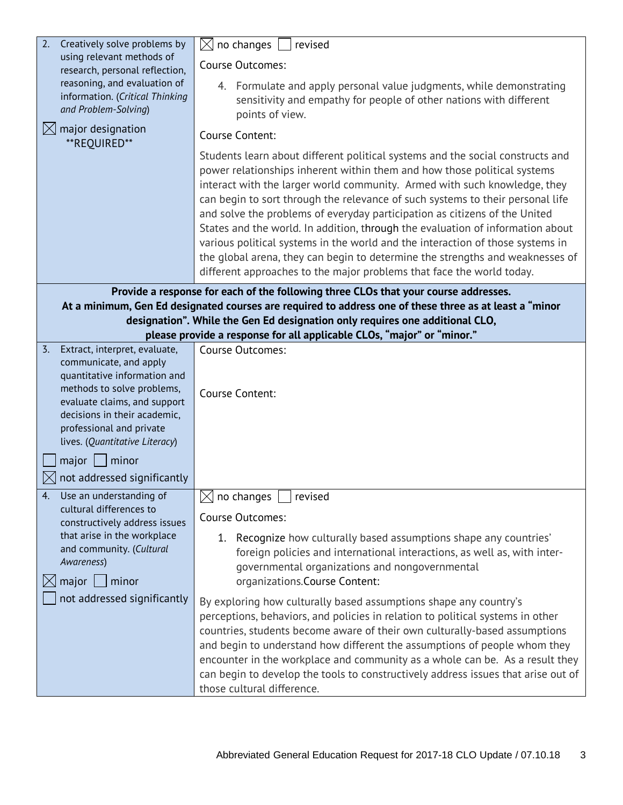| Creatively solve problems by<br>2.                                                                                                                                                                                 | no changes<br>$\times$<br>revised                                                                                                                                                                                                                                                                                                                                                                                                                                                                                                                                                                                                                                                                                                     |  |  |
|--------------------------------------------------------------------------------------------------------------------------------------------------------------------------------------------------------------------|---------------------------------------------------------------------------------------------------------------------------------------------------------------------------------------------------------------------------------------------------------------------------------------------------------------------------------------------------------------------------------------------------------------------------------------------------------------------------------------------------------------------------------------------------------------------------------------------------------------------------------------------------------------------------------------------------------------------------------------|--|--|
| using relevant methods of<br>research, personal reflection,                                                                                                                                                        | Course Outcomes:                                                                                                                                                                                                                                                                                                                                                                                                                                                                                                                                                                                                                                                                                                                      |  |  |
| reasoning, and evaluation of<br>information. (Critical Thinking<br>and Problem-Solving)                                                                                                                            | 4. Formulate and apply personal value judgments, while demonstrating<br>sensitivity and empathy for people of other nations with different<br>points of view.                                                                                                                                                                                                                                                                                                                                                                                                                                                                                                                                                                         |  |  |
| $\boxtimes$ major designation<br>**REQUIRED**                                                                                                                                                                      | Course Content:                                                                                                                                                                                                                                                                                                                                                                                                                                                                                                                                                                                                                                                                                                                       |  |  |
|                                                                                                                                                                                                                    | Students learn about different political systems and the social constructs and<br>power relationships inherent within them and how those political systems<br>interact with the larger world community. Armed with such knowledge, they<br>can begin to sort through the relevance of such systems to their personal life<br>and solve the problems of everyday participation as citizens of the United<br>States and the world. In addition, through the evaluation of information about<br>various political systems in the world and the interaction of those systems in<br>the global arena, they can begin to determine the strengths and weaknesses of<br>different approaches to the major problems that face the world today. |  |  |
|                                                                                                                                                                                                                    | Provide a response for each of the following three CLOs that your course addresses.                                                                                                                                                                                                                                                                                                                                                                                                                                                                                                                                                                                                                                                   |  |  |
|                                                                                                                                                                                                                    | At a minimum, Gen Ed designated courses are required to address one of these three as at least a "minor                                                                                                                                                                                                                                                                                                                                                                                                                                                                                                                                                                                                                               |  |  |
| designation". While the Gen Ed designation only requires one additional CLO,<br>please provide a response for all applicable CLOs, "major" or "minor."                                                             |                                                                                                                                                                                                                                                                                                                                                                                                                                                                                                                                                                                                                                                                                                                                       |  |  |
| Extract, interpret, evaluate,<br>3.                                                                                                                                                                                | <b>Course Outcomes:</b>                                                                                                                                                                                                                                                                                                                                                                                                                                                                                                                                                                                                                                                                                                               |  |  |
| communicate, and apply<br>quantitative information and<br>methods to solve problems,<br>evaluate claims, and support<br>decisions in their academic,<br>professional and private<br>lives. (Quantitative Literacy) | Course Content:                                                                                                                                                                                                                                                                                                                                                                                                                                                                                                                                                                                                                                                                                                                       |  |  |
| major<br>$\mid$ minor                                                                                                                                                                                              |                                                                                                                                                                                                                                                                                                                                                                                                                                                                                                                                                                                                                                                                                                                                       |  |  |
| not addressed significantly                                                                                                                                                                                        |                                                                                                                                                                                                                                                                                                                                                                                                                                                                                                                                                                                                                                                                                                                                       |  |  |
| Use an understanding of<br>4.                                                                                                                                                                                      | $\times$<br>no changes<br>revised                                                                                                                                                                                                                                                                                                                                                                                                                                                                                                                                                                                                                                                                                                     |  |  |
| cultural differences to<br>constructively address issues                                                                                                                                                           | Course Outcomes:                                                                                                                                                                                                                                                                                                                                                                                                                                                                                                                                                                                                                                                                                                                      |  |  |
| that arise in the workplace<br>and community. (Cultural<br>Awareness)<br>major<br>$\mid$ minor<br>not addressed significantly                                                                                      | 1. Recognize how culturally based assumptions shape any countries'<br>foreign policies and international interactions, as well as, with inter-<br>governmental organizations and nongovernmental<br>organizations.Course Content:                                                                                                                                                                                                                                                                                                                                                                                                                                                                                                     |  |  |
|                                                                                                                                                                                                                    | By exploring how culturally based assumptions shape any country's<br>perceptions, behaviors, and policies in relation to political systems in other<br>countries, students become aware of their own culturally-based assumptions<br>and begin to understand how different the assumptions of people whom they<br>encounter in the workplace and community as a whole can be. As a result they<br>can begin to develop the tools to constructively address issues that arise out of<br>those cultural difference.                                                                                                                                                                                                                     |  |  |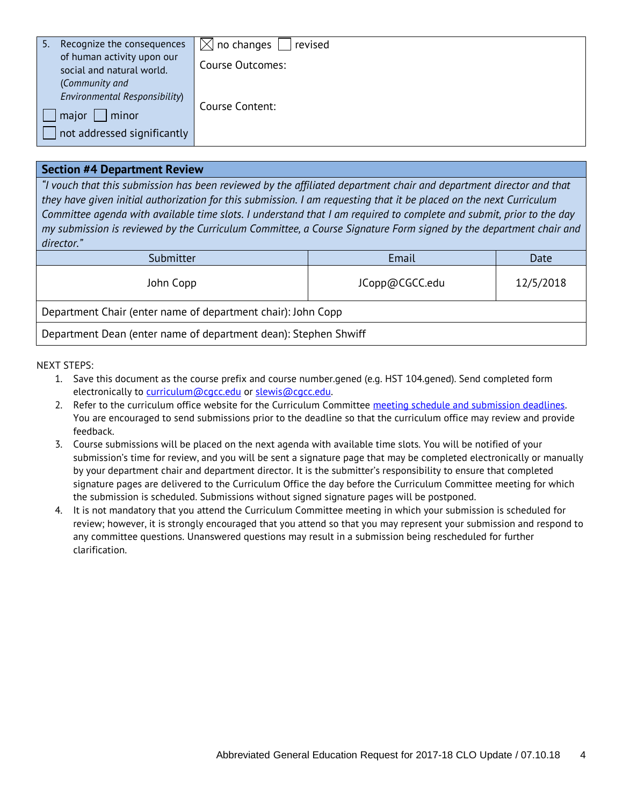| Recognize the consequences<br>5.1<br>of human activity upon our<br>social and natural world.     | $\boxtimes$ no changes<br>revised<br>Course Outcomes: |
|--------------------------------------------------------------------------------------------------|-------------------------------------------------------|
| (Community and<br>Environmental Responsibility)<br>major<br>minor<br>not addressed significantly | Course Content:                                       |

#### **Section #4 Department Review**

*"I vouch that this submission has been reviewed by the affiliated department chair and department director and that they have given initial authorization for this submission. I am requesting that it be placed on the next Curriculum Committee agenda with available time slots. I understand that I am required to complete and submit, prior to the day my submission is reviewed by the Curriculum Committee, a Course Signature Form signed by the department chair and director."*

| Submitter                                                       | Email          | Date      |
|-----------------------------------------------------------------|----------------|-----------|
| John Copp                                                       | JCopp@CGCC.edu | 12/5/2018 |
| Department Chair (enter name of department chair): John Copp    |                |           |
| Department Dean (enter name of department dean): Stephen Shwiff |                |           |

- 1. Save this document as the course prefix and course number.gened (e.g. HST 104.gened). Send completed form electronically to [curriculum@cgcc.edu](mailto:curriculum@cgcc.edu) or [slewis@cgcc.edu.](mailto:slewis@cgcc.edu)
- 2. Refer to the curriculum office website for the Curriculum Committee meeting schedule and submission deadlines. You are encouraged to send submissions prior to the deadline so that the curriculum office may review and provide feedback.
- 3. Course submissions will be placed on the next agenda with available time slots. You will be notified of your submission's time for review, and you will be sent a signature page that may be completed electronically or manually by your department chair and department director. It is the submitter's responsibility to ensure that completed signature pages are delivered to the Curriculum Office the day before the Curriculum Committee meeting for which the submission is scheduled. Submissions without signed signature pages will be postponed.
- 4. It is not mandatory that you attend the Curriculum Committee meeting in which your submission is scheduled for review; however, it is strongly encouraged that you attend so that you may represent your submission and respond to any committee questions. Unanswered questions may result in a submission being rescheduled for further clarification.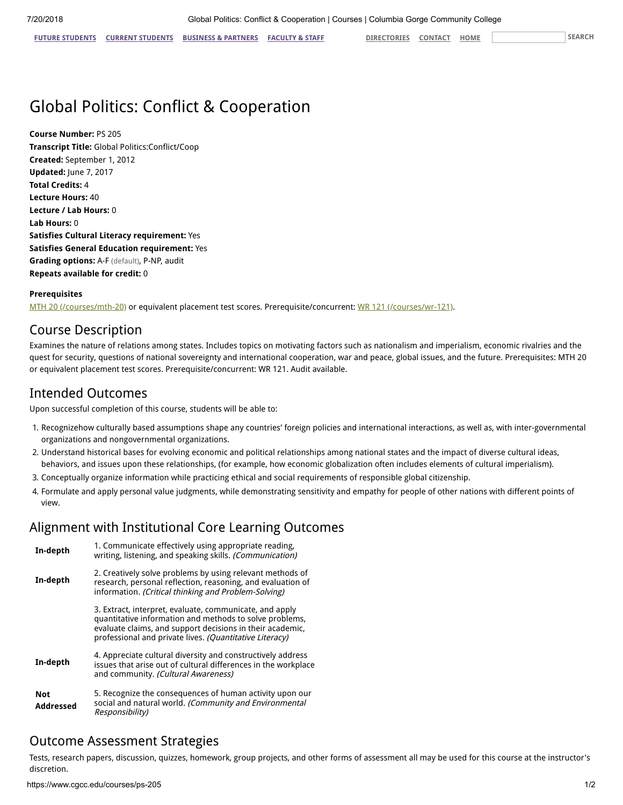**FUTURE [STUDENTS](https://www.cgcc.edu/future-students) CURRENT [STUDENTS](https://www.cgcc.edu/students) BUSINESS & [PARTNERS](https://www.cgcc.edu/business-and-partners) [FACULTY](https://www.cgcc.edu/faculty-and-staff) & STAFF [DIRECTORIES](https://www.cgcc.edu/directories) [CONTACT](https://www.cgcc.edu/contact) [HOME](https://www.cgcc.edu/) SEARCH**

# Global Politics: Conflict & Cooperation

**Course Number:** PS 205 **Transcript Title:** Global Politics:Conflict/Coop **Created:** September 1, 2012 **Updated:** June 7, 2017 **Total Credits:** 4 **Lecture Hours:** 40 **Lecture / Lab Hours:** 0 **Lab Hours:** 0 **Satisfies Cultural Literacy requirement:** Yes **Satisfies General Education requirement:** Yes **Grading options:** A-F (default), P-NP, audit **Repeats available for credit:** 0

#### **Prerequisites**

[MTH 20 \(/courses/mth-20\)](https://www.cgcc.edu/courses/mth-20) or equivalent placement test scores. Prerequisite/concurrent: [WR 121 \(/courses/wr-121\)](https://www.cgcc.edu/courses/wr-121).

# Course Description

Examines the nature of relations among states. Includes topics on motivating factors such as nationalism and imperialism, economic rivalries and the quest for security, questions of national sovereignty and international cooperation, war and peace, global issues, and the future. Prerequisites: MTH 20 or equivalent placement test scores. Prerequisite/concurrent: WR 121. Audit available.

# Intended Outcomes

Upon successful completion of this course, students will be able to:

- 1. Recognizehow culturally based assumptions shape any countries' foreign policies and international interactions, as well as, with inter-governmental organizations and nongovernmental organizations.
- 2. Understand historical bases for evolving economic and political relationships among national states and the impact of diverse cultural ideas, behaviors, and issues upon these relationships, (for example, how economic globalization often includes elements of cultural imperialism).
- 3. Conceptually organize information while practicing ethical and social requirements of responsible global citizenship.
- 4. Formulate and apply personal value judgments, while demonstrating sensitivity and empathy for people of other nations with different points of view.

# Alignment with Institutional Core Learning Outcomes

| In-depth                | 1. Communicate effectively using appropriate reading,<br>writing, listening, and speaking skills. (Communication)                                                                                                                          |
|-------------------------|--------------------------------------------------------------------------------------------------------------------------------------------------------------------------------------------------------------------------------------------|
| In-depth                | 2. Creatively solve problems by using relevant methods of<br>research, personal reflection, reasoning, and evaluation of<br>information. (Critical thinking and Problem-Solving)                                                           |
|                         | 3. Extract, interpret, evaluate, communicate, and apply<br>quantitative information and methods to solve problems,<br>evaluate claims, and support decisions in their academic,<br>professional and private lives. (Quantitative Literacy) |
| In-depth                | 4. Appreciate cultural diversity and constructively address<br>issues that arise out of cultural differences in the workplace<br>and community. (Cultural Awareness)                                                                       |
| <b>Not</b><br>Addressed | 5. Recognize the consequences of human activity upon our<br>social and natural world. (Community and Environmental<br>Responsibility)                                                                                                      |

# Outcome Assessment Strategies

Tests, research papers, discussion, quizzes, homework, group projects, and other forms of assessment all may be used for this course at the instructor's discretion.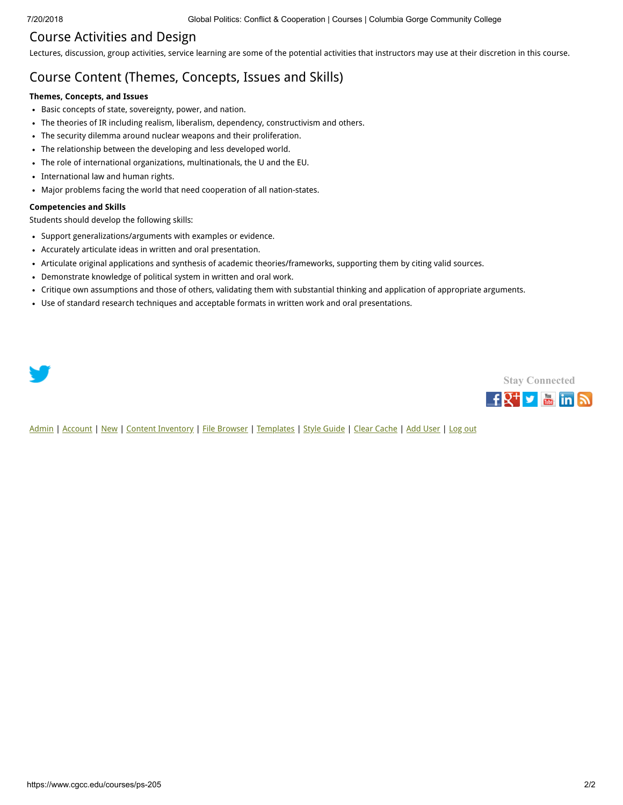# Course Activities and Design

Lectures, discussion, group activities, service learning are some of the potential activities that instructors may use at their discretion in this course.

# Course Content (Themes, Concepts, Issues and Skills)

#### **Themes, Concepts, and Issues**

- Basic concepts of state, sovereignty, power, and nation.
- The theories of IR including realism, liberalism, dependency, constructivism and others.
- The security dilemma around nuclear weapons and their proliferation.
- The relationship between the developing and less developed world.
- The role of international organizations, multinationals, the U and the EU.
- International law and human rights.
- Major problems facing the world that need cooperation of all nation-states.

#### **Competencies and Skills**

Students should develop the following skills:

- Support generalizations/arguments with examples or evidence.
- Accurately articulate ideas in written and oral presentation.
- Articulate original applications and synthesis of academic theories/frameworks, supporting them by citing valid sources.
- Demonstrate knowledge of political system in written and oral work.
- Critique own assumptions and those of others, validating them with substantial thinking and application of appropriate arguments.
- Use of standard research techniques and acceptable formats in written work and oral presentations.

**Stay [Connected](https://www.cgcc.edu/social)**

 $f_X^+$   $\bullet$   $\bullet$  in  $\circ$ 

[Admin](https://www.cgcc.edu/admin) | [Account](https://www.cgcc.edu/user) | [New](https://www.cgcc.edu/node/add) | [Content Inventory](https://www.cgcc.edu/content) | [File Browser](https://www.cgcc.edu/imce) | [Templates](https://www.cgcc.edu/templates) | [Style Guide](https://www.cgcc.edu/styleguide) | [Clear Cache](https://www.cgcc.edu/admin/clearcache) | [Add User](https://www.cgcc.edu/admin/user/user/create) | [Log out](https://www.cgcc.edu/user/logout)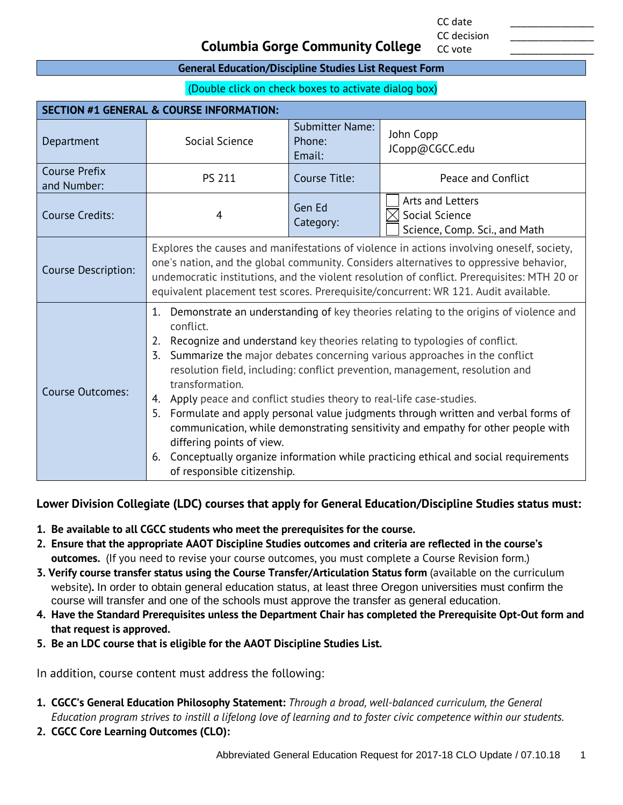CC date \_\_\_\_\_\_\_\_\_\_\_\_\_\_\_ CC decision

CC vote

# **Columbia Gorge Community College**

#### **General Education/Discipline Studies List Request Form**

(Double click on check boxes to activate dialog box)

| <b>SECTION #1 GENERAL &amp; COURSE INFORMATION:</b> |                                                                                                                                                                                                                                                                                                                                                                                                                                                                                                                                                                                                                                                                                                                                                                                                    |                                            |                                                                     |
|-----------------------------------------------------|----------------------------------------------------------------------------------------------------------------------------------------------------------------------------------------------------------------------------------------------------------------------------------------------------------------------------------------------------------------------------------------------------------------------------------------------------------------------------------------------------------------------------------------------------------------------------------------------------------------------------------------------------------------------------------------------------------------------------------------------------------------------------------------------------|--------------------------------------------|---------------------------------------------------------------------|
| Department                                          | Social Science                                                                                                                                                                                                                                                                                                                                                                                                                                                                                                                                                                                                                                                                                                                                                                                     | <b>Submitter Name:</b><br>Phone:<br>Email: | John Copp<br>JCopp@CGCC.edu                                         |
| <b>Course Prefix</b><br>and Number:                 | <b>PS 211</b>                                                                                                                                                                                                                                                                                                                                                                                                                                                                                                                                                                                                                                                                                                                                                                                      | Course Title:                              | Peace and Conflict                                                  |
| <b>Course Credits:</b>                              | 4                                                                                                                                                                                                                                                                                                                                                                                                                                                                                                                                                                                                                                                                                                                                                                                                  | Gen Ed<br>Category:                        | Arts and Letters<br>Social Science<br>Science, Comp. Sci., and Math |
| <b>Course Description:</b>                          | Explores the causes and manifestations of violence in actions involving oneself, society,<br>one's nation, and the global community. Considers alternatives to oppressive behavior,<br>undemocratic institutions, and the violent resolution of conflict. Prerequisites: MTH 20 or<br>equivalent placement test scores. Prerequisite/concurrent: WR 121. Audit available.                                                                                                                                                                                                                                                                                                                                                                                                                          |                                            |                                                                     |
| Course Outcomes:                                    | Demonstrate an understanding of key theories relating to the origins of violence and<br>1.<br>conflict.<br>Recognize and understand key theories relating to typologies of conflict.<br>2.<br>Summarize the major debates concerning various approaches in the conflict<br>3.<br>resolution field, including: conflict prevention, management, resolution and<br>transformation.<br>Apply peace and conflict studies theory to real-life case-studies.<br>4.<br>Formulate and apply personal value judgments through written and verbal forms of<br>5.<br>communication, while demonstrating sensitivity and empathy for other people with<br>differing points of view.<br>Conceptually organize information while practicing ethical and social requirements<br>6.<br>of responsible citizenship. |                                            |                                                                     |

## **Lower Division Collegiate (LDC) courses that apply for General Education/Discipline Studies status must:**

- **1. Be available to all CGCC students who meet the prerequisites for the course.**
- **2. Ensure that the appropriate AAOT Discipline Studies outcomes and criteria are reflected in the course's outcomes.** (If you need to revise your course outcomes, you must complete a Course Revision form.)
- **3. Verify course transfer status using the Course Transfer/Articulation Status form** (available on the curriculum website)**.** In order to obtain general education status, at least three Oregon universities must confirm the course will transfer and one of the schools must approve the transfer as general education.
- **4. Have the Standard Prerequisites unless the Department Chair has completed the Prerequisite Opt-Out form and that request is approved.**
- **5. Be an LDC course that is eligible for the AAOT Discipline Studies List.**

In addition, course content must address the following:

- **1. CGCC's General Education Philosophy Statement:** *Through a broad, well-balanced curriculum, the General Education program strives to instill a lifelong love of learning and to foster civic competence within our students.*
- **2. CGCC Core Learning Outcomes (CLO):**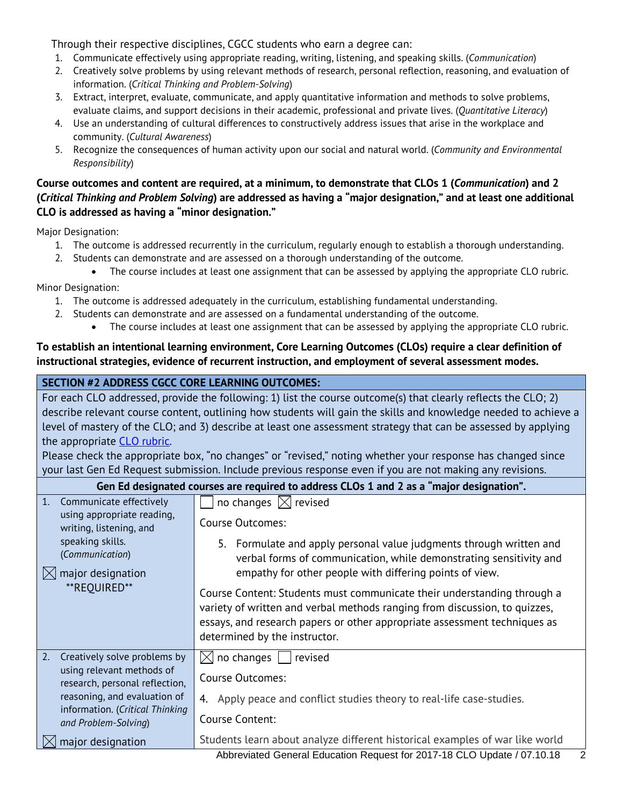Through their respective disciplines, CGCC students who earn a degree can:

- 1. Communicate effectively using appropriate reading, writing, listening, and speaking skills. (*Communication*)
- 2. Creatively solve problems by using relevant methods of research, personal reflection, reasoning, and evaluation of information. (*Critical Thinking and Problem-Solving*)
- 3. Extract, interpret, evaluate, communicate, and apply quantitative information and methods to solve problems, evaluate claims, and support decisions in their academic, professional and private lives. (*Quantitative Literacy*)
- 4. Use an understanding of cultural differences to constructively address issues that arise in the workplace and community. (*Cultural Awareness*)
- 5. Recognize the consequences of human activity upon our social and natural world. (*Community and Environmental Responsibility*)

## **Course outcomes and content are required, at a minimum, to demonstrate that CLOs 1 (***Communication***) and 2 (***Critical Thinking and Problem Solving***) are addressed as having a "major designation," and at least one additional CLO is addressed as having a "minor designation."**

Major Designation:

- 1. The outcome is addressed recurrently in the curriculum, regularly enough to establish a thorough understanding.
- 2. Students can demonstrate and are assessed on a thorough understanding of the outcome.
	- The course includes at least one assignment that can be assessed by applying the appropriate CLO rubric.

Minor Designation:

- 1. The outcome is addressed adequately in the curriculum, establishing fundamental understanding.
- 2. Students can demonstrate and are assessed on a fundamental understanding of the outcome.
	- The course includes at least one assignment that can be assessed by applying the appropriate CLO rubric.

## **To establish an intentional learning environment, Core Learning Outcomes (CLOs) require a clear definition of instructional strategies, evidence of recurrent instruction, and employment of several assessment modes.**

## **SECTION #2 ADDRESS CGCC CORE LEARNING OUTCOMES:**

For each CLO addressed, provide the following: 1) list the course outcome(s) that clearly reflects the CLO; 2) describe relevant course content, outlining how students will gain the skills and knowledge needed to achieve a level of mastery of the CLO; and 3) describe at least one assessment strategy that can be assessed by applying the appropriate [CLO rubric.](http://www.cgcc.edu/institutional-assessment/institutional-core-learning-outcomes-assessment)

Please check the appropriate box, "no changes" or "revised," noting whether your response has changed since your last Gen Ed Request submission. Include previous response even if you are not making any revisions.

| Gen Ed designated courses are required to address CLOs 1 and 2 as a "major designation". |                                                                                                                                                                                                                                                                     |  |
|------------------------------------------------------------------------------------------|---------------------------------------------------------------------------------------------------------------------------------------------------------------------------------------------------------------------------------------------------------------------|--|
| 1.<br>Communicate effectively                                                            | no changes $\boxtimes$ revised                                                                                                                                                                                                                                      |  |
| using appropriate reading,<br>writing, listening, and                                    | <b>Course Outcomes:</b>                                                                                                                                                                                                                                             |  |
| speaking skills.<br>(Communication)<br>major designation                                 | 5. Formulate and apply personal value judgments through written and<br>verbal forms of communication, while demonstrating sensitivity and<br>empathy for other people with differing points of view.                                                                |  |
| **REOUIRED**                                                                             | Course Content: Students must communicate their understanding through a<br>variety of written and verbal methods ranging from discussion, to quizzes,<br>essays, and research papers or other appropriate assessment techniques as<br>determined by the instructor. |  |
| 2.<br>Creatively solve problems by                                                       | $\boxtimes$ no changes<br>revised                                                                                                                                                                                                                                   |  |
| using relevant methods of<br>research, personal reflection,                              | <b>Course Outcomes:</b>                                                                                                                                                                                                                                             |  |
| reasoning, and evaluation of<br>information. (Critical Thinking                          | Apply peace and conflict studies theory to real-life case-studies.<br>4.<br>Course Content:                                                                                                                                                                         |  |
| and Problem-Solving)                                                                     |                                                                                                                                                                                                                                                                     |  |
| major designation                                                                        | Students learn about analyze different historical examples of war like world                                                                                                                                                                                        |  |
|                                                                                          | Abbreviated General Education Request for 2017-18 CLO Update / 07.10.18<br>2                                                                                                                                                                                        |  |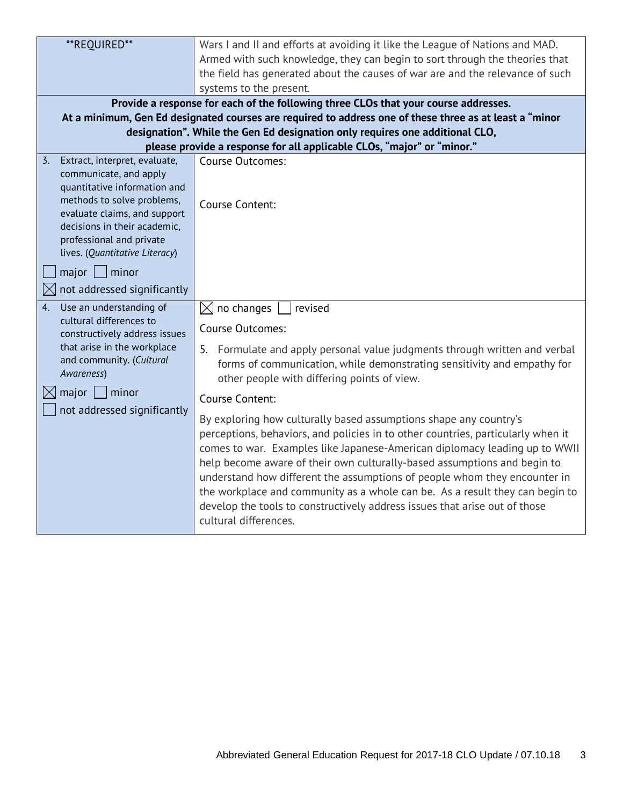| **REQUIRED**                                                 | Wars I and II and efforts at avoiding it like the League of Nations and MAD.                                                                                                                                                                                                                                                                                                                                                                                                                                                                                                        |
|--------------------------------------------------------------|-------------------------------------------------------------------------------------------------------------------------------------------------------------------------------------------------------------------------------------------------------------------------------------------------------------------------------------------------------------------------------------------------------------------------------------------------------------------------------------------------------------------------------------------------------------------------------------|
|                                                              | Armed with such knowledge, they can begin to sort through the theories that                                                                                                                                                                                                                                                                                                                                                                                                                                                                                                         |
|                                                              | the field has generated about the causes of war are and the relevance of such                                                                                                                                                                                                                                                                                                                                                                                                                                                                                                       |
|                                                              | systems to the present.                                                                                                                                                                                                                                                                                                                                                                                                                                                                                                                                                             |
|                                                              | Provide a response for each of the following three CLOs that your course addresses.                                                                                                                                                                                                                                                                                                                                                                                                                                                                                                 |
|                                                              | At a minimum, Gen Ed designated courses are required to address one of these three as at least a "minor                                                                                                                                                                                                                                                                                                                                                                                                                                                                             |
|                                                              | designation". While the Gen Ed designation only requires one additional CLO,                                                                                                                                                                                                                                                                                                                                                                                                                                                                                                        |
|                                                              | please provide a response for all applicable CLOs, "major" or "minor."                                                                                                                                                                                                                                                                                                                                                                                                                                                                                                              |
| Extract, interpret, evaluate,<br>$\overline{3}$ .            | <b>Course Outcomes:</b>                                                                                                                                                                                                                                                                                                                                                                                                                                                                                                                                                             |
| communicate, and apply                                       |                                                                                                                                                                                                                                                                                                                                                                                                                                                                                                                                                                                     |
| quantitative information and                                 |                                                                                                                                                                                                                                                                                                                                                                                                                                                                                                                                                                                     |
| methods to solve problems,                                   | Course Content:                                                                                                                                                                                                                                                                                                                                                                                                                                                                                                                                                                     |
| evaluate claims, and support<br>decisions in their academic, |                                                                                                                                                                                                                                                                                                                                                                                                                                                                                                                                                                                     |
| professional and private                                     |                                                                                                                                                                                                                                                                                                                                                                                                                                                                                                                                                                                     |
| lives. (Quantitative Literacy)                               |                                                                                                                                                                                                                                                                                                                                                                                                                                                                                                                                                                                     |
|                                                              |                                                                                                                                                                                                                                                                                                                                                                                                                                                                                                                                                                                     |
| $major$ minor                                                |                                                                                                                                                                                                                                                                                                                                                                                                                                                                                                                                                                                     |
| not addressed significantly                                  |                                                                                                                                                                                                                                                                                                                                                                                                                                                                                                                                                                                     |
| Use an understanding of<br>4.                                | no changes<br>$\boxtimes$<br>revised                                                                                                                                                                                                                                                                                                                                                                                                                                                                                                                                                |
| cultural differences to<br>constructively address issues     | <b>Course Outcomes:</b>                                                                                                                                                                                                                                                                                                                                                                                                                                                                                                                                                             |
| that arise in the workplace                                  |                                                                                                                                                                                                                                                                                                                                                                                                                                                                                                                                                                                     |
| and community. (Cultural                                     | 5. Formulate and apply personal value judgments through written and verbal<br>forms of communication, while demonstrating sensitivity and empathy for                                                                                                                                                                                                                                                                                                                                                                                                                               |
| Awareness)                                                   | other people with differing points of view.                                                                                                                                                                                                                                                                                                                                                                                                                                                                                                                                         |
| $major$   minor<br>IXI                                       |                                                                                                                                                                                                                                                                                                                                                                                                                                                                                                                                                                                     |
| not addressed significantly                                  | Course Content:                                                                                                                                                                                                                                                                                                                                                                                                                                                                                                                                                                     |
|                                                              | By exploring how culturally based assumptions shape any country's<br>perceptions, behaviors, and policies in to other countries, particularly when it<br>comes to war. Examples like Japanese-American diplomacy leading up to WWII<br>help become aware of their own culturally-based assumptions and begin to<br>understand how different the assumptions of people whom they encounter in<br>the workplace and community as a whole can be. As a result they can begin to<br>develop the tools to constructively address issues that arise out of those<br>cultural differences. |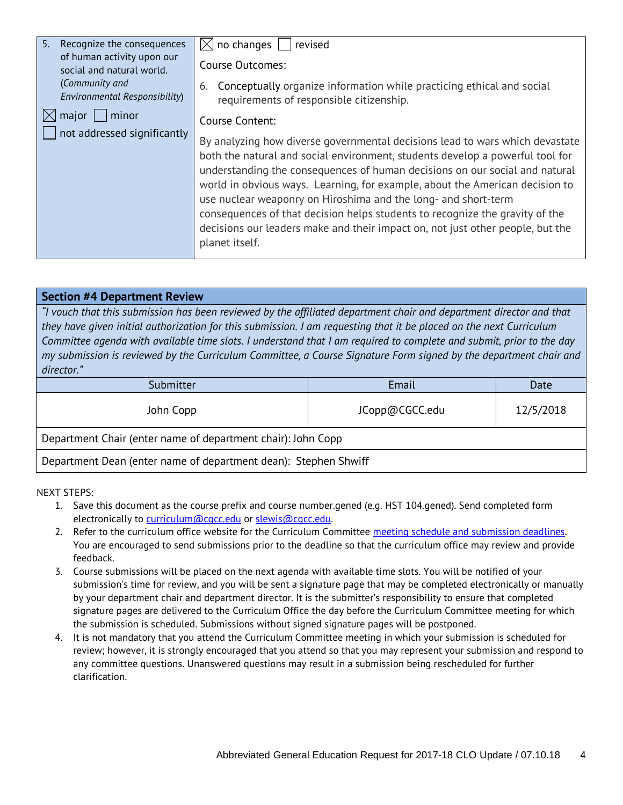| 5.<br>Recognize the consequences                        | $\boxtimes$ no changes<br>revised                                                                                                                                                                                                                                                                                                                                                                                                                                                                                                                                                  |  |
|---------------------------------------------------------|------------------------------------------------------------------------------------------------------------------------------------------------------------------------------------------------------------------------------------------------------------------------------------------------------------------------------------------------------------------------------------------------------------------------------------------------------------------------------------------------------------------------------------------------------------------------------------|--|
| of human activity upon our<br>social and natural world. | Course Outcomes:                                                                                                                                                                                                                                                                                                                                                                                                                                                                                                                                                                   |  |
| (Community and<br>Environmental Responsibility)         | Conceptually organize information while practicing ethical and social<br>6.<br>requirements of responsible citizenship.                                                                                                                                                                                                                                                                                                                                                                                                                                                            |  |
| major<br>minor<br> X                                    | Course Content:                                                                                                                                                                                                                                                                                                                                                                                                                                                                                                                                                                    |  |
| not addressed significantly                             | By analyzing how diverse governmental decisions lead to wars which devastate<br>both the natural and social environment, students develop a powerful tool for<br>understanding the consequences of human decisions on our social and natural<br>world in obvious ways. Learning, for example, about the American decision to<br>use nuclear weaponry on Hiroshima and the long- and short-term<br>consequences of that decision helps students to recognize the gravity of the<br>decisions our leaders make and their impact on, not just other people, but the<br>planet itself. |  |

#### **Section #4 Department Review**

*"I vouch that this submission has been reviewed by the affiliated department chair and department director and that they have given initial authorization for this submission. I am requesting that it be placed on the next Curriculum Committee agenda with available time slots. I understand that I am required to complete and submit, prior to the day my submission is reviewed by the Curriculum Committee, a Course Signature Form signed by the department chair and director."*

| Submitter                                                    | Email          | Date      |
|--------------------------------------------------------------|----------------|-----------|
| John Copp                                                    | JCopp@CGCC.edu | 12/5/2018 |
| Department Chair (enter name of department chair): John Copp |                |           |

Department Dean (enter name of department dean): Stephen Shwiff

- 1. Save this document as the course prefix and course number.gened (e.g. HST 104.gened). Send completed form electronically to curriculum@cacc.edu or slewis@cacc.edu.
- 2. Refer to the curriculum office website for the Curriculum Committee meeting schedule and submission deadlines. You are encouraged to send submissions prior to the deadline so that the curriculum office may review and provide feedback.
- 3. Course submissions will be placed on the next agenda with available time slots. You will be notified of your submission's time for review, and you will be sent a signature page that may be completed electronically or manually by your department chair and department director. It is the submitter's responsibility to ensure that completed signature pages are delivered to the Curriculum Office the day before the Curriculum Committee meeting for which the submission is scheduled. Submissions without signed signature pages will be postponed.
- 4. It is not mandatory that you attend the Curriculum Committee meeting in which your submission is scheduled for review; however, it is strongly encouraged that you attend so that you may represent your submission and respond to any committee questions. Unanswered questions may result in a submission being rescheduled for further clarification.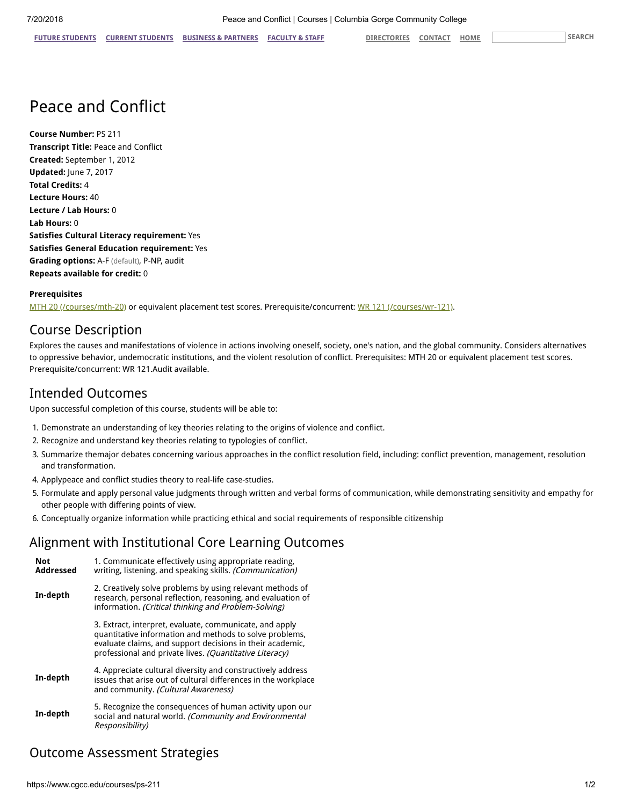# Peace and Conflict

**Course Number:** PS 211 **Transcript Title:** Peace and Conflict **Created:** September 1, 2012 **Updated:** June 7, 2017 **Total Credits:** 4 **Lecture Hours:** 40 **Lecture / Lab Hours:** 0 **Lab Hours:** 0 **Satisfies Cultural Literacy requirement:** Yes **Satisfies General Education requirement:** Yes **Grading options:** A-F (default), P-NP, audit **Repeats available for credit:** 0

#### **Prerequisites**

[MTH 20 \(/courses/mth-20\)](https://www.cgcc.edu/courses/mth-20) or equivalent placement test scores. Prerequisite/concurrent: [WR 121 \(/courses/wr-121\)](https://www.cgcc.edu/courses/wr-121).

# Course Description

Explores the causes and manifestations of violence in actions involving oneself, society, one's nation, and the global community. Considers alternatives to oppressive behavior, undemocratic institutions, and the violent resolution of conflict. Prerequisites: MTH 20 or equivalent placement test scores. Prerequisite/concurrent: WR 121.Audit available.

# Intended Outcomes

Upon successful completion of this course, students will be able to:

- 1. Demonstrate an understanding of key theories relating to the origins of violence and conflict.
- 2. Recognize and understand key theories relating to typologies of conflict.
- 3. Summarize themajor debates concerning various approaches in the conflict resolution field, including: conflict prevention, management, resolution and transformation.
- 4. Applypeace and conflict studies theory to real-life case-studies.
- 5. Formulate and apply personal value judgments through written and verbal forms of communication, while demonstrating sensitivity and empathy for other people with differing points of view.
- 6. Conceptually organize information while practicing ethical and social requirements of responsible citizenship

# Alignment with Institutional Core Learning Outcomes

| <b>Not</b><br><b>Addressed</b> | 1. Communicate effectively using appropriate reading,<br>writing, listening, and speaking skills. (Communication)                                                                                                                          |
|--------------------------------|--------------------------------------------------------------------------------------------------------------------------------------------------------------------------------------------------------------------------------------------|
| In-depth                       | 2. Creatively solve problems by using relevant methods of<br>research, personal reflection, reasoning, and evaluation of<br>information. (Critical thinking and Problem-Solving)                                                           |
|                                | 3. Extract, interpret, evaluate, communicate, and apply<br>quantitative information and methods to solve problems,<br>evaluate claims, and support decisions in their academic,<br>professional and private lives. (Quantitative Literacy) |
| In-depth                       | 4. Appreciate cultural diversity and constructively address<br>issues that arise out of cultural differences in the workplace<br>and community. (Cultural Awareness)                                                                       |
| In-depth                       | 5. Recognize the consequences of human activity upon our<br>social and natural world. (Community and Environmental<br>Responsibility)                                                                                                      |

# Outcome Assessment Strategies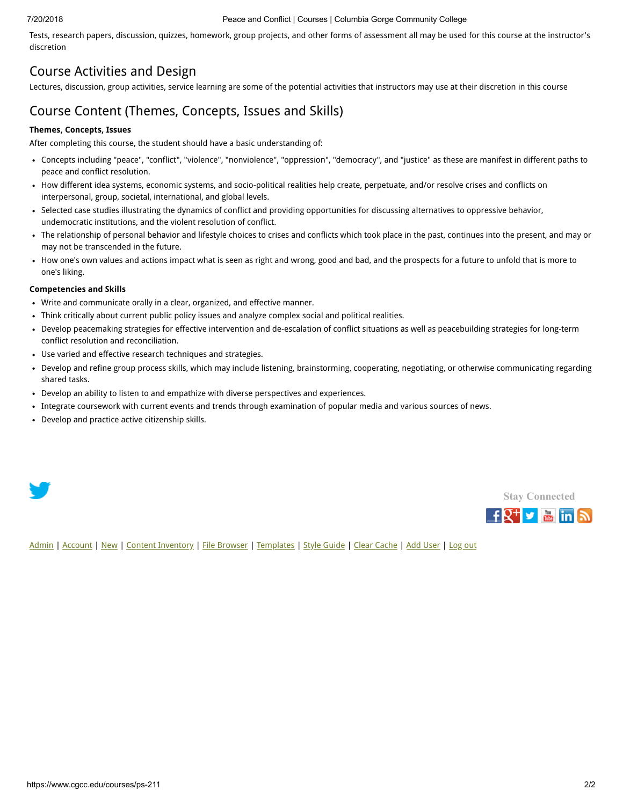#### 7/20/2018 Peace and Conflict | Courses | Columbia Gorge Community College

Tests, research papers, discussion, quizzes, homework, group projects, and other forms of assessment all may be used for this course at the instructor's discretion

# Course Activities and Design

Lectures, discussion, group activities, service learning are some of the potential activities that instructors may use at their discretion in this course

# Course Content (Themes, Concepts, Issues and Skills)

#### **Themes, Concepts, Issues**

After completing this course, the student should have a basic understanding of:

- Concepts including "peace", "conflict", "violence", "nonviolence", "oppression", "democracy", and "justice" as these are manifest in different paths to peace and conflict resolution.
- How different idea systems, economic systems, and socio-political realities help create, perpetuate, and/or resolve crises and conflicts on interpersonal, group, societal, international, and global levels.
- Selected case studies illustrating the dynamics of conflict and providing opportunities for discussing alternatives to oppressive behavior, undemocratic institutions, and the violent resolution of conflict.
- The relationship of personal behavior and lifestyle choices to crises and conflicts which took place in the past, continues into the present, and may or may not be transcended in the future.
- How one's own values and actions impact what is seen as right and wrong, good and bad, and the prospects for a future to unfold that is more to one's liking.

#### **Competencies and Skills**

- Write and communicate orally in a clear, organized, and effective manner.
- Think critically about current public policy issues and analyze complex social and political realities.
- Develop peacemaking strategies for effective intervention and de-escalation of conflict situations as well as peacebuilding strategies for long-term conflict resolution and reconciliation.
- Use varied and effective research techniques and strategies.
- Develop and refine group process skills, which may include listening, brainstorming, cooperating, negotiating, or otherwise communicating regarding shared tasks.
- Develop an ability to listen to and empathize with diverse perspectives and experiences.
- Integrate coursework with current events and trends through examination of popular media and various sources of news.
- Develop and practice active citizenship skills.





[Admin](https://www.cgcc.edu/admin) | [Account](https://www.cgcc.edu/user) | [New](https://www.cgcc.edu/node/add) | [Content Inventory](https://www.cgcc.edu/content) | [File Browser](https://www.cgcc.edu/imce) | [Templates](https://www.cgcc.edu/templates) | [Style Guide](https://www.cgcc.edu/styleguide) | [Clear Cache](https://www.cgcc.edu/admin/clearcache) | [Add User](https://www.cgcc.edu/admin/user/user/create) | [Log out](https://www.cgcc.edu/user/logout)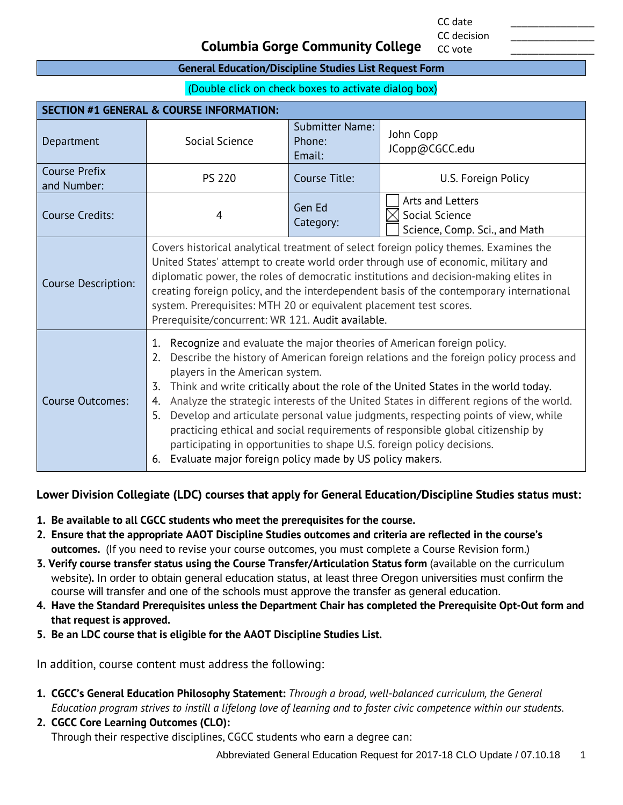CC date \_\_\_\_\_\_\_\_\_\_\_\_\_\_\_ CC decision

CC vote

# **Columbia Gorge Community College**

#### **General Education/Discipline Studies List Request Form**

(Double click on check boxes to activate dialog box)

| <b>SECTION #1 GENERAL &amp; COURSE INFORMATION:</b> |                                                                                                                                                                                                                                                                                                                                                                                                                                                                                                                                                                                                                                                                                                                                     |                                            |                                                                     |
|-----------------------------------------------------|-------------------------------------------------------------------------------------------------------------------------------------------------------------------------------------------------------------------------------------------------------------------------------------------------------------------------------------------------------------------------------------------------------------------------------------------------------------------------------------------------------------------------------------------------------------------------------------------------------------------------------------------------------------------------------------------------------------------------------------|--------------------------------------------|---------------------------------------------------------------------|
| Department                                          | Social Science                                                                                                                                                                                                                                                                                                                                                                                                                                                                                                                                                                                                                                                                                                                      | <b>Submitter Name:</b><br>Phone:<br>Email: | John Copp<br>JCopp@CGCC.edu                                         |
| <b>Course Prefix</b><br>and Number:                 | <b>PS 220</b>                                                                                                                                                                                                                                                                                                                                                                                                                                                                                                                                                                                                                                                                                                                       | Course Title:                              | U.S. Foreign Policy                                                 |
| <b>Course Credits:</b>                              | 4                                                                                                                                                                                                                                                                                                                                                                                                                                                                                                                                                                                                                                                                                                                                   | Gen Ed<br>Category:                        | Arts and Letters<br>Social Science<br>Science, Comp. Sci., and Math |
| Course Description:                                 | Covers historical analytical treatment of select foreign policy themes. Examines the<br>United States' attempt to create world order through use of economic, military and<br>diplomatic power, the roles of democratic institutions and decision-making elites in<br>creating foreign policy, and the interdependent basis of the contemporary international<br>system. Prerequisites: MTH 20 or equivalent placement test scores.<br>Prerequisite/concurrent: WR 121. Audit available.                                                                                                                                                                                                                                            |                                            |                                                                     |
| <b>Course Outcomes:</b>                             | Recognize and evaluate the major theories of American foreign policy.<br>1.<br>Describe the history of American foreign relations and the foreign policy process and<br>2.<br>players in the American system.<br>Think and write critically about the role of the United States in the world today.<br>3.<br>Analyze the strategic interests of the United States in different regions of the world.<br>4.<br>Develop and articulate personal value judgments, respecting points of view, while<br>5.<br>practicing ethical and social requirements of responsible global citizenship by<br>participating in opportunities to shape U.S. foreign policy decisions.<br>Evaluate major foreign policy made by US policy makers.<br>6. |                                            |                                                                     |

## **Lower Division Collegiate (LDC) courses that apply for General Education/Discipline Studies status must:**

- **1. Be available to all CGCC students who meet the prerequisites for the course.**
- **2. Ensure that the appropriate AAOT Discipline Studies outcomes and criteria are reflected in the course's outcomes.** (If you need to revise your course outcomes, you must complete a Course Revision form.)
- **3. Verify course transfer status using the Course Transfer/Articulation Status form** (available on the curriculum website)**.** In order to obtain general education status, at least three Oregon universities must confirm the course will transfer and one of the schools must approve the transfer as general education.
- **4. Have the Standard Prerequisites unless the Department Chair has completed the Prerequisite Opt-Out form and that request is approved.**
- **5. Be an LDC course that is eligible for the AAOT Discipline Studies List.**

In addition, course content must address the following:

- **1. CGCC's General Education Philosophy Statement:** *Through a broad, well-balanced curriculum, the General Education program strives to instill a lifelong love of learning and to foster civic competence within our students.*
- **2. CGCC Core Learning Outcomes (CLO):** Through their respective disciplines, CGCC students who earn a degree can:

Abbreviated General Education Request for 2017-18 CLO Update / 07.10.18 1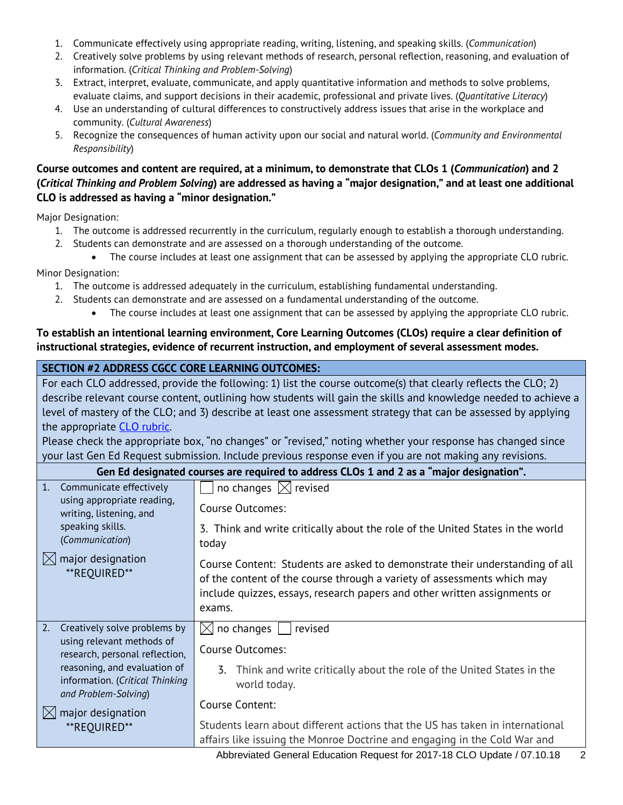- 1. Communicate effectively using appropriate reading, writing, listening, and speaking skills. (*Communication*)
- 2. Creatively solve problems by using relevant methods of research, personal reflection, reasoning, and evaluation of information. (*Critical Thinking and Problem-Solving*)
- 3. Extract, interpret, evaluate, communicate, and apply quantitative information and methods to solve problems, evaluate claims, and support decisions in their academic, professional and private lives. (*Quantitative Literacy*)
- 4. Use an understanding of cultural differences to constructively address issues that arise in the workplace and community. (*Cultural Awareness*)
- 5. Recognize the consequences of human activity upon our social and natural world. (*Community and Environmental Responsibility*)

## **Course outcomes and content are required, at a minimum, to demonstrate that CLOs 1 (***Communication***) and 2 (***Critical Thinking and Problem Solving***) are addressed as having a "major designation," and at least one additional CLO is addressed as having a "minor designation."**

Major Designation:

- 1. The outcome is addressed recurrently in the curriculum, regularly enough to establish a thorough understanding.
- 2. Students can demonstrate and are assessed on a thorough understanding of the outcome.
- The course includes at least one assignment that can be assessed by applying the appropriate CLO rubric. Minor Designation:
	- 1. The outcome is addressed adequately in the curriculum, establishing fundamental understanding.
	- 2. Students can demonstrate and are assessed on a fundamental understanding of the outcome.
		- The course includes at least one assignment that can be assessed by applying the appropriate CLO rubric.

## **To establish an intentional learning environment, Core Learning Outcomes (CLOs) require a clear definition of instructional strategies, evidence of recurrent instruction, and employment of several assessment modes.**

| <b>SECTION #2 ADDRESS CGCC CORE LEARNING OUTCOMES:</b>                                                                                                                                      |                                                                                                                                                                                                                                                                                                                                                                                                                                                                                                                                                                                                                                                                            |  |
|---------------------------------------------------------------------------------------------------------------------------------------------------------------------------------------------|----------------------------------------------------------------------------------------------------------------------------------------------------------------------------------------------------------------------------------------------------------------------------------------------------------------------------------------------------------------------------------------------------------------------------------------------------------------------------------------------------------------------------------------------------------------------------------------------------------------------------------------------------------------------------|--|
| the appropriate CLO rubric.                                                                                                                                                                 | For each CLO addressed, provide the following: 1) list the course outcome(s) that clearly reflects the CLO; 2)<br>describe relevant course content, outlining how students will gain the skills and knowledge needed to achieve a<br>level of mastery of the CLO; and 3) describe at least one assessment strategy that can be assessed by applying<br>Please check the appropriate box, "no changes" or "revised," noting whether your response has changed since<br>your last Gen Ed Request submission. Include previous response even if you are not making any revisions.<br>Gen Ed designated courses are required to address CLOs 1 and 2 as a "major designation". |  |
| 1.<br>Communicate effectively                                                                                                                                                               | no changes $[\times]$ revised                                                                                                                                                                                                                                                                                                                                                                                                                                                                                                                                                                                                                                              |  |
| using appropriate reading,<br>writing, listening, and                                                                                                                                       | Course Outcomes:                                                                                                                                                                                                                                                                                                                                                                                                                                                                                                                                                                                                                                                           |  |
| speaking skills.<br>(Communication)                                                                                                                                                         | 3. Think and write critically about the role of the United States in the world<br>today                                                                                                                                                                                                                                                                                                                                                                                                                                                                                                                                                                                    |  |
| major designation<br>$\bowtie$<br>**REOUIRED**                                                                                                                                              | Course Content: Students are asked to demonstrate their understanding of all<br>of the content of the course through a variety of assessments which may<br>include quizzes, essays, research papers and other written assignments or<br>exams.                                                                                                                                                                                                                                                                                                                                                                                                                             |  |
| 2.<br>Creatively solve problems by                                                                                                                                                          | no changes<br>revised<br>IXI                                                                                                                                                                                                                                                                                                                                                                                                                                                                                                                                                                                                                                               |  |
| using relevant methods of<br>research, personal reflection,<br>reasoning, and evaluation of<br>information. (Critical Thinking<br>and Problem-Solving)<br>major designation<br>**REQUIRED** | <b>Course Outcomes:</b>                                                                                                                                                                                                                                                                                                                                                                                                                                                                                                                                                                                                                                                    |  |
|                                                                                                                                                                                             | Think and write critically about the role of the United States in the<br>3.<br>world today.                                                                                                                                                                                                                                                                                                                                                                                                                                                                                                                                                                                |  |
|                                                                                                                                                                                             | Course Content:                                                                                                                                                                                                                                                                                                                                                                                                                                                                                                                                                                                                                                                            |  |
|                                                                                                                                                                                             | Students learn about different actions that the US has taken in international<br>affairs like issuing the Monroe Doctrine and engaging in the Cold War and                                                                                                                                                                                                                                                                                                                                                                                                                                                                                                                 |  |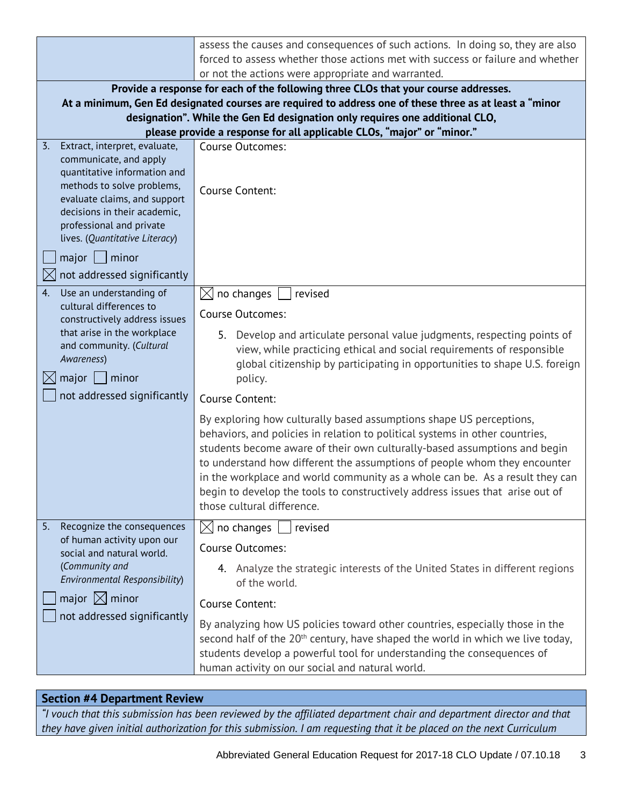|                                                                                                                                                                                                                                                                         | assess the causes and consequences of such actions. In doing so, they are also                                                                                                                                                                                                                                                                                                                                                                                                                               |
|-------------------------------------------------------------------------------------------------------------------------------------------------------------------------------------------------------------------------------------------------------------------------|--------------------------------------------------------------------------------------------------------------------------------------------------------------------------------------------------------------------------------------------------------------------------------------------------------------------------------------------------------------------------------------------------------------------------------------------------------------------------------------------------------------|
|                                                                                                                                                                                                                                                                         | forced to assess whether those actions met with success or failure and whether                                                                                                                                                                                                                                                                                                                                                                                                                               |
|                                                                                                                                                                                                                                                                         | or not the actions were appropriate and warranted.                                                                                                                                                                                                                                                                                                                                                                                                                                                           |
|                                                                                                                                                                                                                                                                         | Provide a response for each of the following three CLOs that your course addresses.                                                                                                                                                                                                                                                                                                                                                                                                                          |
|                                                                                                                                                                                                                                                                         | At a minimum, Gen Ed designated courses are required to address one of these three as at least a "minor                                                                                                                                                                                                                                                                                                                                                                                                      |
|                                                                                                                                                                                                                                                                         | designation". While the Gen Ed designation only requires one additional CLO,                                                                                                                                                                                                                                                                                                                                                                                                                                 |
|                                                                                                                                                                                                                                                                         | please provide a response for all applicable CLOs, "major" or "minor."                                                                                                                                                                                                                                                                                                                                                                                                                                       |
| $\overline{3}$ .<br>Extract, interpret, evaluate,<br>communicate, and apply<br>quantitative information and<br>methods to solve problems,<br>evaluate claims, and support<br>decisions in their academic,<br>professional and private<br>lives. (Quantitative Literacy) | <b>Course Outcomes:</b><br>Course Content:                                                                                                                                                                                                                                                                                                                                                                                                                                                                   |
| minor<br>major                                                                                                                                                                                                                                                          |                                                                                                                                                                                                                                                                                                                                                                                                                                                                                                              |
| not addressed significantly                                                                                                                                                                                                                                             |                                                                                                                                                                                                                                                                                                                                                                                                                                                                                                              |
| Use an understanding of<br>4.                                                                                                                                                                                                                                           |                                                                                                                                                                                                                                                                                                                                                                                                                                                                                                              |
| cultural differences to                                                                                                                                                                                                                                                 | no changes<br>$\boxtimes$<br>revised                                                                                                                                                                                                                                                                                                                                                                                                                                                                         |
| constructively address issues                                                                                                                                                                                                                                           | <b>Course Outcomes:</b>                                                                                                                                                                                                                                                                                                                                                                                                                                                                                      |
| that arise in the workplace<br>and community. (Cultural<br>Awareness)<br>major<br>minor                                                                                                                                                                                 | 5. Develop and articulate personal value judgments, respecting points of<br>view, while practicing ethical and social requirements of responsible<br>global citizenship by participating in opportunities to shape U.S. foreign<br>policy.                                                                                                                                                                                                                                                                   |
| not addressed significantly                                                                                                                                                                                                                                             | Course Content:                                                                                                                                                                                                                                                                                                                                                                                                                                                                                              |
|                                                                                                                                                                                                                                                                         | By exploring how culturally based assumptions shape US perceptions,<br>behaviors, and policies in relation to political systems in other countries,<br>students become aware of their own culturally-based assumptions and begin<br>to understand how different the assumptions of people whom they encounter<br>in the workplace and world community as a whole can be. As a result they can<br>begin to develop the tools to constructively address issues that arise out of<br>those cultural difference. |
| Recognize the consequences<br>5.                                                                                                                                                                                                                                        | $\boxtimes$ no changes<br>revised                                                                                                                                                                                                                                                                                                                                                                                                                                                                            |
| of human activity upon our<br>social and natural world.                                                                                                                                                                                                                 | Course Outcomes:                                                                                                                                                                                                                                                                                                                                                                                                                                                                                             |
| (Community and<br>Environmental Responsibility)                                                                                                                                                                                                                         | 4. Analyze the strategic interests of the United States in different regions<br>of the world.                                                                                                                                                                                                                                                                                                                                                                                                                |
| major $\boxtimes$ minor                                                                                                                                                                                                                                                 | Course Content:                                                                                                                                                                                                                                                                                                                                                                                                                                                                                              |
| not addressed significantly                                                                                                                                                                                                                                             | By analyzing how US policies toward other countries, especially those in the<br>second half of the 20 <sup>th</sup> century, have shaped the world in which we live today,<br>students develop a powerful tool for understanding the consequences of<br>human activity on our social and natural world.                                                                                                                                                                                                      |

# **Section #4 Department Review**

*"I vouch that this submission has been reviewed by the affiliated department chair and department director and that they have given initial authorization for this submission. I am requesting that it be placed on the next Curriculum*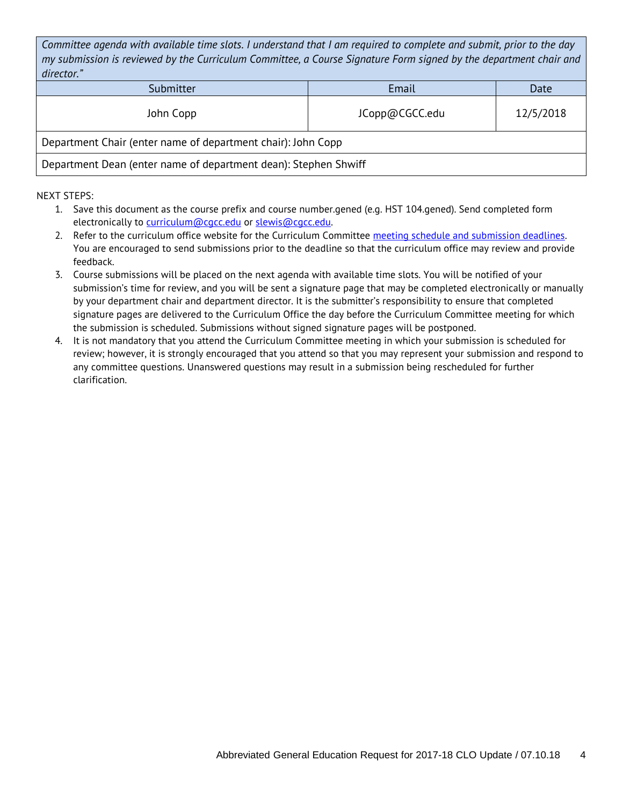*Committee agenda with available time slots. I understand that I am required to complete and submit, prior to the day my submission is reviewed by the Curriculum Committee, a Course Signature Form signed by the department chair and director."*

| <u>UILCLUI.</u>                                                 |                |           |  |
|-----------------------------------------------------------------|----------------|-----------|--|
| Submitter                                                       | Email          | Date      |  |
| John Copp                                                       | JCopp@CGCC.edu | 12/5/2018 |  |
| Department Chair (enter name of department chair): John Copp    |                |           |  |
| Department Dean (enter name of department dean): Stephen Shwiff |                |           |  |

- 1. Save this document as the course prefix and course number.gened (e.g. HST 104.gened). Send completed form electronically to [curriculum@cgcc.edu](mailto:curriculum@cgcc.edu) or [slewis@cgcc.edu.](mailto:slewis@cgcc.edu)
- 2. Refer to the curriculum office website for the Curriculum Committee meeting schedule and submission deadlines. You are encouraged to send submissions prior to the deadline so that the curriculum office may review and provide feedback.
- 3. Course submissions will be placed on the next agenda with available time slots. You will be notified of your submission's time for review, and you will be sent a signature page that may be completed electronically or manually by your department chair and department director. It is the submitter's responsibility to ensure that completed signature pages are delivered to the Curriculum Office the day before the Curriculum Committee meeting for which the submission is scheduled. Submissions without signed signature pages will be postponed.
- 4. It is not mandatory that you attend the Curriculum Committee meeting in which your submission is scheduled for review; however, it is strongly encouraged that you attend so that you may represent your submission and respond to any committee questions. Unanswered questions may result in a submission being rescheduled for further clarification.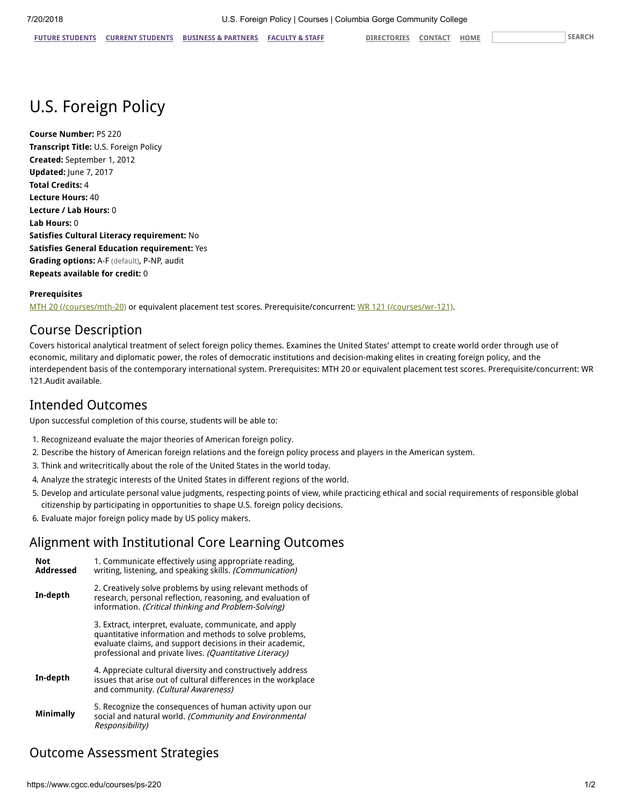# U.S. Foreign Policy

**Course Number:** PS 220 **Transcript Title:** U.S. Foreign Policy **Created:** September 1, 2012 **Updated:** June 7, 2017 **Total Credits:** 4 **Lecture Hours:** 40 **Lecture / Lab Hours:** 0 **Lab Hours:** 0 **Satisfies Cultural Literacy requirement:** No **Satisfies General Education requirement:** Yes **Grading options:** A-F (default), P-NP, audit **Repeats available for credit:** 0

#### **Prerequisites**

[MTH 20 \(/courses/mth-20\)](https://www.cgcc.edu/courses/mth-20) or equivalent placement test scores. Prerequisite/concurrent: [WR 121 \(/courses/wr-121\)](https://www.cgcc.edu/courses/wr-121).

# Course Description

Covers historical analytical treatment of select foreign policy themes. Examines the United States' attempt to create world order through use of economic, military and diplomatic power, the roles of democratic institutions and decision-making elites in creating foreign policy, and the interdependent basis of the contemporary international system. Prerequisites: MTH 20 or equivalent placement test scores. Prerequisite/concurrent: WR 121.Audit available.

# Intended Outcomes

Upon successful completion of this course, students will be able to:

- 1. Recognizeand evaluate the major theories of American foreign policy.
- 2. Describe the history of American foreign relations and the foreign policy process and players in the American system.
- 3. Think and writecritically about the role of the United States in the world today.
- 4. Analyze the strategic interests of the United States in different regions of the world.
- 5. Develop and articulate personal value judgments, respecting points of view, while practicing ethical and social requirements of responsible global citizenship by participating in opportunities to shape U.S. foreign policy decisions.
- 6. Evaluate major foreign policy made by US policy makers.

# Alignment with Institutional Core Learning Outcomes

| <b>Not</b><br>Addressed | 1. Communicate effectively using appropriate reading.<br>writing, listening, and speaking skills. (Communication)                                                                                                                          |
|-------------------------|--------------------------------------------------------------------------------------------------------------------------------------------------------------------------------------------------------------------------------------------|
| In-depth                | 2. Creatively solve problems by using relevant methods of<br>research, personal reflection, reasoning, and evaluation of<br>information. (Critical thinking and Problem-Solving)                                                           |
|                         | 3. Extract, interpret, evaluate, communicate, and apply<br>quantitative information and methods to solve problems,<br>evaluate claims, and support decisions in their academic,<br>professional and private lives. (Quantitative Literacy) |
| In-depth                | 4. Appreciate cultural diversity and constructively address<br>issues that arise out of cultural differences in the workplace<br>and community. (Cultural Awareness)                                                                       |
| <b>Minimally</b>        | 5. Recognize the consequences of human activity upon our<br>social and natural world. (Community and Environmental<br>Responsibility)                                                                                                      |

# Outcome Assessment Strategies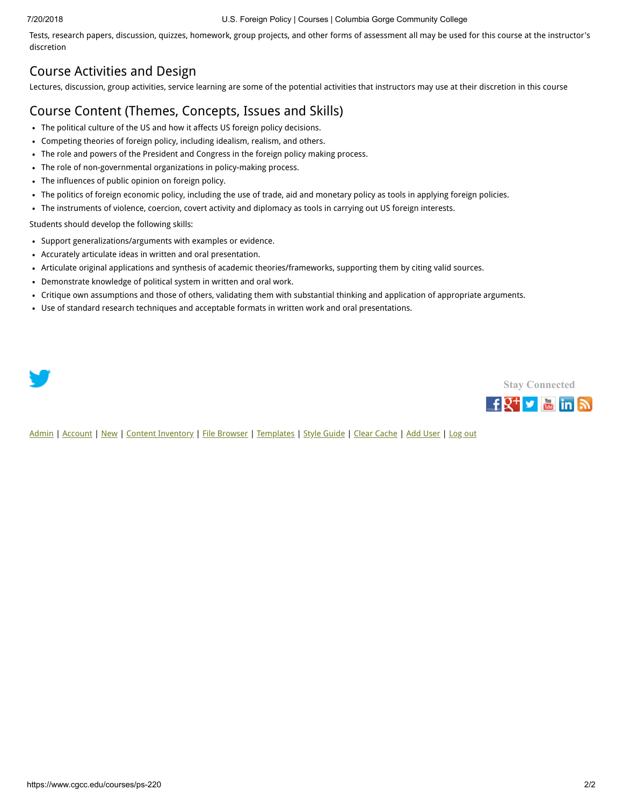#### 7/20/2018 U.S. Foreign Policy | Courses | Columbia Gorge Community College

Tests, research papers, discussion, quizzes, homework, group projects, and other forms of assessment all may be used for this course at the instructor's discretion

# Course Activities and Design

Lectures, discussion, group activities, service learning are some of the potential activities that instructors may use at their discretion in this course

# Course Content (Themes, Concepts, Issues and Skills)

- The political culture of the US and how it affects US foreign policy decisions.
- Competing theories of foreign policy, including idealism, realism, and others.
- The role and powers of the President and Congress in the foreign policy making process.
- The role of non-governmental organizations in policy-making process.
- The influences of public opinion on foreign policy.
- The politics of foreign economic policy, including the use of trade, aid and monetary policy as tools in applying foreign policies.
- The instruments of violence, coercion, covert activity and diplomacy as tools in carrying out US foreign interests.

Students should develop the following skills:

- Support generalizations/arguments with examples or evidence.
- Accurately articulate ideas in written and oral presentation.
- Articulate original applications and synthesis of academic theories/frameworks, supporting them by citing valid sources.
- Demonstrate knowledge of political system in written and oral work.
- Critique own assumptions and those of others, validating them with substantial thinking and application of appropriate arguments.
- Use of standard research techniques and acceptable formats in written work and oral presentations.

**Stay [Connected](https://www.cgcc.edu/social)** f<sup>2+</sup> y min a

[Admin](https://www.cgcc.edu/admin) | [Account](https://www.cgcc.edu/user) | [New](https://www.cgcc.edu/node/add) | [Content Inventory](https://www.cgcc.edu/content) | [File Browser](https://www.cgcc.edu/imce) | [Templates](https://www.cgcc.edu/templates) | [Style Guide](https://www.cgcc.edu/styleguide) | [Clear Cache](https://www.cgcc.edu/admin/clearcache) | [Add User](https://www.cgcc.edu/admin/user/user/create) | [Log out](https://www.cgcc.edu/user/logout)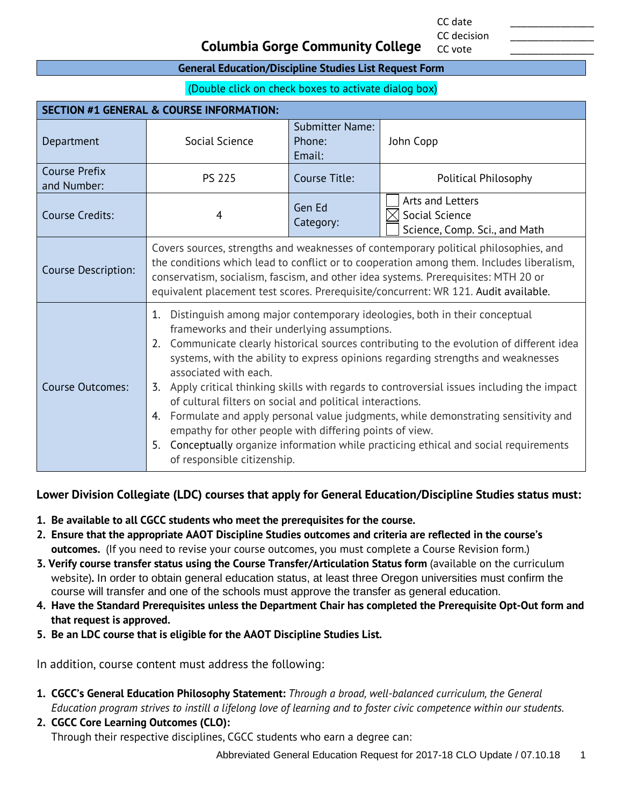CC date \_\_\_\_\_\_\_\_\_\_\_\_\_\_\_ CC decision

CC vote

# **Columbia Gorge Community College**

#### **General Education/Discipline Studies List Request Form**

(Double click on check boxes to activate dialog box)

| <b>SECTION #1 GENERAL &amp; COURSE INFORMATION:</b> |                                                                                                                                                                                                                                                                                                                                                                                                                                                                                                                                                                                                                                                                                                                                                                                           |                                            |                                                                     |
|-----------------------------------------------------|-------------------------------------------------------------------------------------------------------------------------------------------------------------------------------------------------------------------------------------------------------------------------------------------------------------------------------------------------------------------------------------------------------------------------------------------------------------------------------------------------------------------------------------------------------------------------------------------------------------------------------------------------------------------------------------------------------------------------------------------------------------------------------------------|--------------------------------------------|---------------------------------------------------------------------|
| Department                                          | Social Science                                                                                                                                                                                                                                                                                                                                                                                                                                                                                                                                                                                                                                                                                                                                                                            | <b>Submitter Name:</b><br>Phone:<br>Email: | John Copp                                                           |
| <b>Course Prefix</b><br>and Number:                 | <b>PS 225</b>                                                                                                                                                                                                                                                                                                                                                                                                                                                                                                                                                                                                                                                                                                                                                                             | Course Title:                              | Political Philosophy                                                |
| <b>Course Credits:</b>                              | 4                                                                                                                                                                                                                                                                                                                                                                                                                                                                                                                                                                                                                                                                                                                                                                                         | Gen Ed<br>Category:                        | Arts and Letters<br>Social Science<br>Science, Comp. Sci., and Math |
| <b>Course Description:</b>                          | Covers sources, strengths and weaknesses of contemporary political philosophies, and<br>the conditions which lead to conflict or to cooperation among them. Includes liberalism,<br>conservatism, socialism, fascism, and other idea systems. Prerequisites: MTH 20 or<br>equivalent placement test scores. Prerequisite/concurrent: WR 121. Audit available.                                                                                                                                                                                                                                                                                                                                                                                                                             |                                            |                                                                     |
| <b>Course Outcomes:</b>                             | Distinguish among major contemporary ideologies, both in their conceptual<br>1.<br>frameworks and their underlying assumptions.<br>Communicate clearly historical sources contributing to the evolution of different idea<br>2.<br>systems, with the ability to express opinions regarding strengths and weaknesses<br>associated with each.<br>3. Apply critical thinking skills with regards to controversial issues including the impact<br>of cultural filters on social and political interactions.<br>Formulate and apply personal value judgments, while demonstrating sensitivity and<br>4.<br>empathy for other people with differing points of view.<br>Conceptually organize information while practicing ethical and social requirements<br>5.<br>of responsible citizenship. |                                            |                                                                     |

## **Lower Division Collegiate (LDC) courses that apply for General Education/Discipline Studies status must:**

- **1. Be available to all CGCC students who meet the prerequisites for the course.**
- **2. Ensure that the appropriate AAOT Discipline Studies outcomes and criteria are reflected in the course's outcomes.** (If you need to revise your course outcomes, you must complete a Course Revision form.)
- **3. Verify course transfer status using the Course Transfer/Articulation Status form** (available on the curriculum website)**.** In order to obtain general education status, at least three Oregon universities must confirm the course will transfer and one of the schools must approve the transfer as general education.
- **4. Have the Standard Prerequisites unless the Department Chair has completed the Prerequisite Opt-Out form and that request is approved.**
- **5. Be an LDC course that is eligible for the AAOT Discipline Studies List.**

In addition, course content must address the following:

- **1. CGCC's General Education Philosophy Statement:** *Through a broad, well-balanced curriculum, the General Education program strives to instill a lifelong love of learning and to foster civic competence within our students.*
- **2. CGCC Core Learning Outcomes (CLO):** Through their respective disciplines, CGCC students who earn a degree can:

Abbreviated General Education Request for 2017-18 CLO Update / 07.10.18 1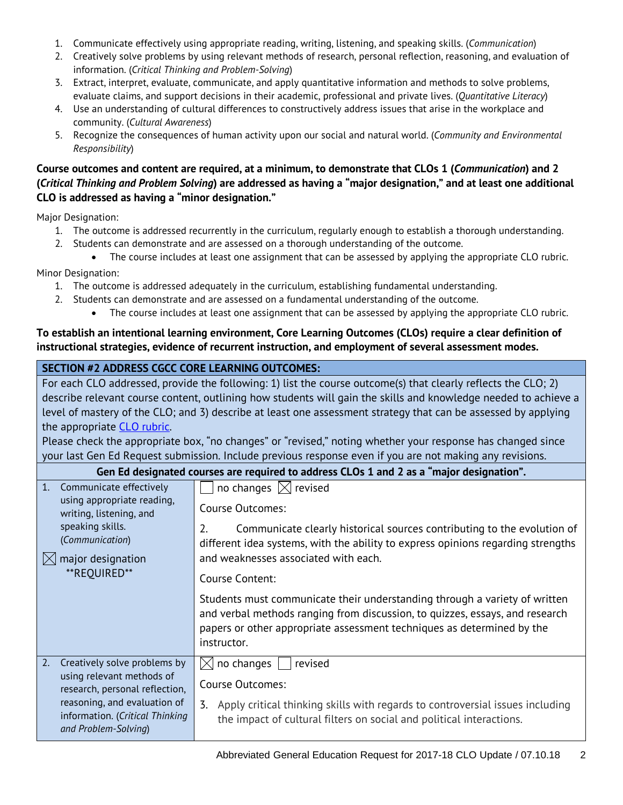- 1. Communicate effectively using appropriate reading, writing, listening, and speaking skills. (*Communication*)
- 2. Creatively solve problems by using relevant methods of research, personal reflection, reasoning, and evaluation of information. (*Critical Thinking and Problem-Solving*)
- 3. Extract, interpret, evaluate, communicate, and apply quantitative information and methods to solve problems, evaluate claims, and support decisions in their academic, professional and private lives. (*Quantitative Literacy*)
- 4. Use an understanding of cultural differences to constructively address issues that arise in the workplace and community. (*Cultural Awareness*)
- 5. Recognize the consequences of human activity upon our social and natural world. (*Community and Environmental Responsibility*)

## **Course outcomes and content are required, at a minimum, to demonstrate that CLOs 1 (***Communication***) and 2 (***Critical Thinking and Problem Solving***) are addressed as having a "major designation," and at least one additional CLO is addressed as having a "minor designation."**

Major Designation:

- 1. The outcome is addressed recurrently in the curriculum, regularly enough to establish a thorough understanding.
- 2. Students can demonstrate and are assessed on a thorough understanding of the outcome.
- The course includes at least one assignment that can be assessed by applying the appropriate CLO rubric. Minor Designation:
	- 1. The outcome is addressed adequately in the curriculum, establishing fundamental understanding.
	- 2. Students can demonstrate and are assessed on a fundamental understanding of the outcome.
		- The course includes at least one assignment that can be assessed by applying the appropriate CLO rubric.

## **To establish an intentional learning environment, Core Learning Outcomes (CLOs) require a clear definition of instructional strategies, evidence of recurrent instruction, and employment of several assessment modes.**

# **SECTION #2 ADDRESS CGCC CORE LEARNING OUTCOMES:**

| JECTIVN #Z ADDINEJJ COCC CONE EEANNING OOTCOMEJ.                                                               |                                                                                                                 |  |  |
|----------------------------------------------------------------------------------------------------------------|-----------------------------------------------------------------------------------------------------------------|--|--|
| For each CLO addressed, provide the following: 1) list the course outcome(s) that clearly reflects the CLO; 2) |                                                                                                                 |  |  |
|                                                                                                                | describe relevant course content, outlining how students will gain the skills and knowledge needed to achieve a |  |  |
|                                                                                                                | level of mastery of the CLO; and 3) describe at least one assessment strategy that can be assessed by applying  |  |  |
| the appropriate CLO rubric.                                                                                    |                                                                                                                 |  |  |
|                                                                                                                | Please check the appropriate box, "no changes" or "revised," noting whether your response has changed since     |  |  |
|                                                                                                                | your last Gen Ed Request submission. Include previous response even if you are not making any revisions.        |  |  |
|                                                                                                                | Gen Ed designated courses are required to address CLOs 1 and 2 as a "major designation".                        |  |  |
| 1. Communicate effectively                                                                                     | no changes $\boxtimes$ revised                                                                                  |  |  |
| using appropriate reading,<br>writing, listening, and                                                          | <b>Course Outcomes:</b>                                                                                         |  |  |
| speaking skills.                                                                                               | Communicate clearly historical sources contributing to the evolution of                                         |  |  |
| (Communication)                                                                                                | different idea systems, with the ability to express opinions regarding strengths                                |  |  |
| and weaknesses associated with each.<br>major designation<br>IXI                                               |                                                                                                                 |  |  |
| **REOUIRED**                                                                                                   | Course Content:                                                                                                 |  |  |
|                                                                                                                | Students must communicate their understanding through a variety of written                                      |  |  |

Students must communicate their understanding through a variety of written and verbal methods ranging from discussion, to quizzes, essays, and research papers or other appropriate assessment techniques as determined by the instructor.

| 2. Creatively solve problems by | $\Box$ $\boxtimes$ no changes $\Box$<br>  revised                                   |
|---------------------------------|-------------------------------------------------------------------------------------|
| using relevant methods of       | Course Outcomes:                                                                    |
| research, personal reflection,  |                                                                                     |
| reasoning, and evaluation of    | Apply critical thinking skills with regards to controversial issues including<br>3. |
| information. (Critical Thinking | the impact of cultural filters on social and political interactions.                |
| and Problem-Solving)            |                                                                                     |
|                                 |                                                                                     |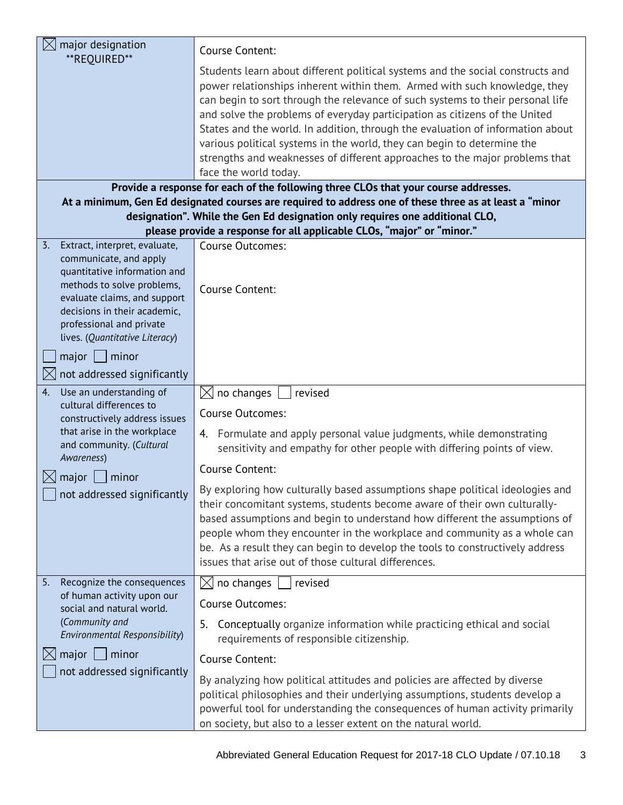| major designation                                                                                                                                                                                                                                                               | Course Content:                                                                                                                                                                                                                                                                                                                                                                                                                                                                                                                                                                                                                                                                              |  |  |
|---------------------------------------------------------------------------------------------------------------------------------------------------------------------------------------------------------------------------------------------------------------------------------|----------------------------------------------------------------------------------------------------------------------------------------------------------------------------------------------------------------------------------------------------------------------------------------------------------------------------------------------------------------------------------------------------------------------------------------------------------------------------------------------------------------------------------------------------------------------------------------------------------------------------------------------------------------------------------------------|--|--|
| **REQUIRED**                                                                                                                                                                                                                                                                    | Students learn about different political systems and the social constructs and<br>power relationships inherent within them. Armed with such knowledge, they<br>can begin to sort through the relevance of such systems to their personal life<br>and solve the problems of everyday participation as citizens of the United<br>States and the world. In addition, through the evaluation of information about<br>various political systems in the world, they can begin to determine the<br>strengths and weaknesses of different approaches to the major problems that<br>face the world today.                                                                                             |  |  |
|                                                                                                                                                                                                                                                                                 | Provide a response for each of the following three CLOs that your course addresses.<br>At a minimum, Gen Ed designated courses are required to address one of these three as at least a "minor                                                                                                                                                                                                                                                                                                                                                                                                                                                                                               |  |  |
|                                                                                                                                                                                                                                                                                 | designation". While the Gen Ed designation only requires one additional CLO,                                                                                                                                                                                                                                                                                                                                                                                                                                                                                                                                                                                                                 |  |  |
|                                                                                                                                                                                                                                                                                 | please provide a response for all applicable CLOs, "major" or "minor."                                                                                                                                                                                                                                                                                                                                                                                                                                                                                                                                                                                                                       |  |  |
| Extract, interpret, evaluate,<br>3.<br>communicate, and apply<br>quantitative information and<br>methods to solve problems,<br>evaluate claims, and support<br>decisions in their academic,<br>professional and private<br>lives. (Quantitative Literacy)<br>major $\Box$ minor | Course Outcomes:<br>Course Content:                                                                                                                                                                                                                                                                                                                                                                                                                                                                                                                                                                                                                                                          |  |  |
| not addressed significantly                                                                                                                                                                                                                                                     |                                                                                                                                                                                                                                                                                                                                                                                                                                                                                                                                                                                                                                                                                              |  |  |
| Use an understanding of<br>4.<br>cultural differences to<br>constructively address issues<br>that arise in the workplace<br>and community. (Cultural<br>Awareness)<br>major<br>minor<br>not addressed significantly                                                             | $\bowtie$<br>no changes<br>revised<br>Course Outcomes:<br>4. Formulate and apply personal value judgments, while demonstrating<br>sensitivity and empathy for other people with differing points of view.<br>Course Content:<br>By exploring how culturally based assumptions shape political ideologies and<br>their concomitant systems, students become aware of their own culturally-<br>based assumptions and begin to understand how different the assumptions of<br>people whom they encounter in the workplace and community as a whole can<br>be. As a result they can begin to develop the tools to constructively address<br>issues that arise out of those cultural differences. |  |  |
| Recognize the consequences<br>5.                                                                                                                                                                                                                                                | $\boxtimes$ no changes<br>revised                                                                                                                                                                                                                                                                                                                                                                                                                                                                                                                                                                                                                                                            |  |  |
| of human activity upon our<br>social and natural world.                                                                                                                                                                                                                         | Course Outcomes:                                                                                                                                                                                                                                                                                                                                                                                                                                                                                                                                                                                                                                                                             |  |  |
| (Community and<br>Environmental Responsibility)                                                                                                                                                                                                                                 | Conceptually organize information while practicing ethical and social<br>5.<br>requirements of responsible citizenship.                                                                                                                                                                                                                                                                                                                                                                                                                                                                                                                                                                      |  |  |
| major $ $   minor                                                                                                                                                                                                                                                               | Course Content:                                                                                                                                                                                                                                                                                                                                                                                                                                                                                                                                                                                                                                                                              |  |  |
| not addressed significantly                                                                                                                                                                                                                                                     | By analyzing how political attitudes and policies are affected by diverse<br>political philosophies and their underlying assumptions, students develop a<br>powerful tool for understanding the consequences of human activity primarily<br>on society, but also to a lesser extent on the natural world.                                                                                                                                                                                                                                                                                                                                                                                    |  |  |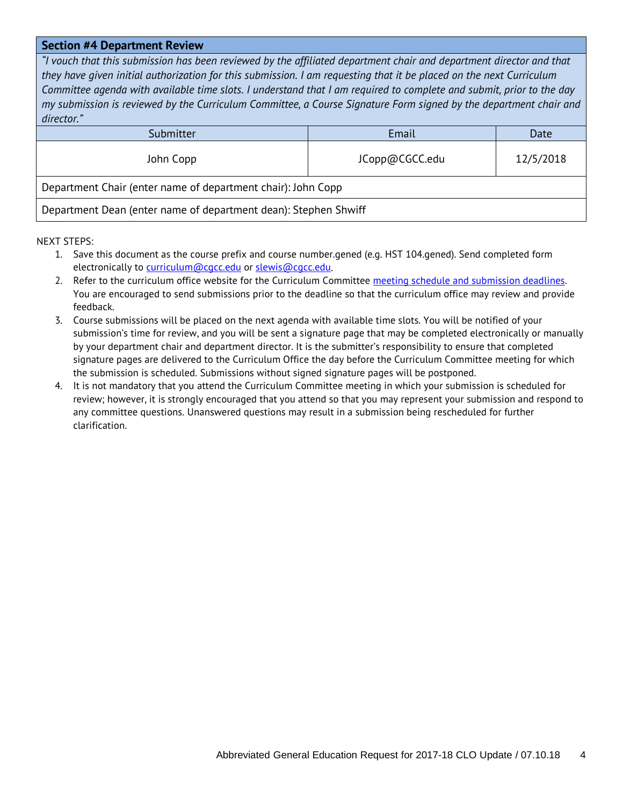#### **Section #4 Department Review**

*"I vouch that this submission has been reviewed by the affiliated department chair and department director and that they have given initial authorization for this submission. I am requesting that it be placed on the next Curriculum Committee agenda with available time slots. I understand that I am required to complete and submit, prior to the day my submission is reviewed by the Curriculum Committee, a Course Signature Form signed by the department chair and director."*

| Submitter                                                       | Email          | Date      |  |
|-----------------------------------------------------------------|----------------|-----------|--|
| John Copp                                                       | JCopp@CGCC.edu | 12/5/2018 |  |
| Department Chair (enter name of department chair): John Copp    |                |           |  |
| Department Dean (enter name of department dean): Stephen Shwiff |                |           |  |

- 1. Save this document as the course prefix and course number.gened (e.g. HST 104.gened). Send completed form electronically to [curriculum@cgcc.edu](mailto:curriculum@cgcc.edu) or [slewis@cgcc.edu.](mailto:slewis@cgcc.edu)
- 2. Refer to the curriculum office website for the Curriculum Committee meeting schedule and submission deadlines. You are encouraged to send submissions prior to the deadline so that the curriculum office may review and provide feedback.
- 3. Course submissions will be placed on the next agenda with available time slots. You will be notified of your submission's time for review, and you will be sent a signature page that may be completed electronically or manually by your department chair and department director. It is the submitter's responsibility to ensure that completed signature pages are delivered to the Curriculum Office the day before the Curriculum Committee meeting for which the submission is scheduled. Submissions without signed signature pages will be postponed.
- 4. It is not mandatory that you attend the Curriculum Committee meeting in which your submission is scheduled for review; however, it is strongly encouraged that you attend so that you may represent your submission and respond to any committee questions. Unanswered questions may result in a submission being rescheduled for further clarification.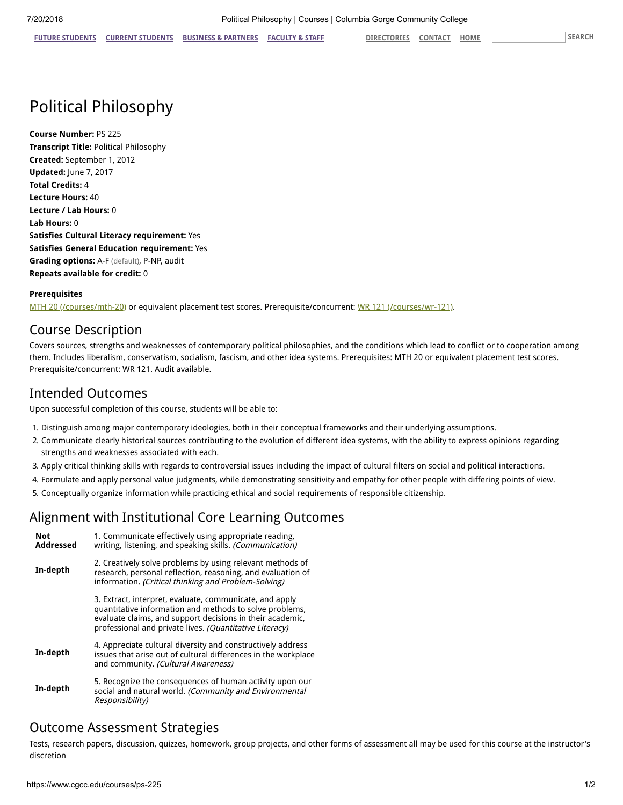# Political Philosophy

**Course Number:** PS 225 **Transcript Title:** Political Philosophy **Created:** September 1, 2012 **Updated:** June 7, 2017 **Total Credits:** 4 **Lecture Hours:** 40 **Lecture / Lab Hours:** 0 **Lab Hours:** 0 **Satisfies Cultural Literacy requirement:** Yes **Satisfies General Education requirement:** Yes **Grading options:** A-F (default), P-NP, audit **Repeats available for credit:** 0

#### **Prerequisites**

[MTH 20 \(/courses/mth-20\)](https://www.cgcc.edu/courses/mth-20) or equivalent placement test scores. Prerequisite/concurrent: [WR 121 \(/courses/wr-121\)](https://www.cgcc.edu/courses/wr-121).

# Course Description

Covers sources, strengths and weaknesses of contemporary political philosophies, and the conditions which lead to conflict or to cooperation among them. Includes liberalism, conservatism, socialism, fascism, and other idea systems. Prerequisites: MTH 20 or equivalent placement test scores. Prerequisite/concurrent: WR 121. Audit available.

# Intended Outcomes

Upon successful completion of this course, students will be able to:

- 1. Distinguish among major contemporary ideologies, both in their conceptual frameworks and their underlying assumptions.
- 2. Communicate clearly historical sources contributing to the evolution of different idea systems, with the ability to express opinions regarding strengths and weaknesses associated with each.
- 3. Apply critical thinking skills with regards to controversial issues including the impact of cultural filters on social and political interactions.
- 4. Formulate and apply personal value judgments, while demonstrating sensitivity and empathy for other people with differing points of view.
- 5. Conceptually organize information while practicing ethical and social requirements of responsible citizenship.

# Alignment with Institutional Core Learning Outcomes

| <b>Not</b><br><b>Addressed</b> | 1. Communicate effectively using appropriate reading,<br>writing, listening, and speaking skills. (Communication)                                                                                                                          |
|--------------------------------|--------------------------------------------------------------------------------------------------------------------------------------------------------------------------------------------------------------------------------------------|
| In-depth                       | 2. Creatively solve problems by using relevant methods of<br>research, personal reflection, reasoning, and evaluation of<br>information. (Critical thinking and Problem-Solving)                                                           |
|                                | 3. Extract, interpret, evaluate, communicate, and apply<br>quantitative information and methods to solve problems,<br>evaluate claims, and support decisions in their academic,<br>professional and private lives. (Quantitative Literacy) |
| In-depth                       | 4. Appreciate cultural diversity and constructively address<br>issues that arise out of cultural differences in the workplace<br>and community. (Cultural Awareness)                                                                       |
| In-depth                       | 5. Recognize the consequences of human activity upon our<br>social and natural world. (Community and Environmental<br>Responsibility)                                                                                                      |

# Outcome Assessment Strategies

Tests, research papers, discussion, quizzes, homework, group projects, and other forms of assessment all may be used for this course at the instructor's discretion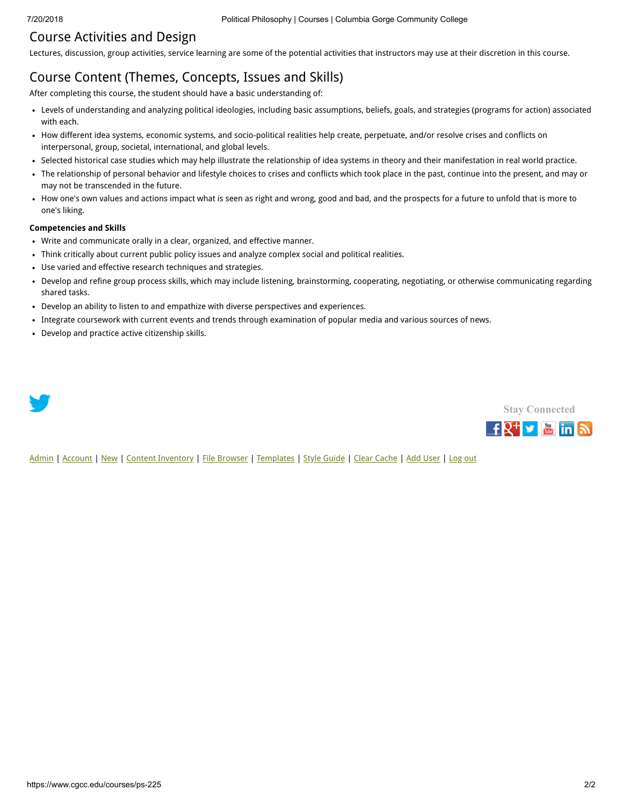# Course Activities and Design

Lectures, discussion, group activities, service learning are some of the potential activities that instructors may use at their discretion in this course.

# Course Content (Themes, Concepts, Issues and Skills)

After completing this course, the student should have a basic understanding of:

- Levels of understanding and analyzing political ideologies, including basic assumptions, beliefs, goals, and strategies (programs for action) associated with each.
- How different idea systems, economic systems, and socio-political realities help create, perpetuate, and/or resolve crises and conflicts on interpersonal, group, societal, international, and global levels.
- Selected historical case studies which may help illustrate the relationship of idea systems in theory and their manifestation in real world practice.
- The relationship of personal behavior and lifestyle choices to crises and conflicts which took place in the past, continue into the present, and may or may not be transcended in the future.
- How one's own values and actions impact what is seen as right and wrong, good and bad, and the prospects for a future to unfold that is more to one's liking.

#### **Competencies and Skills**

- Write and communicate orally in a clear, organized, and effective manner.
- Think critically about current public policy issues and analyze complex social and political realities.
- Use varied and effective research techniques and strategies.
- Develop and refine group process skills, which may include listening, brainstorming, cooperating, negotiating, or otherwise communicating regarding shared tasks.
- Develop an ability to listen to and empathize with diverse perspectives and experiences.
- Integrate coursework with current events and trends through examination of popular media and various sources of news.
- Develop and practice active citizenship skills.





[Admin](https://www.cgcc.edu/admin) | [Account](https://www.cgcc.edu/user) | [New](https://www.cgcc.edu/node/add) | [Content Inventory](https://www.cgcc.edu/content) | [File Browser](https://www.cgcc.edu/imce) | [Templates](https://www.cgcc.edu/templates) | [Style Guide](https://www.cgcc.edu/styleguide) | [Clear Cache](https://www.cgcc.edu/admin/clearcache) | [Add User](https://www.cgcc.edu/admin/user/user/create) | [Log out](https://www.cgcc.edu/user/logout)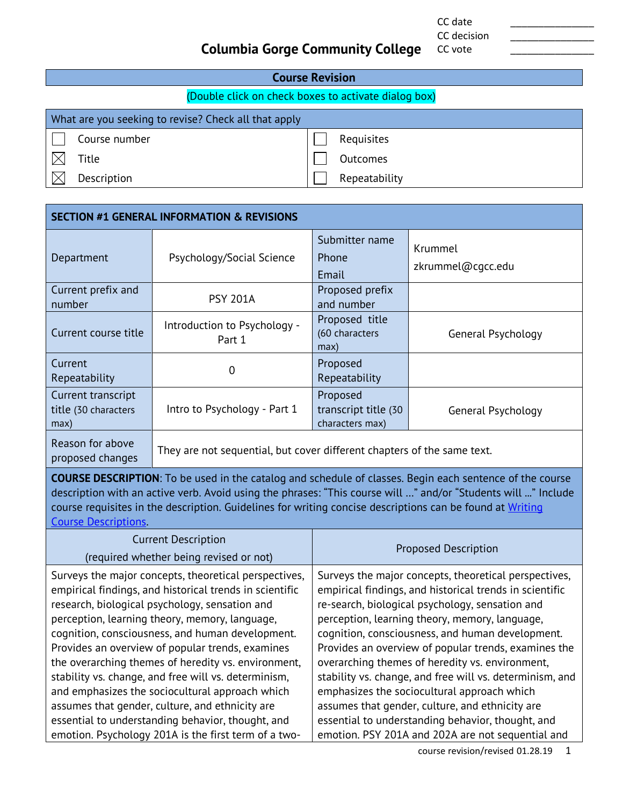CC date \_\_\_\_\_\_\_\_\_\_\_\_\_\_\_ CC decision

CC vote

# **Columbia Gorge Community College**

#### **Course Revision** (Double click on check boxes to activate dialog box) What are you seeking to revise? Check all that apply Course number and a set of the Requisites  $\sim$  $\boxtimes$ Title **Title** Outcomes  $\boxtimes$ Description Description Repeatability

| <b>SECTION #1 GENERAL INFORMATION &amp; REVISIONS</b>                                                           |                                                                         |                                                     |                              |
|-----------------------------------------------------------------------------------------------------------------|-------------------------------------------------------------------------|-----------------------------------------------------|------------------------------|
| Department                                                                                                      | Psychology/Social Science                                               | Submitter name<br>Phone<br>Email                    | Krummel<br>zkrummel@cqcc.edu |
| Current prefix and<br>number                                                                                    | <b>PSY 201A</b>                                                         | Proposed prefix<br>and number                       |                              |
| Current course title                                                                                            | Introduction to Psychology -<br>Part 1                                  | Proposed title<br>(60 characters<br>max)            | General Psychology           |
| Current<br>Repeatability                                                                                        | 0                                                                       | Proposed<br>Repeatability                           |                              |
| Current transcript<br>title (30 characters<br>max)                                                              | Intro to Psychology - Part 1                                            | Proposed<br>transcript title (30<br>characters max) | General Psychology           |
| Reason for above<br>proposed changes                                                                            | They are not sequential, but cover different chapters of the same text. |                                                     |                              |
| <b>COURSE DESCRIPTION:</b> To be used in the catalog and schedule of classes. Regin each sentence of the course |                                                                         |                                                     |                              |

**N**: To be used in the catalog and schedule of classes. Begin each sentence of the c description with an active verb. Avoid using the phrases: "This course will …" and/or "Students will ..." Include course requisites in the description. Guidelines for writing concise descriptions can be found at Writing [Course Descriptions.](https://www.cgcc.edu/sites/default/files/curriculum/writing-course-description.pdf)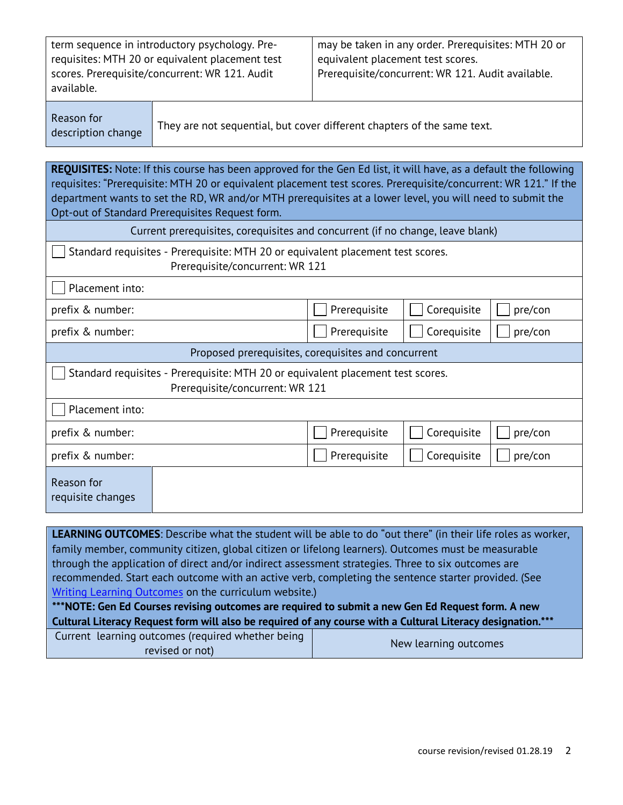| term sequence in introductory psychology. Pre-  | may be taken in any order. Prerequisites: MTH 20 or |
|-------------------------------------------------|-----------------------------------------------------|
| requisites: MTH 20 or equivalent placement test | equivalent placement test scores.                   |
| scores. Prerequisite/concurrent: WR 121. Audit  | Prerequisite/concurrent: WR 121. Audit available.   |
| available.                                      |                                                     |

Reason for

description change They are not sequential, but cover different chapters of the same text.

**REQUISITES:** Note: If this course has been approved for the Gen Ed list, it will have, as a default the following requisites: "Prerequisite: MTH 20 or equivalent placement test scores. Prerequisite/concurrent: WR 121." If the department wants to set the RD, WR and/or MTH prerequisites at a lower level, you will need to submit the Opt-out of Standard Prerequisites Request form.

| Current prerequisites, corequisites and concurrent (if no change, leave blank)                                     |              |             |         |
|--------------------------------------------------------------------------------------------------------------------|--------------|-------------|---------|
| Standard requisites - Prerequisite: MTH 20 or equivalent placement test scores.<br>Prerequisite/concurrent: WR 121 |              |             |         |
| Placement into:                                                                                                    |              |             |         |
| prefix & number:                                                                                                   | Prerequisite | Corequisite | pre/con |
| prefix & number:                                                                                                   | Prerequisite | Corequisite | pre/con |
| Proposed prerequisites, corequisites and concurrent                                                                |              |             |         |
| Standard requisites - Prerequisite: MTH 20 or equivalent placement test scores.<br>Prerequisite/concurrent: WR 121 |              |             |         |
| Placement into:                                                                                                    |              |             |         |
| prefix & number:                                                                                                   | Prerequisite | Corequisite | pre/con |
| prefix & number:                                                                                                   | Prerequisite | Corequisite | pre/con |
| Reason for<br>requisite changes                                                                                    |              |             |         |
|                                                                                                                    |              |             |         |

**LEARNING OUTCOMES**: Describe what the student will be able to do "out there" (in their life roles as worker, family member, community citizen, global citizen or lifelong learners). Outcomes must be measurable through the application of direct and/or indirect assessment strategies. Three to six outcomes are recommended. Start each outcome with an active verb, completing the sentence starter provided. (See [Writing Learning Outcomes](https://www.cgcc.edu/sites/default/files/curriculum/writing-learning-outcomes.pdf) on the curriculum website.)

**\*\*\*NOTE: Gen Ed Courses revising outcomes are required to submit a new Gen Ed Request form. A new Cultural Literacy Request form will also be required of any course with a Cultural Literacy designation.\*\*\***

| Current learning outcomes (required whether being | New learning outcomes |
|---------------------------------------------------|-----------------------|
| revised or not)                                   |                       |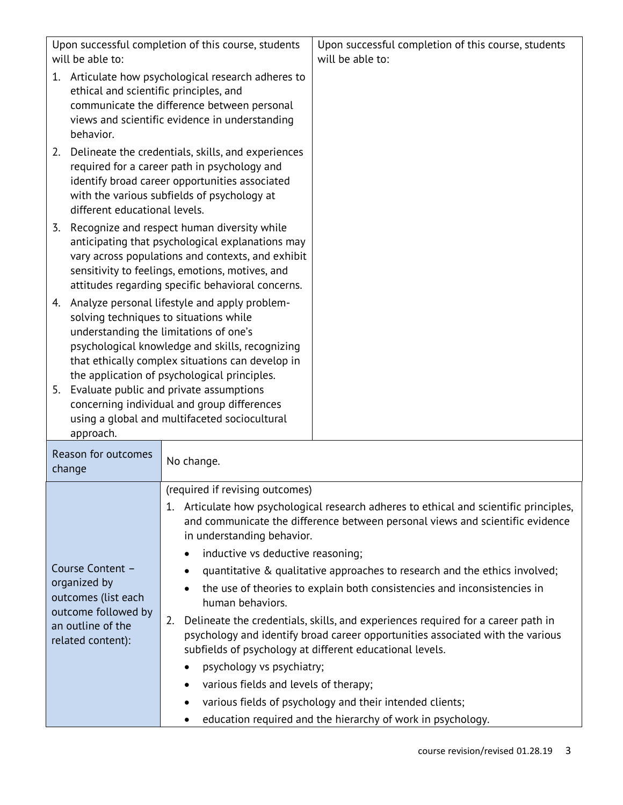| will be able to:                                                                                                         | Upon successful completion of this course, students                                                                                                                                                                                                                                         | Upon successful completion of this course, students<br>will be able to:                                                                                                                                                                                                                                                                                                                                                                                                                                                                                             |  |
|--------------------------------------------------------------------------------------------------------------------------|---------------------------------------------------------------------------------------------------------------------------------------------------------------------------------------------------------------------------------------------------------------------------------------------|---------------------------------------------------------------------------------------------------------------------------------------------------------------------------------------------------------------------------------------------------------------------------------------------------------------------------------------------------------------------------------------------------------------------------------------------------------------------------------------------------------------------------------------------------------------------|--|
| 1.<br>ethical and scientific principles, and<br>behavior.                                                                | Articulate how psychological research adheres to<br>communicate the difference between personal<br>views and scientific evidence in understanding                                                                                                                                           |                                                                                                                                                                                                                                                                                                                                                                                                                                                                                                                                                                     |  |
| 2.<br>different educational levels.                                                                                      | Delineate the credentials, skills, and experiences<br>required for a career path in psychology and<br>identify broad career opportunities associated<br>with the various subfields of psychology at                                                                                         |                                                                                                                                                                                                                                                                                                                                                                                                                                                                                                                                                                     |  |
| 3.                                                                                                                       | Recognize and respect human diversity while<br>anticipating that psychological explanations may<br>vary across populations and contexts, and exhibit<br>sensitivity to feelings, emotions, motives, and<br>attitudes regarding specific behavioral concerns.                                |                                                                                                                                                                                                                                                                                                                                                                                                                                                                                                                                                                     |  |
|                                                                                                                          | 4. Analyze personal lifestyle and apply problem-<br>solving techniques to situations while<br>understanding the limitations of one's<br>psychological knowledge and skills, recognizing<br>that ethically complex situations can develop in<br>the application of psychological principles. |                                                                                                                                                                                                                                                                                                                                                                                                                                                                                                                                                                     |  |
| 5. Evaluate public and private assumptions<br>approach.                                                                  | concerning individual and group differences<br>using a global and multifaceted sociocultural                                                                                                                                                                                                |                                                                                                                                                                                                                                                                                                                                                                                                                                                                                                                                                                     |  |
| Reason for outcomes<br>change                                                                                            | No change.                                                                                                                                                                                                                                                                                  |                                                                                                                                                                                                                                                                                                                                                                                                                                                                                                                                                                     |  |
| Course Content -<br>organized by<br>outcomes (list each<br>outcome followed by<br>an outline of the<br>related content): | (required if revising outcomes)<br>in understanding behavior.<br>inductive vs deductive reasoning;<br>human behaviors.<br>2.<br>psychology vs psychiatry;<br>$\bullet$<br>various fields and levels of therapy;                                                                             | 1. Articulate how psychological research adheres to ethical and scientific principles,<br>and communicate the difference between personal views and scientific evidence<br>quantitative & qualitative approaches to research and the ethics involved;<br>the use of theories to explain both consistencies and inconsistencies in<br>Delineate the credentials, skills, and experiences required for a career path in<br>psychology and identify broad career opportunities associated with the various<br>subfields of psychology at different educational levels. |  |
|                                                                                                                          | ٠                                                                                                                                                                                                                                                                                           | various fields of psychology and their intended clients;<br>education required and the hierarchy of work in psychology.                                                                                                                                                                                                                                                                                                                                                                                                                                             |  |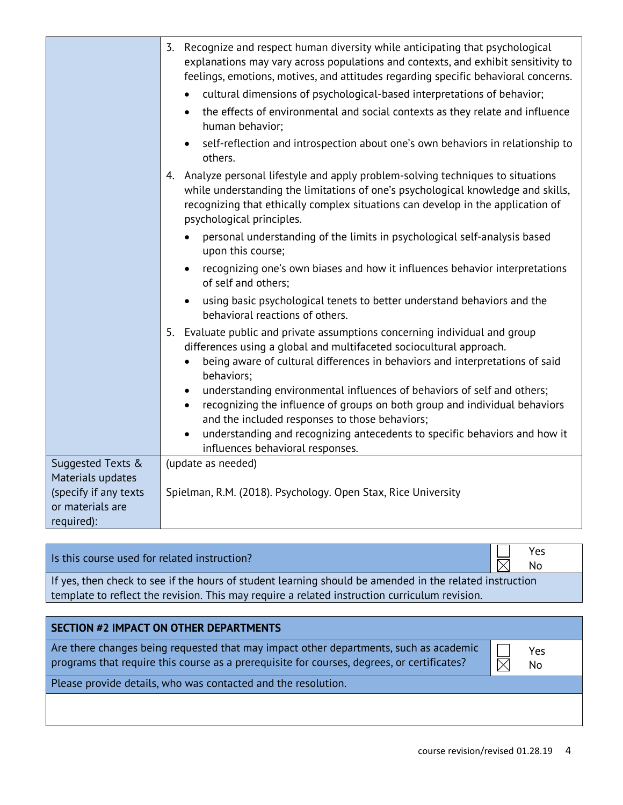|                                                         | 3. Recognize and respect human diversity while anticipating that psychological<br>explanations may vary across populations and contexts, and exhibit sensitivity to<br>feelings, emotions, motives, and attitudes regarding specific behavioral concerns.<br>cultural dimensions of psychological-based interpretations of behavior;<br>the effects of environmental and social contexts as they relate and influence<br>$\bullet$<br>human behavior;<br>self-reflection and introspection about one's own behaviors in relationship to<br>$\bullet$<br>others. |
|---------------------------------------------------------|-----------------------------------------------------------------------------------------------------------------------------------------------------------------------------------------------------------------------------------------------------------------------------------------------------------------------------------------------------------------------------------------------------------------------------------------------------------------------------------------------------------------------------------------------------------------|
|                                                         | 4. Analyze personal lifestyle and apply problem-solving techniques to situations<br>while understanding the limitations of one's psychological knowledge and skills,<br>recognizing that ethically complex situations can develop in the application of<br>psychological principles.                                                                                                                                                                                                                                                                            |
|                                                         | personal understanding of the limits in psychological self-analysis based<br>upon this course;                                                                                                                                                                                                                                                                                                                                                                                                                                                                  |
|                                                         | recognizing one's own biases and how it influences behavior interpretations<br>$\bullet$<br>of self and others;                                                                                                                                                                                                                                                                                                                                                                                                                                                 |
|                                                         | using basic psychological tenets to better understand behaviors and the<br>$\bullet$<br>behavioral reactions of others.                                                                                                                                                                                                                                                                                                                                                                                                                                         |
|                                                         | 5. Evaluate public and private assumptions concerning individual and group<br>differences using a global and multifaceted sociocultural approach.<br>being aware of cultural differences in behaviors and interpretations of said<br>behaviors;                                                                                                                                                                                                                                                                                                                 |
|                                                         | understanding environmental influences of behaviors of self and others;<br>$\bullet$<br>recognizing the influence of groups on both group and individual behaviors<br>$\bullet$<br>and the included responses to those behaviors;                                                                                                                                                                                                                                                                                                                               |
|                                                         | understanding and recognizing antecedents to specific behaviors and how it<br>$\bullet$<br>influences behavioral responses.                                                                                                                                                                                                                                                                                                                                                                                                                                     |
| Suggested Texts &<br>Materials updates                  | (update as needed)                                                                                                                                                                                                                                                                                                                                                                                                                                                                                                                                              |
| (specify if any texts<br>or materials are<br>required): | Spielman, R.M. (2018). Psychology. Open Stax, Rice University                                                                                                                                                                                                                                                                                                                                                                                                                                                                                                   |

# Is this course used for related instruction?<br>  $N_0$

No

If yes, then check to see if the hours of student learning should be amended in the related instruction template to reflect the revision. This may require a related instruction curriculum revision.

| <b>SECTION #2 IMPACT ON OTHER DEPARTMENTS</b>                                                                                                                                       |           |  |
|-------------------------------------------------------------------------------------------------------------------------------------------------------------------------------------|-----------|--|
| Are there changes being requested that may impact other departments, such as academic<br>programs that require this course as a prerequisite for courses, degrees, or certificates? | Yes<br>No |  |
| Please provide details, who was contacted and the resolution.                                                                                                                       |           |  |
|                                                                                                                                                                                     |           |  |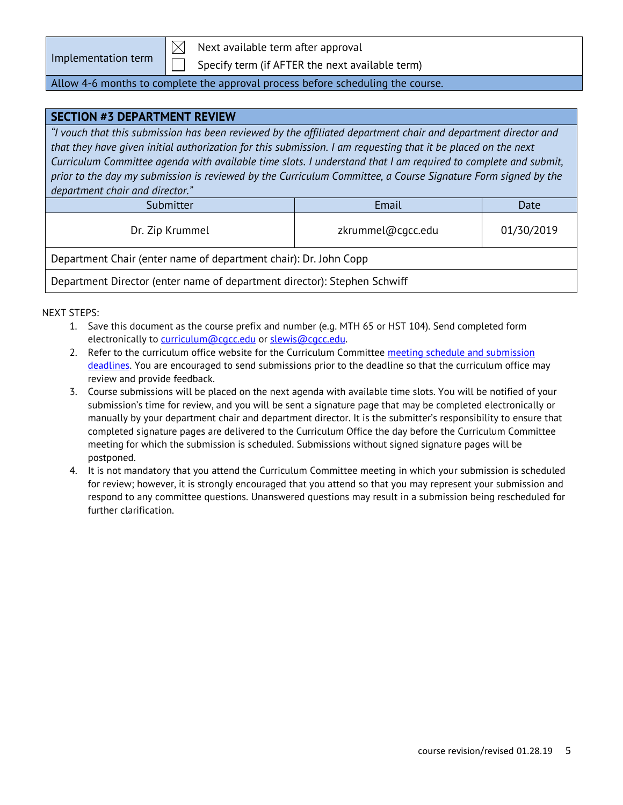| Implementation term |  |
|---------------------|--|

Next available term after approval

Specify term (if AFTER the next available term)

#### Allow 4-6 months to complete the approval process before scheduling the course.

#### **SECTION #3 DEPARTMENT REVIEW**

*"I vouch that this submission has been reviewed by the affiliated department chair and department director and that they have given initial authorization for this submission. I am requesting that it be placed on the next Curriculum Committee agenda with available time slots. I understand that I am required to complete and submit, prior to the day my submission is reviewed by the Curriculum Committee, a Course Signature Form signed by the department chair and director."*

| Submitter       | Email             | Date       |
|-----------------|-------------------|------------|
| Dr. Zip Krummel | zkrummel@cgcc.edu | 01/30/2019 |
|                 |                   |            |

Department Chair (enter name of department chair): Dr. John Copp

Department Director (enter name of department director): Stephen Schwiff

- 1. Save this document as the course prefix and number (e.g. MTH 65 or HST 104). Send completed form electronically to [curriculum@cgcc.edu](mailto:curriculum@cgcc.edu) or slewis@cgcc.edu.
- 2. Refer to the curriculum office website for the Curriculum Committee meeting schedule and submission [deadlines.](https://www.cgcc.edu/curriculum/committee) You are encouraged to send submissions prior to the deadline so that the curriculum office may review and provide feedback.
- 3. Course submissions will be placed on the next agenda with available time slots. You will be notified of your submission's time for review, and you will be sent a signature page that may be completed electronically or manually by your department chair and department director. It is the submitter's responsibility to ensure that completed signature pages are delivered to the Curriculum Office the day before the Curriculum Committee meeting for which the submission is scheduled. Submissions without signed signature pages will be postponed.
- 4. It is not mandatory that you attend the Curriculum Committee meeting in which your submission is scheduled for review; however, it is strongly encouraged that you attend so that you may represent your submission and respond to any committee questions. Unanswered questions may result in a submission being rescheduled for further clarification.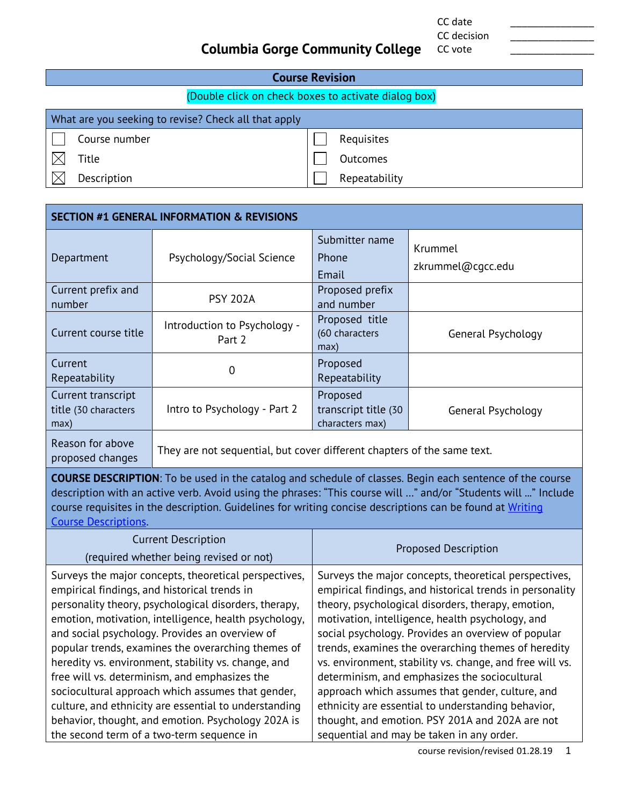CC date \_\_\_\_\_\_\_\_\_\_\_\_\_\_\_ CC decision

CC vote

# **Columbia Gorge Community College**

| <b>Course Revision</b>                               |               |  |
|------------------------------------------------------|---------------|--|
| (Double click on check boxes to activate dialog box) |               |  |
| What are you seeking to revise? Check all that apply |               |  |
| Course number                                        | Requisites    |  |
| Title                                                | Outcomes      |  |
| Description                                          | Repeatability |  |

| <b>SECTION #1 GENERAL INFORMATION &amp; REVISIONS</b> |                                                                         |                                                     |                              |
|-------------------------------------------------------|-------------------------------------------------------------------------|-----------------------------------------------------|------------------------------|
| Department                                            | Psychology/Social Science                                               | Submitter name<br>Phone<br>Email                    | Krummel<br>zkrummel@cgcc.edu |
| Current prefix and<br>number                          | <b>PSY 202A</b>                                                         | Proposed prefix<br>and number                       |                              |
| Current course title                                  | Introduction to Psychology -<br>Part 2                                  | Proposed title<br>(60 characters<br>max)            | General Psychology           |
| Current<br>Repeatability                              | 0                                                                       | Proposed<br>Repeatability                           |                              |
| Current transcript<br>title (30 characters<br>max)    | Intro to Psychology - Part 2                                            | Proposed<br>transcript title (30<br>characters max) | General Psychology           |
| Reason for above<br>proposed changes                  | They are not sequential, but cover different chapters of the same text. |                                                     |                              |

**COURSE DESCRIPTION**: To be used in the catalog and schedule of classes. Begin each sentence of the course description with an active verb. Avoid using the phrases: "This course will …" and/or "Students will ..." Include course requisites in the description. Guidelines for writing concise descriptions can be found at Writing [Course Descriptions.](https://www.cgcc.edu/sites/default/files/curriculum/writing-course-description.pdf)

| <b>Current Description</b><br>(required whether being revised or not)                                                                                                                                                                                                                                                                                                                                                                                                                                                                                                                                       | <b>Proposed Description</b>                                                                                                                                                                                                                                                                                                                                                                                                                                                                                                                                                                                        |
|-------------------------------------------------------------------------------------------------------------------------------------------------------------------------------------------------------------------------------------------------------------------------------------------------------------------------------------------------------------------------------------------------------------------------------------------------------------------------------------------------------------------------------------------------------------------------------------------------------------|--------------------------------------------------------------------------------------------------------------------------------------------------------------------------------------------------------------------------------------------------------------------------------------------------------------------------------------------------------------------------------------------------------------------------------------------------------------------------------------------------------------------------------------------------------------------------------------------------------------------|
| Surveys the major concepts, theoretical perspectives,<br>empirical findings, and historical trends in<br>personality theory, psychological disorders, therapy,<br>emotion, motivation, intelligence, health psychology,<br>and social psychology. Provides an overview of<br>popular trends, examines the overarching themes of<br>heredity vs. environment, stability vs. change, and<br>free will vs. determinism, and emphasizes the<br>sociocultural approach which assumes that gender,<br>culture, and ethnicity are essential to understanding<br>behavior, thought, and emotion. Psychology 202A is | Surveys the major concepts, theoretical perspectives,<br>empirical findings, and historical trends in personality<br>theory, psychological disorders, therapy, emotion,<br>motivation, intelligence, health psychology, and<br>social psychology. Provides an overview of popular<br>trends, examines the overarching themes of heredity<br>vs. environment, stability vs. change, and free will vs.<br>determinism, and emphasizes the sociocultural<br>approach which assumes that gender, culture, and<br>ethnicity are essential to understanding behavior,<br>thought, and emotion. PSY 201A and 202A are not |
| the second term of a two-term sequence in                                                                                                                                                                                                                                                                                                                                                                                                                                                                                                                                                                   | sequential and may be taken in any order.                                                                                                                                                                                                                                                                                                                                                                                                                                                                                                                                                                          |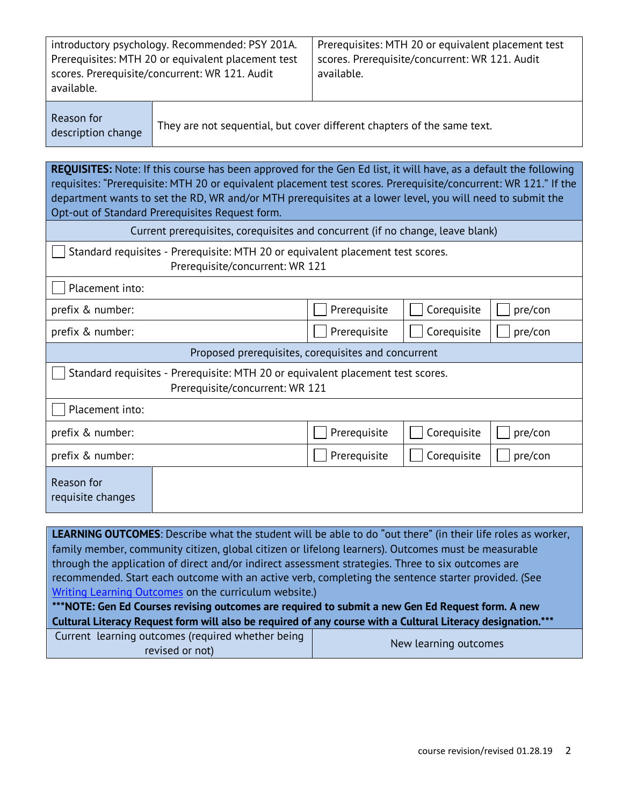| introductory psychology. Recommended: PSY 201A.                                                      | Prerequisites: MTH 20 or equivalent placement test           |
|------------------------------------------------------------------------------------------------------|--------------------------------------------------------------|
| Prerequisites: MTH 20 or equivalent placement test<br>scores. Prerequisite/concurrent: WR 121. Audit | scores. Prerequisite/concurrent: WR 121. Audit<br>available. |
| available.                                                                                           |                                                              |

Reason for

description change They are not sequential, but cover different chapters of the same text.

**REQUISITES:** Note: If this course has been approved for the Gen Ed list, it will have, as a default the following requisites: "Prerequisite: MTH 20 or equivalent placement test scores. Prerequisite/concurrent: WR 121." If the department wants to set the RD, WR and/or MTH prerequisites at a lower level, you will need to submit the Opt-out of Standard Prerequisites Request form.

| Current prerequisites, corequisites and concurrent (if no change, leave blank)                                     |              |             |         |
|--------------------------------------------------------------------------------------------------------------------|--------------|-------------|---------|
| Standard requisites - Prerequisite: MTH 20 or equivalent placement test scores.<br>Prerequisite/concurrent: WR 121 |              |             |         |
| Placement into:                                                                                                    |              |             |         |
| prefix & number:                                                                                                   | Prerequisite | Corequisite | pre/con |
| prefix & number:                                                                                                   | Prerequisite | Corequisite | pre/con |
| Proposed prerequisites, corequisites and concurrent                                                                |              |             |         |
| Standard requisites - Prerequisite: MTH 20 or equivalent placement test scores.<br>Prerequisite/concurrent: WR 121 |              |             |         |
| Placement into:                                                                                                    |              |             |         |
| prefix & number:                                                                                                   | Prerequisite | Corequisite | pre/con |
| prefix & number:                                                                                                   | Prerequisite | Corequisite | pre/con |
| Reason for<br>requisite changes                                                                                    |              |             |         |
|                                                                                                                    |              |             |         |

**LEARNING OUTCOMES**: Describe what the student will be able to do "out there" (in their life roles as worker, family member, community citizen, global citizen or lifelong learners). Outcomes must be measurable through the application of direct and/or indirect assessment strategies. Three to six outcomes are recommended. Start each outcome with an active verb, completing the sentence starter provided. (See [Writing Learning Outcomes](https://www.cgcc.edu/sites/default/files/curriculum/writing-learning-outcomes.pdf) on the curriculum website.)

**\*\*\*NOTE: Gen Ed Courses revising outcomes are required to submit a new Gen Ed Request form. A new Cultural Literacy Request form will also be required of any course with a Cultural Literacy designation.\*\*\***

| Current learning outcomes (required whether being | New learning outcomes |
|---------------------------------------------------|-----------------------|
| revised or not)                                   |                       |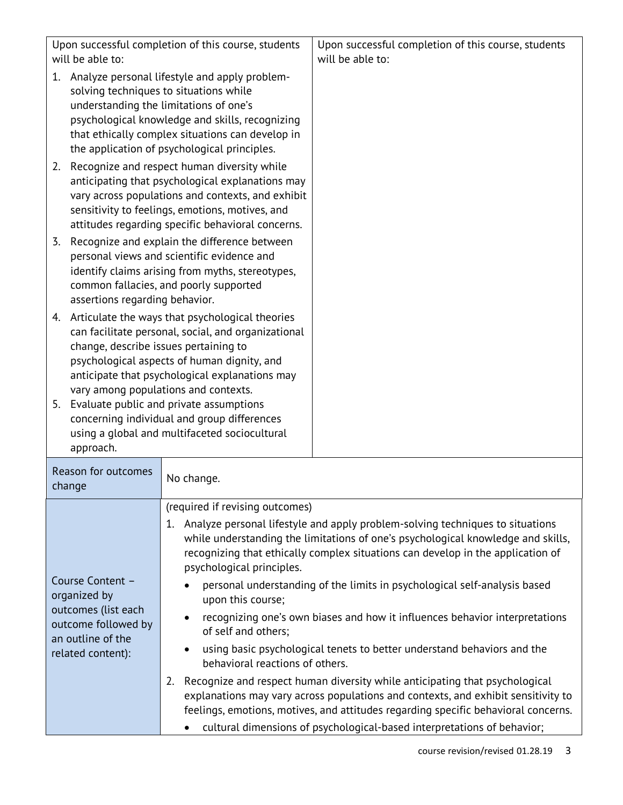| Upon successful completion of this course, students<br>will be able to:                                                                                                                                                                                                                                                                       |                                                                                                                                                                                                                                                                                                                                                 | Upon successful completion of this course, students<br>will be able to:                                                                                                                                                                                                                                                                                                                                                                                                                                                                                                                                                                                                                                                                                                                                                             |
|-----------------------------------------------------------------------------------------------------------------------------------------------------------------------------------------------------------------------------------------------------------------------------------------------------------------------------------------------|-------------------------------------------------------------------------------------------------------------------------------------------------------------------------------------------------------------------------------------------------------------------------------------------------------------------------------------------------|-------------------------------------------------------------------------------------------------------------------------------------------------------------------------------------------------------------------------------------------------------------------------------------------------------------------------------------------------------------------------------------------------------------------------------------------------------------------------------------------------------------------------------------------------------------------------------------------------------------------------------------------------------------------------------------------------------------------------------------------------------------------------------------------------------------------------------------|
| Analyze personal lifestyle and apply problem-<br>1.<br>solving techniques to situations while<br>understanding the limitations of one's<br>psychological knowledge and skills, recognizing<br>that ethically complex situations can develop in<br>the application of psychological principles.<br>Recognize and respect human diversity while |                                                                                                                                                                                                                                                                                                                                                 |                                                                                                                                                                                                                                                                                                                                                                                                                                                                                                                                                                                                                                                                                                                                                                                                                                     |
| 2.                                                                                                                                                                                                                                                                                                                                            | anticipating that psychological explanations may<br>vary across populations and contexts, and exhibit<br>sensitivity to feelings, emotions, motives, and<br>attitudes regarding specific behavioral concerns.                                                                                                                                   |                                                                                                                                                                                                                                                                                                                                                                                                                                                                                                                                                                                                                                                                                                                                                                                                                                     |
| Recognize and explain the difference between<br>3.<br>personal views and scientific evidence and<br>identify claims arising from myths, stereotypes,<br>common fallacies, and poorly supported<br>assertions regarding behavior.                                                                                                              |                                                                                                                                                                                                                                                                                                                                                 |                                                                                                                                                                                                                                                                                                                                                                                                                                                                                                                                                                                                                                                                                                                                                                                                                                     |
| 4.<br>change, describe issues pertaining to<br>5. Evaluate public and private assumptions<br>approach.                                                                                                                                                                                                                                        | Articulate the ways that psychological theories<br>can facilitate personal, social, and organizational<br>psychological aspects of human dignity, and<br>anticipate that psychological explanations may<br>vary among populations and contexts.<br>concerning individual and group differences<br>using a global and multifaceted sociocultural |                                                                                                                                                                                                                                                                                                                                                                                                                                                                                                                                                                                                                                                                                                                                                                                                                                     |
| Reason for outcomes<br>change                                                                                                                                                                                                                                                                                                                 | No change.                                                                                                                                                                                                                                                                                                                                      |                                                                                                                                                                                                                                                                                                                                                                                                                                                                                                                                                                                                                                                                                                                                                                                                                                     |
| Course Content -<br>organized by<br>outcomes (list each<br>outcome followed by<br>an outline of the<br>related content):                                                                                                                                                                                                                      | (required if revising outcomes)<br>psychological principles.<br>upon this course;<br>$\bullet$<br>of self and others;<br>behavioral reactions of others.<br>2.                                                                                                                                                                                  | 1. Analyze personal lifestyle and apply problem-solving techniques to situations<br>while understanding the limitations of one's psychological knowledge and skills,<br>recognizing that ethically complex situations can develop in the application of<br>personal understanding of the limits in psychological self-analysis based<br>recognizing one's own biases and how it influences behavior interpretations<br>using basic psychological tenets to better understand behaviors and the<br>Recognize and respect human diversity while anticipating that psychological<br>explanations may vary across populations and contexts, and exhibit sensitivity to<br>feelings, emotions, motives, and attitudes regarding specific behavioral concerns.<br>cultural dimensions of psychological-based interpretations of behavior; |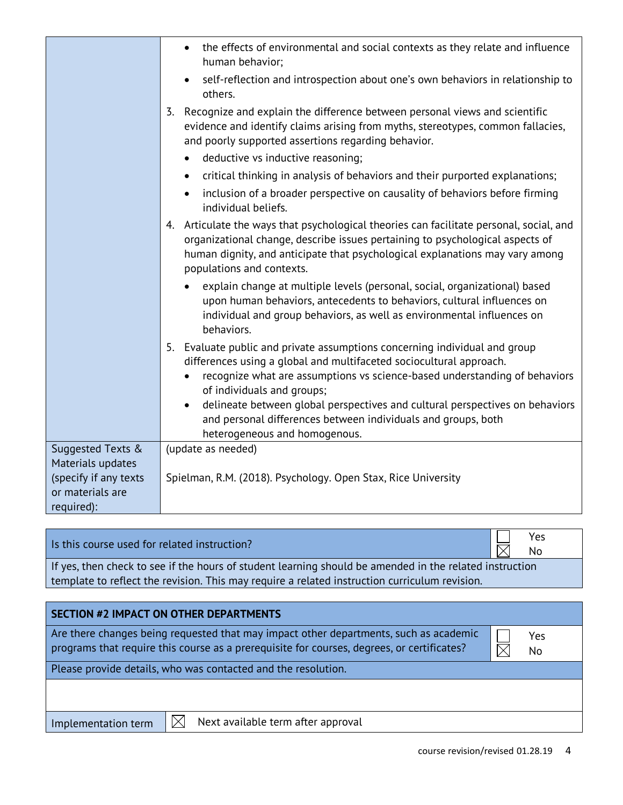|                                           | the effects of environmental and social contexts as they relate and influence<br>$\bullet$<br>human behavior;                                                                                                                                                                                                                                                                                                                                                |
|-------------------------------------------|--------------------------------------------------------------------------------------------------------------------------------------------------------------------------------------------------------------------------------------------------------------------------------------------------------------------------------------------------------------------------------------------------------------------------------------------------------------|
|                                           | self-reflection and introspection about one's own behaviors in relationship to<br>others.                                                                                                                                                                                                                                                                                                                                                                    |
|                                           | Recognize and explain the difference between personal views and scientific<br>3.<br>evidence and identify claims arising from myths, stereotypes, common fallacies,<br>and poorly supported assertions regarding behavior.                                                                                                                                                                                                                                   |
|                                           | deductive vs inductive reasoning;<br>$\bullet$                                                                                                                                                                                                                                                                                                                                                                                                               |
|                                           | critical thinking in analysis of behaviors and their purported explanations;<br>$\bullet$                                                                                                                                                                                                                                                                                                                                                                    |
|                                           | inclusion of a broader perspective on causality of behaviors before firming<br>$\bullet$<br>individual beliefs.                                                                                                                                                                                                                                                                                                                                              |
|                                           | 4. Articulate the ways that psychological theories can facilitate personal, social, and<br>organizational change, describe issues pertaining to psychological aspects of<br>human dignity, and anticipate that psychological explanations may vary among<br>populations and contexts.                                                                                                                                                                        |
|                                           | explain change at multiple levels (personal, social, organizational) based<br>upon human behaviors, antecedents to behaviors, cultural influences on<br>individual and group behaviors, as well as environmental influences on<br>behaviors.                                                                                                                                                                                                                 |
|                                           | 5. Evaluate public and private assumptions concerning individual and group<br>differences using a global and multifaceted sociocultural approach.<br>recognize what are assumptions vs science-based understanding of behaviors<br>of individuals and groups;<br>delineate between global perspectives and cultural perspectives on behaviors<br>$\bullet$<br>and personal differences between individuals and groups, both<br>heterogeneous and homogenous. |
| Suggested Texts &                         | (update as needed)                                                                                                                                                                                                                                                                                                                                                                                                                                           |
| Materials updates                         |                                                                                                                                                                                                                                                                                                                                                                                                                                                              |
| (specify if any texts<br>or materials are | Spielman, R.M. (2018). Psychology. Open Stax, Rice University                                                                                                                                                                                                                                                                                                                                                                                                |
| required):                                |                                                                                                                                                                                                                                                                                                                                                                                                                                                              |

|                                              |  | III Yes  |
|----------------------------------------------|--|----------|
| Is this course used for related instruction? |  | $\nabla$ |

No

If yes, then check to see if the hours of student learning should be amended in the related instruction template to reflect the revision. This may require a related instruction curriculum revision.

| SECTION #2 IMPACT ON OTHER DEPARTMENTS                                                                                                                                              |           |
|-------------------------------------------------------------------------------------------------------------------------------------------------------------------------------------|-----------|
| Are there changes being requested that may impact other departments, such as academic<br>programs that require this course as a prerequisite for courses, degrees, or certificates? | Yes<br>No |
| Please provide details, who was contacted and the resolution.                                                                                                                       |           |
|                                                                                                                                                                                     |           |
|                                                                                                                                                                                     |           |

Implementation term  $\Box$  Next available term after approval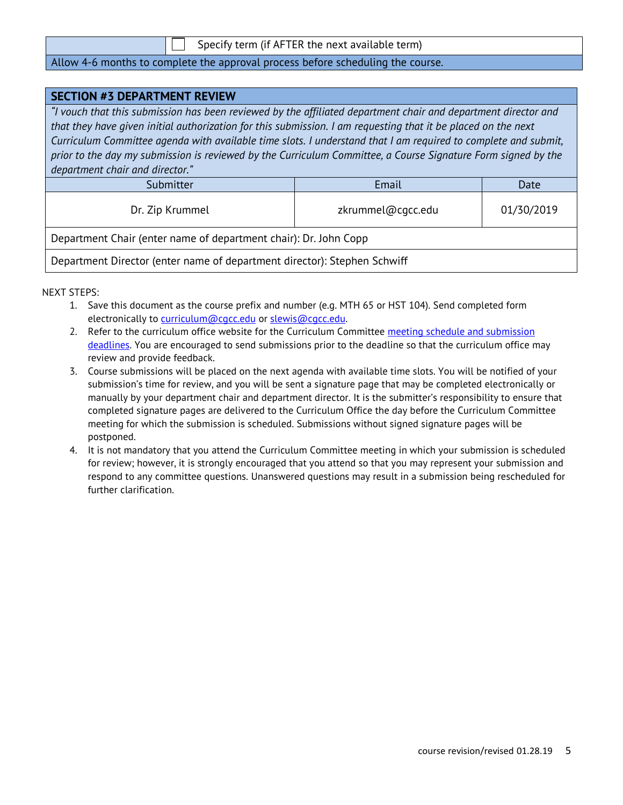|  | Specify term (if AFTER the next available term) |  |
|--|-------------------------------------------------|--|
|--|-------------------------------------------------|--|

#### Allow 4-6 months to complete the approval process before scheduling the course.

| <b>SECTION #3 DEPARTMENT REVIEW</b>                                                                            |                   |            |  |
|----------------------------------------------------------------------------------------------------------------|-------------------|------------|--|
| "I vouch that this submission has been reviewed by the affiliated department chair and department director and |                   |            |  |
| that they have given initial authorization for this submission. I am requesting that it be placed on the next  |                   |            |  |
| Curriculum Committee agenda with available time slots. I understand that I am required to complete and submit, |                   |            |  |
| prior to the day my submission is reviewed by the Curriculum Committee, a Course Signature Form signed by the  |                   |            |  |
| department chair and director."                                                                                |                   |            |  |
| Submitter                                                                                                      | Email             | Date       |  |
| Dr. Zip Krummel                                                                                                | zkrummel@cqcc.edu | 01/30/2019 |  |
| Department Chair (enter name of department chair): Dr. John Copp                                               |                   |            |  |
| Department Director (enter name of department director): Stephen Schwiff                                       |                   |            |  |

- 1. Save this document as the course prefix and number (e.g. MTH 65 or HST 104). Send completed form electronically to [curriculum@cgcc.edu](mailto:curriculum@cgcc.edu) or slewis@cgcc.edu.
- 2. Refer to the curriculum office website for the Curriculum Committee meeting schedule and submission [deadlines.](https://www.cgcc.edu/curriculum/committee) You are encouraged to send submissions prior to the deadline so that the curriculum office may review and provide feedback.
- 3. Course submissions will be placed on the next agenda with available time slots. You will be notified of your submission's time for review, and you will be sent a signature page that may be completed electronically or manually by your department chair and department director. It is the submitter's responsibility to ensure that completed signature pages are delivered to the Curriculum Office the day before the Curriculum Committee meeting for which the submission is scheduled. Submissions without signed signature pages will be postponed.
- 4. It is not mandatory that you attend the Curriculum Committee meeting in which your submission is scheduled for review; however, it is strongly encouraged that you attend so that you may represent your submission and respond to any committee questions. Unanswered questions may result in a submission being rescheduled for further clarification.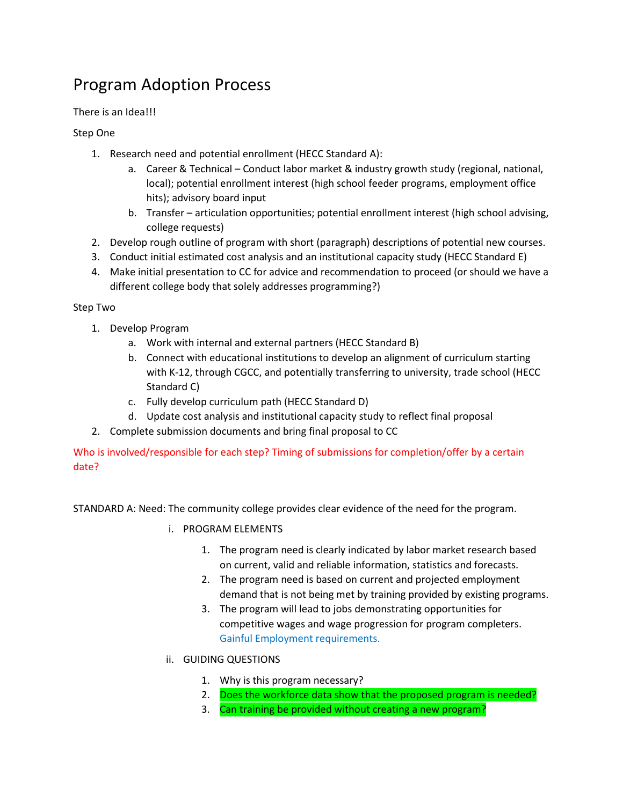# Program Adoption Process

There is an Idea!!!

Step One

- 1. Research need and potential enrollment (HECC Standard A):
	- a. Career & Technical Conduct labor market & industry growth study (regional, national, local); potential enrollment interest (high school feeder programs, employment office hits); advisory board input
	- b. Transfer articulation opportunities; potential enrollment interest (high school advising, college requests)
- 2. Develop rough outline of program with short (paragraph) descriptions of potential new courses.
- 3. Conduct initial estimated cost analysis and an institutional capacity study (HECC Standard E)
- 4. Make initial presentation to CC for advice and recommendation to proceed (or should we have a different college body that solely addresses programming?)

#### Step Two

- 1. Develop Program
	- a. Work with internal and external partners (HECC Standard B)
	- b. Connect with educational institutions to develop an alignment of curriculum starting with K-12, through CGCC, and potentially transferring to university, trade school (HECC Standard C)
	- c. Fully develop curriculum path (HECC Standard D)
	- d. Update cost analysis and institutional capacity study to reflect final proposal
- 2. Complete submission documents and bring final proposal to CC

Who is involved/responsible for each step? Timing of submissions for completion/offer by a certain date?

STANDARD A: Need: The community college provides clear evidence of the need for the program.

- i. PROGRAM ELEMENTS
	- 1. The program need is clearly indicated by labor market research based on current, valid and reliable information, statistics and forecasts.
	- 2. The program need is based on current and projected employment demand that is not being met by training provided by existing programs.
	- 3. The program will lead to jobs demonstrating opportunities for competitive wages and wage progression for program completers. Gainful Employment requirements.
- ii. GUIDING QUESTIONS
	- 1. Why is this program necessary?
	- 2. Does the workforce data show that the proposed program is needed?
	- 3. Can training be provided without creating a new program?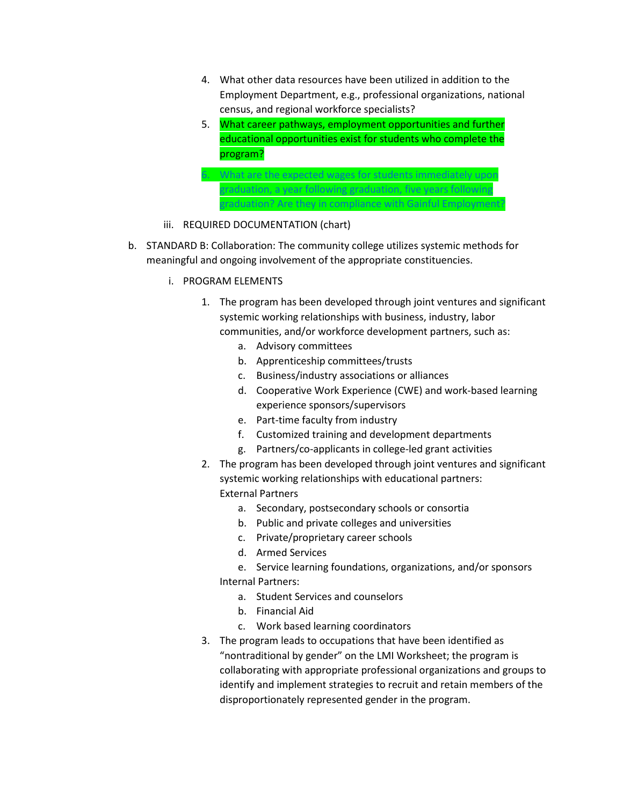- 4. What other data resources have been utilized in addition to the Employment Department, e.g., professional organizations, national census, and regional workforce specialists?
- 5. What career pathways, employment opportunities and further educational opportunities exist for students who complete the program?



- iii. REQUIRED DOCUMENTATION (chart)
- b. STANDARD B: Collaboration: The community college utilizes systemic methods for meaningful and ongoing involvement of the appropriate constituencies.
	- i. PROGRAM ELEMENTS
		- 1. The program has been developed through joint ventures and significant systemic working relationships with business, industry, labor communities, and/or workforce development partners, such as:
			- a. Advisory committees
			- b. Apprenticeship committees/trusts
			- c. Business/industry associations or alliances
			- d. Cooperative Work Experience (CWE) and work-based learning experience sponsors/supervisors
			- e. Part-time faculty from industry
			- f. Customized training and development departments
			- g. Partners/co-applicants in college-led grant activities
		- 2. The program has been developed through joint ventures and significant systemic working relationships with educational partners: External Partners
			- a. Secondary, postsecondary schools or consortia
			- b. Public and private colleges and universities
			- c. Private/proprietary career schools
			- d. Armed Services
			- e. Service learning foundations, organizations, and/or sponsors Internal Partners:
				- a. Student Services and counselors
				- b. Financial Aid
				- c. Work based learning coordinators
		- 3. The program leads to occupations that have been identified as "nontraditional by gender" on the LMI Worksheet; the program is collaborating with appropriate professional organizations and groups to identify and implement strategies to recruit and retain members of the disproportionately represented gender in the program.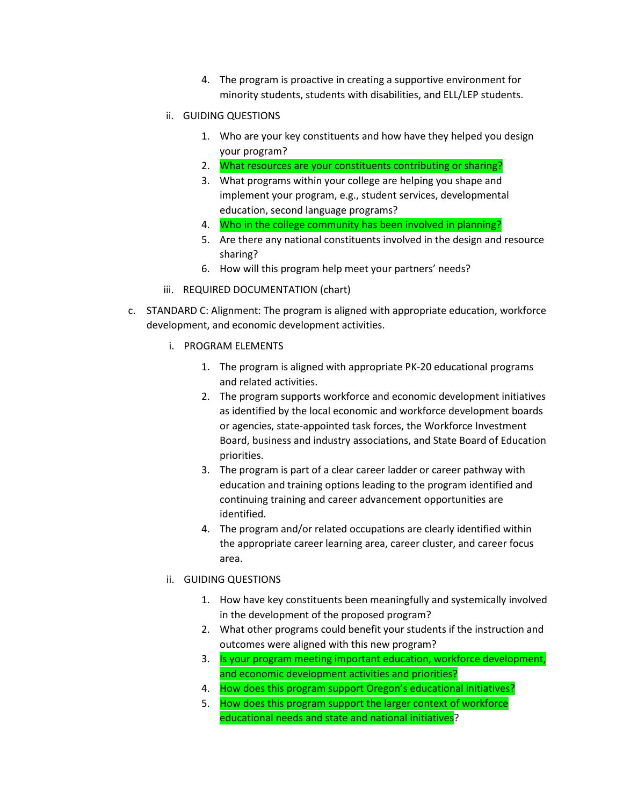- 4. The program is proactive in creating a supportive environment for minority students, students with disabilities, and ELL/LEP students.
- ii. GUIDING QUESTIONS
	- 1. Who are your key constituents and how have they helped you design your program?
	- 2. What resources are your constituents contributing or sharing?
	- 3. What programs within your college are helping you shape and implement your program, e.g., student services, developmental education, second language programs?
	- 4. Who in the college community has been involved in planning?
	- 5. Are there any national constituents involved in the design and resource sharing?
	- 6. How will this program help meet your partners' needs?
- iii. REQUIRED DOCUMENTATION (chart)
- c. STANDARD C: Alignment: The program is aligned with appropriate education, workforce development, and economic development activities.
	- i. PROGRAM ELEMENTS
		- 1. The program is aligned with appropriate PK-20 educational programs and related activities.
		- 2. The program supports workforce and economic development initiatives as identified by the local economic and workforce development boards or agencies, state-appointed task forces, the Workforce Investment Board, business and industry associations, and State Board of Education priorities.
		- 3. The program is part of a clear career ladder or career pathway with education and training options leading to the program identified and continuing training and career advancement opportunities are identified.
		- 4. The program and/or related occupations are clearly identified within the appropriate career learning area, career cluster, and career focus area.
	- ii. GUIDING QUESTIONS
		- 1. How have key constituents been meaningfully and systemically involved in the development of the proposed program?
		- 2. What other programs could benefit your students if the instruction and outcomes were aligned with this new program?
		- 3. Is your program meeting important education, workforce development, and economic development activities and priorities?
		- 4. How does this program support Oregon's educational initiatives?
		- 5. How does this program support the larger context of workforce educational needs and state and national initiatives?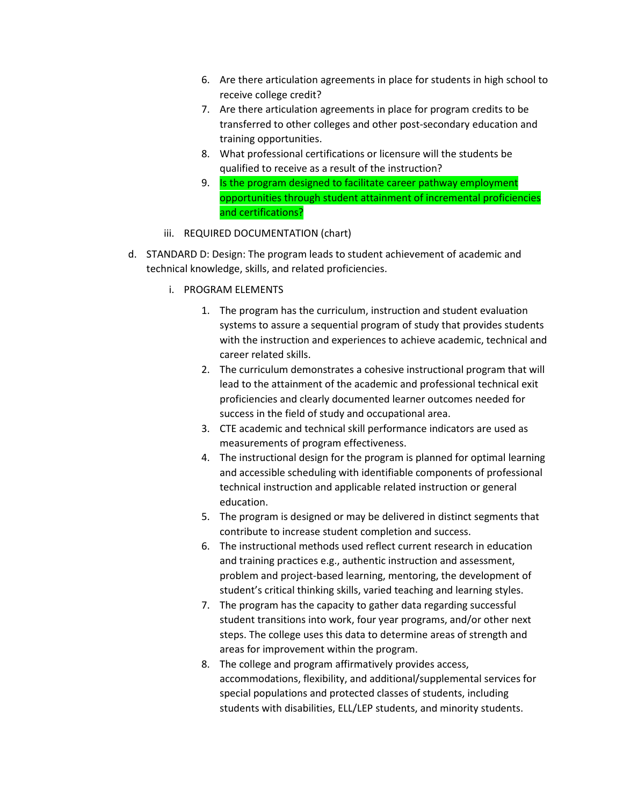- 6. Are there articulation agreements in place for students in high school to receive college credit?
- 7. Are there articulation agreements in place for program credits to be transferred to other colleges and other post-secondary education and training opportunities.
- 8. What professional certifications or licensure will the students be qualified to receive as a result of the instruction?
- 9. Is the program designed to facilitate career pathway employment opportunities through student attainment of incremental proficiencies and certifications?
- iii. REQUIRED DOCUMENTATION (chart)
- d. STANDARD D: Design: The program leads to student achievement of academic and technical knowledge, skills, and related proficiencies.
	- i. PROGRAM ELEMENTS
		- 1. The program has the curriculum, instruction and student evaluation systems to assure a sequential program of study that provides students with the instruction and experiences to achieve academic, technical and career related skills.
		- 2. The curriculum demonstrates a cohesive instructional program that will lead to the attainment of the academic and professional technical exit proficiencies and clearly documented learner outcomes needed for success in the field of study and occupational area.
		- 3. CTE academic and technical skill performance indicators are used as measurements of program effectiveness.
		- 4. The instructional design for the program is planned for optimal learning and accessible scheduling with identifiable components of professional technical instruction and applicable related instruction or general education.
		- 5. The program is designed or may be delivered in distinct segments that contribute to increase student completion and success.
		- 6. The instructional methods used reflect current research in education and training practices e.g., authentic instruction and assessment, problem and project-based learning, mentoring, the development of student's critical thinking skills, varied teaching and learning styles.
		- 7. The program has the capacity to gather data regarding successful student transitions into work, four year programs, and/or other next steps. The college uses this data to determine areas of strength and areas for improvement within the program.
		- 8. The college and program affirmatively provides access, accommodations, flexibility, and additional/supplemental services for special populations and protected classes of students, including students with disabilities, ELL/LEP students, and minority students.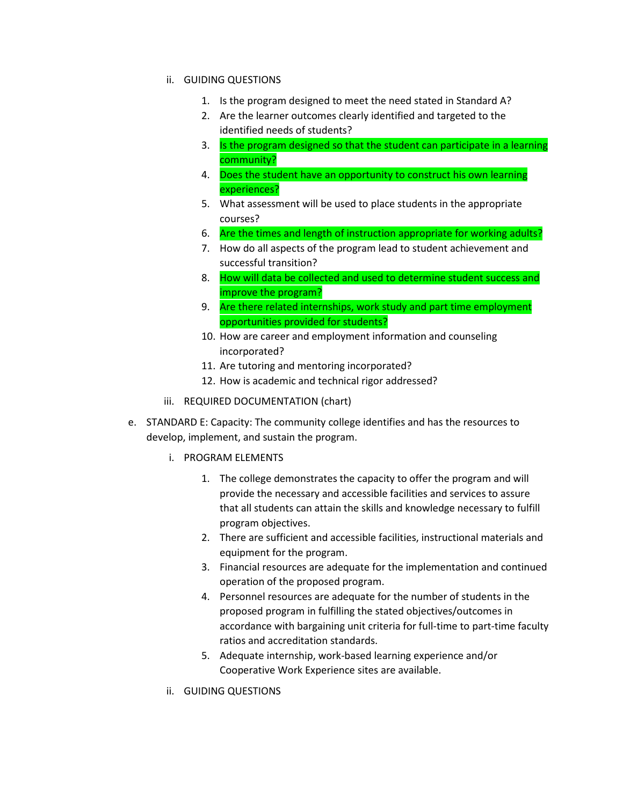- ii. GUIDING QUESTIONS
	- 1. Is the program designed to meet the need stated in Standard A?
	- 2. Are the learner outcomes clearly identified and targeted to the identified needs of students?
	- 3. Is the program designed so that the student can participate in a learning community?
	- 4. Does the student have an opportunity to construct his own learning experiences?
	- 5. What assessment will be used to place students in the appropriate courses?
	- 6. Are the times and length of instruction appropriate for working adults?
	- 7. How do all aspects of the program lead to student achievement and successful transition?
	- 8. How will data be collected and used to determine student success and improve the program?
	- 9. Are there related internships, work study and part time employment opportunities provided for students?
	- 10. How are career and employment information and counseling incorporated?
	- 11. Are tutoring and mentoring incorporated?
	- 12. How is academic and technical rigor addressed?
- iii. REQUIRED DOCUMENTATION (chart)
- e. STANDARD E: Capacity: The community college identifies and has the resources to develop, implement, and sustain the program.
	- i. PROGRAM ELEMENTS
		- 1. The college demonstrates the capacity to offer the program and will provide the necessary and accessible facilities and services to assure that all students can attain the skills and knowledge necessary to fulfill program objectives.
		- 2. There are sufficient and accessible facilities, instructional materials and equipment for the program.
		- 3. Financial resources are adequate for the implementation and continued operation of the proposed program.
		- 4. Personnel resources are adequate for the number of students in the proposed program in fulfilling the stated objectives/outcomes in accordance with bargaining unit criteria for full-time to part-time faculty ratios and accreditation standards.
		- 5. Adequate internship, work-based learning experience and/or Cooperative Work Experience sites are available.
	- ii. GUIDING QUESTIONS